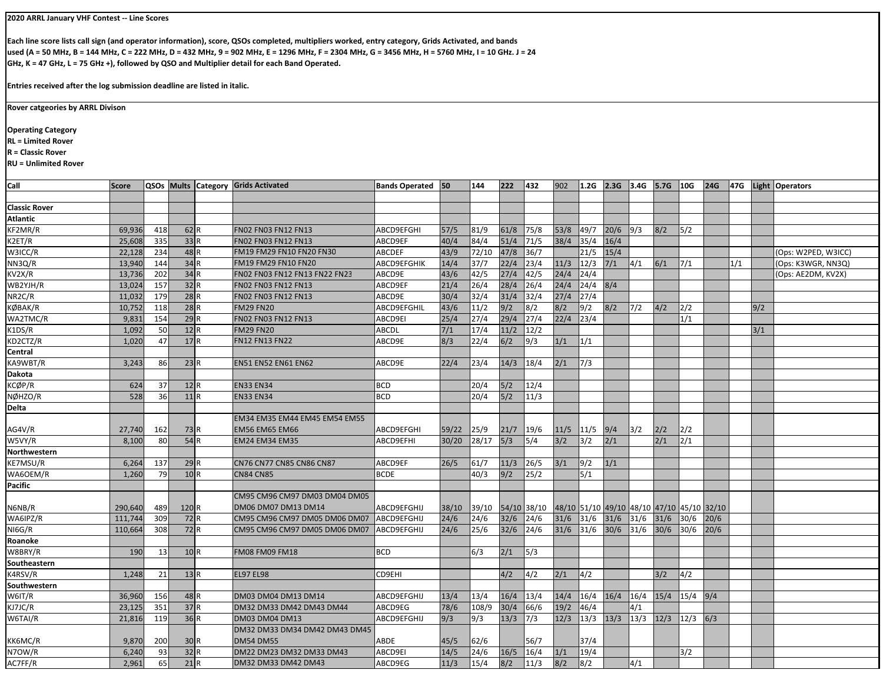## **2020 ARRL January VHF Contest ‐‐ Line Scores**

**Each line score lists call sign (and operator information), score, QSOs completed, multipliers worked, entry category, Grids Activated, and bands used (A = 50 MHz, B = 144 MHz, C = 222 MHz, D = 432 MHz, 9 = 902 MHz, E = 1296 MHz, F = 2304 MHz, G = 3456 MHz, H = 5760 MHz, I = 10 GHz. J = 24 GHz, K = 47 GHz, L = 75 GHz +), followed by QSO and Multiplier detail for each Band Operated.**

**Entries received after the log submission deadline are listed in italic.**

**Rover catgeories by ARRL Divison**

## **Operating Category**

**RL = Limited Rover**

**R = Classic Rover**

**RU = Unlimited Rover**

| QSOs Mults Category Grids Activated<br>Call<br>222<br>432<br>902<br>2.3G 3.4G 5.7G 10G<br><b>Score</b><br><b>Bands Operated</b> 50<br>144<br>1.2G<br><b>Classic Rover</b><br>Atlantic |     | 24G 47G Light Operators |
|---------------------------------------------------------------------------------------------------------------------------------------------------------------------------------------|-----|-------------------------|
|                                                                                                                                                                                       |     |                         |
|                                                                                                                                                                                       |     |                         |
|                                                                                                                                                                                       |     |                         |
| FN02 FN03 FN12 FN13<br>KF2MR/R<br>69,936<br>418<br>62R<br>ABCD9EFGHI<br>81/9<br>61/8<br>75/8<br>53/8<br>49/7<br>20/6<br>9/3<br>8/2<br>$\frac{15}{2}$<br>57/5                          |     |                         |
| 33R<br>84/4<br>51/4<br>71/5<br>38/4<br>K2ET/R<br>25,608<br>335<br>FN02 FN03 FN12 FN13<br>ABCD9EF<br>40/4<br>35/4<br>16/4                                                              |     |                         |
| 48 R<br>47/8<br>22,128<br>72/10<br>36/7<br>21/5<br>15/4<br>W3ICC/R<br>234<br>FM19 FM29 FN10 FN20 FN30<br><b>ABCDEF</b><br>43/9                                                        |     | (Ops: W2PED, W3ICC)     |
| 34R<br>37/7<br>22/4<br>23/4<br>144<br>11/3<br>12/3<br>$7/1$<br>4/1<br>6/1<br>NN3Q/R<br>FM19 FM29 FN10 FN20<br><b>ABCD9EFGHIK</b><br>14/4<br>7/1<br>13,940                             | 1/1 | (Ops: K3WGR, NN3Q)      |
| 34R<br>42/5<br>42/5<br>27/4<br>24/4<br>24/4<br>KV2X/R<br>13,736<br>202<br>FN02 FN03 FN12 FN13 FN22 FN23<br>ABCD9E<br>43/6                                                             |     | (Ops: AE2DM, KV2X)      |
| 32R<br>28/4<br>26/4<br>157<br>FN02 FN03 FN12 FN13<br>21/4<br>26/4<br>24/4<br>24/4<br>WB2YJH/R<br>13,024<br>ABCD9EF<br>8/4                                                             |     |                         |
| 28R<br>32/4<br>31/4<br>$\frac{32}{4}$<br>27/4<br>27/4<br>179<br>NR2C/R<br>11,032<br>FN02 FN03 FN12 FN13<br>ABCD9E<br>30/4                                                             |     |                         |
| 28R<br><b>FM29 FN20</b><br>11/2<br>9/2<br>8/2<br>8/2<br>9/2<br>KØBAK/R<br>ABCD9EFGHIL<br>43/6<br>8/2<br>7/2<br>4/2<br>2/2<br>10,752<br>118                                            | 9/2 |                         |
| 29R<br>FN02 FN03 FN12 FN13<br>29/4<br>$\frac{27}{4}$<br>23/4<br>WA2TMC/R<br>9,831<br>154<br>ABCD9EI<br>25/4<br>27/4<br>22/4<br>1/1                                                    |     |                         |
| 12R<br>1,092<br>50<br>$7/1$<br>17/4<br>11/2<br>12/2<br>K1DS/R<br><b>FM29 FN20</b><br>ABCDL                                                                                            | 3/1 |                         |
| 17R<br>8/3<br>22/4<br>6/2<br>KD2CTZ/R<br>1,020<br>47<br><b>FN12 FN13 FN22</b><br>ABCD9E<br>9/3<br>1/1<br>1/1                                                                          |     |                         |
| Central                                                                                                                                                                               |     |                         |
| <b>EN51 EN52 EN61 EN62</b><br>KA9WBT/R<br>23R<br>22/4<br>23/4<br>14/3<br>18/4<br>2/1<br>7/3<br>3,243<br>86<br>ABCD9E                                                                  |     |                         |
| Dakota                                                                                                                                                                                |     |                         |
| KCØP/R<br><b>EN33 EN34</b><br>624<br>37<br>12R<br><b>BCD</b><br>20/4<br>$5/2$<br>12/4                                                                                                 |     |                         |
| 528<br>$5/2$<br>36<br>11R<br><b>BCD</b><br>20/4<br>11/3<br>NØHZO/R<br><b>EN33 EN34</b>                                                                                                |     |                         |
| Delta                                                                                                                                                                                 |     |                         |
| EM34 EM35 EM44 EM45 EM54 EM55                                                                                                                                                         |     |                         |
| AG4V/R<br><b>ABCD9EFGHI</b><br> 25/9 <br>21/7<br>19/6<br>11/5<br>11/5<br>9/4<br>3/2<br>2/2<br>2/2<br>27,740<br>162<br>73 R<br><b>EM56 EM65 EM66</b><br>59/22                          |     |                         |
| 54R<br>5/3<br>3/2<br>2/1<br>$\frac{2}{1}$<br>W5VY/R<br>80<br> 28/17<br>5/4<br>3/2<br>2/1<br>8,100<br><b>EM24 EM34 EM35</b><br>ABCD9EFHI<br>30/20                                      |     |                         |
| Northwestern                                                                                                                                                                          |     |                         |
| CN76 CN77 CN85 CN86 CN87<br>KE7MSU/R<br>6,264<br>137<br>29R<br>ABCD9EF<br>26/5<br>61/7<br>11/3<br>26/5<br>3/1<br>9/2<br>1/1                                                           |     |                         |
| 10R<br>40/3<br>9/2<br>5/1<br>79<br><b>BCDE</b><br>25/2<br>WA6OEM/R<br>1,260<br><b>CN84 CN85</b>                                                                                       |     |                         |
| Pacific                                                                                                                                                                               |     |                         |
| CM95 CM96 CM97 DM03 DM04 DM05                                                                                                                                                         |     |                         |
| 120 <sub>R</sub><br>DM06 DM07 DM13 DM14<br>ABCD9EFGHIJ<br>48/10 51/10 49/10 48/10 47/10 45/10 32/10<br>N6NB/R<br>290,640<br>489<br>38/10<br>39/10<br>54/10 38/10                      |     |                         |
| 72 R<br>24/6<br>32/6<br>24/6<br>$31/6$<br>$31/6$<br>$31/6$<br>31/6<br>$31/6$<br>$30/6$ 20/6<br>WA6IPZ/R<br>111,744<br>309<br>ABCD9EFGHIJ<br>24/6<br>CM95 CM96 CM97 DM05 DM06 DM07     |     |                         |
| 32/6<br>24/6<br>$31/6$<br>31/6<br>72 R<br>24/6<br>25/6<br>31/6<br>30/6<br>30/6 30/6 20/6<br>NI6G/R<br>110,664<br>308<br>CM95 CM96 CM97 DM05 DM06 DM07<br>ABCD9EFGHIJ                  |     |                         |
| Roanoke                                                                                                                                                                               |     |                         |
| W8BRY/R<br>2/1<br>5/3<br>190<br>13<br>10 R<br><b>FM08 FM09 FM18</b><br><b>BCD</b><br>6/3                                                                                              |     |                         |
| Southeastern                                                                                                                                                                          |     |                         |
| 4/2<br>4/2<br>13R<br>CD9EHI<br>4/2<br>4/2<br>2/1<br>3/2<br>K4RSV/R<br>1,248<br>21<br><b>EL97 EL98</b>                                                                                 |     |                         |
| Southwestern                                                                                                                                                                          |     |                         |
| 48 R<br>13/4<br>16/4<br>13/4<br>14/4<br>16/4<br>16/4<br>15/4<br>$15/4$ 9/4<br>W6IT/R<br>36,960<br>156<br>DM03 DM04 DM13 DM14<br>ABCD9EFGHIJ<br>13/4<br>16/4                           |     |                         |
| 37R<br>108/9<br>30/4<br>66/6<br>19/2<br>46/4<br>KJ7JC/R<br>23,125<br>351<br>DM32 DM33 DM42 DM43 DM44<br>ABCD9EG<br>78/6<br>4/1                                                        |     |                         |
| 36R<br>119<br>9/3<br>9/3<br>13/3<br>7/3<br>12/3<br>13/3<br>13/3<br>13/3<br>$12/3$ $12/3$ 6/3<br>W6TAI/R<br>21,816<br>ABCD9EFGHIJ<br>DM03 DM04 DM13                                    |     |                         |
| DM32 DM33 DM34 DM42 DM43 DM45                                                                                                                                                         |     |                         |
| <b>DM54 DM55</b><br>KK6MC/R<br>ABDE<br>62/6<br>56/7<br>37/4<br>9,870<br>200<br>30R<br>45/5                                                                                            |     |                         |
| 32R<br>19/4<br>3/2<br>DM22 DM23 DM32 DM33 DM43<br>24/6<br>16/5<br>16/4<br>1/1<br>N7OW/R<br>6,240<br>93<br>ABCD9EI<br>14/5                                                             |     |                         |
| 8/2<br>65<br>21R<br>15/4<br>8/2<br> 8/2 <br>AC7FF/R<br>2,961<br>DM32 DM33 DM42 DM43<br>ABCD9EG<br>11/3<br>11/3<br>4/1                                                                 |     |                         |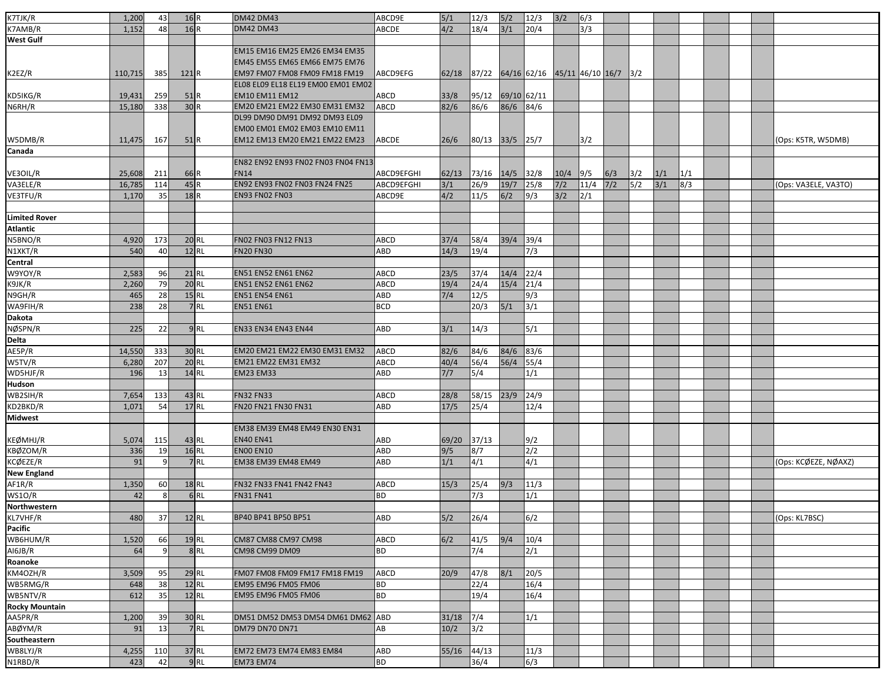| K7TJK/R              | 1,200        | 43       | 16R                |                    | <b>DM42 DM43</b>                   | ABCD9E                   | $5/1$ | 12/3            | 5/2         | 12/3                               | 3/2        | 6/3  |       |               |       |     |  |                      |
|----------------------|--------------|----------|--------------------|--------------------|------------------------------------|--------------------------|-------|-----------------|-------------|------------------------------------|------------|------|-------|---------------|-------|-----|--|----------------------|
| K7AMB/R              | 1,152        | 48       | 16R                |                    | <b>DM42 DM43</b>                   | ABCDE                    | 4/2   | 18/4            | $3/1$       | 20/4                               |            | 3/3  |       |               |       |     |  |                      |
| West Gulf            |              |          |                    |                    |                                    |                          |       |                 |             |                                    |            |      |       |               |       |     |  |                      |
|                      |              |          |                    |                    | EM15 EM16 EM25 EM26 EM34 EM35      |                          |       |                 |             |                                    |            |      |       |               |       |     |  |                      |
|                      |              |          |                    |                    | EM45 EM55 EM65 EM66 EM75 EM76      |                          |       |                 |             |                                    |            |      |       |               |       |     |  |                      |
| K2EZ/R               | 110,715      | 385      | 121 R              |                    | EM97 FM07 FM08 FM09 FM18 FM19      | ABCD9EFG                 | 62/18 |                 |             | 87/22 64/16 62/16 45/11 46/10 16/7 |            |      |       | $\frac{3}{2}$ |       |     |  |                      |
|                      |              |          |                    |                    | EL08 EL09 EL18 EL19 EM00 EM01 EM02 |                          |       |                 |             |                                    |            |      |       |               |       |     |  |                      |
| KD5IKG/R             | 19,431       | 259      | 51R                |                    | <b>EM10 EM11 EM12</b>              | ABCD                     | 33/8  | 95/12           | 69/10 62/11 |                                    |            |      |       |               |       |     |  |                      |
| N6RH/R               | 15,180       | 338      | 30R                |                    | EM20 EM21 EM22 EM30 EM31 EM32      | ABCD                     | 82/6  | 86/6            | 86/6        | 84/6                               |            |      |       |               |       |     |  |                      |
|                      |              |          |                    |                    | DL99 DM90 DM91 DM92 DM93 EL09      |                          |       |                 |             |                                    |            |      |       |               |       |     |  |                      |
|                      |              |          |                    |                    | EM00 EM01 EM02 EM03 EM10 EM11      |                          |       |                 |             |                                    |            |      |       |               |       |     |  |                      |
| W5DMB/R              | 11,475       | 167      | 51 <sub>R</sub>    |                    | EM12 EM13 EM20 EM21 EM22 EM23      | ABCDE                    | 26/6  | 80/13 33/5 25/7 |             |                                    |            | 3/2  |       |               |       |     |  | (Ops: K5TR, W5DMB)   |
| Canada               |              |          |                    |                    |                                    |                          |       |                 |             |                                    |            |      |       |               |       |     |  |                      |
|                      |              |          |                    |                    | EN82 EN92 EN93 FN02 FN03 FN04 FN13 |                          |       |                 |             |                                    |            |      |       |               |       |     |  |                      |
| VE3OIL/R             | 25,608       | 211      | 66 R               |                    | <b>FN14</b>                        | ABCD9EFGHI               | 62/13 | 73/16           | 14/5        | 32/8                               | $10/4$ 9/5 |      | 6/3   | 3/2           | 1/1   | 1/1 |  |                      |
| VA3ELE/R             | 16,785       | 114      | 45R                |                    | EN92 EN93 FN02 FN03 FN24 FN25      | ABCD9EFGHI               | 3/1   | 26/9            | 19/7        | 25/8                               | $7/2$      | 11/4 | $7/2$ | 5/2           | $3/1$ | 8/3 |  | (Ops: VA3ELE, VA3TO) |
| VE3TFU/R             | 1,170        | 35       | 18R                |                    | <b>EN93 FN02 FN03</b>              | ABCD9E                   | 4/2   | 11/5            | 6/2         | 9/3                                | 3/2        | 2/1  |       |               |       |     |  |                      |
|                      |              |          |                    |                    |                                    |                          |       |                 |             |                                    |            |      |       |               |       |     |  |                      |
| Limited Rover        |              |          |                    |                    |                                    |                          |       |                 |             |                                    |            |      |       |               |       |     |  |                      |
| Atlantic             |              |          |                    |                    |                                    |                          |       |                 |             |                                    |            |      |       |               |       |     |  |                      |
| N5BNO/R              | 4,920        | 173      |                    | 20 RL              | FN02 FN03 FN12 FN13                | ABCD                     | 37/4  | 58/4            | 39/4        | 39/4                               |            |      |       |               |       |     |  |                      |
| N1XKT/R              | 540          | 40       |                    | $12$ RL            | <b>FN20 FN30</b>                   | ABD                      | 14/3  | 19/4            |             | 7/3                                |            |      |       |               |       |     |  |                      |
| Central              |              |          |                    |                    |                                    |                          |       |                 |             |                                    |            |      |       |               |       |     |  |                      |
| W9YOY/R              | 2,583        | 96       | $21$ RL            |                    | <b>EN51 EN52 EN61 EN62</b>         | ABCD                     | 23/5  | 37/4            | 14/4        | 22/4                               |            |      |       |               |       |     |  |                      |
| K9JK/R               | 2,260        | 79       | $20$ RL            |                    | <b>EN51 EN52 EN61 EN62</b>         | ABCD                     | 19/4  | 24/4            | 15/4        | 21/4                               |            |      |       |               |       |     |  |                      |
| N9GH/R               | 465          | 28       | $15$ <sub>RL</sub> |                    | <b>EN51 EN54 EN61</b>              | ABD                      | 7/4   | 12/5            |             | 9/3                                |            |      |       |               |       |     |  |                      |
| WA9FIH/R             | 238          | 28       |                    | 7RL                | <b>EN51 EN61</b>                   | <b>BCD</b>               |       | 20/3            | $5/1$       | 3/1                                |            |      |       |               |       |     |  |                      |
| Dakota               |              |          |                    |                    |                                    |                          |       |                 |             |                                    |            |      |       |               |       |     |  |                      |
| NØSPN/R              | 225          | 22       |                    | $9$ RL             | EN33 EN34 EN43 EN44                | <b>ABD</b>               | 3/1   | 14/3            |             | 5/1                                |            |      |       |               |       |     |  |                      |
| Delta                |              |          |                    |                    |                                    |                          |       |                 |             |                                    |            |      |       |               |       |     |  |                      |
| AE5P/R               | 14,550       | 333      |                    | 30 RL              | EM20 EM21 EM22 EM30 EM31 EM32      | ABCD                     | 82/6  | 84/6            | 84/6        | 83/6                               |            |      |       |               |       |     |  |                      |
| W5TV/R               | 6,280        | 207      | 20 RL              |                    | EM21 EM22 EM31 EM32                | ABCD                     | 40/4  | 56/4            | 56/4        | 55/4                               |            |      |       |               |       |     |  |                      |
| WD5HJF/R             | 196          | 13       |                    | $14$ <sub>RL</sub> | <b>EM23 EM33</b>                   | ABD                      | 7/7   | 5/4             |             | 1/1                                |            |      |       |               |       |     |  |                      |
| Hudson               |              |          |                    |                    |                                    |                          |       |                 |             |                                    |            |      |       |               |       |     |  |                      |
| WB2SIH/R             | 7,654        | 133      | $43$ RL            |                    | <b>FN32 FN33</b>                   | ABCD                     | 28/8  | 58/15           | 23/9        | 24/9                               |            |      |       |               |       |     |  |                      |
| KD2BKD/R             | 1,071        | 54       |                    | $17$ RL            | FN20 FN21 FN30 FN31                | ABD                      | 17/5  | 25/4            |             | 12/4                               |            |      |       |               |       |     |  |                      |
| Midwest              |              |          |                    |                    |                                    |                          |       |                 |             |                                    |            |      |       |               |       |     |  |                      |
|                      |              |          |                    |                    | EM38 EM39 EM48 EM49 EN30 EN31      |                          |       |                 |             |                                    |            |      |       |               |       |     |  |                      |
| KEØMHJ/R             |              | 115      |                    |                    | <b>EN40 EN41</b>                   | ABD                      | 69/20 | 37/13           |             | 9/2                                |            |      |       |               |       |     |  |                      |
| KBØZOM/R             | 5,074<br>336 | 19       |                    | $43$ RL<br>$16$ RL | <b>EN00 EN10</b>                   | ABD                      | 9/5   | 8/7             |             | 2/2                                |            |      |       |               |       |     |  |                      |
| KCØEZE/R             | 91           | 9        |                    | 7RL                | EM38 EM39 EM48 EM49                | <b>ABD</b>               | 1/1   | 4/1             |             | 4/1                                |            |      |       |               |       |     |  | (Ops: KCØEZE, NØAXZ) |
| <b>New England</b>   |              |          |                    |                    |                                    |                          |       |                 |             |                                    |            |      |       |               |       |     |  |                      |
| AF1R/R               | 1,350        | 60       |                    | $18$ RL            | FN32 FN33 FN41 FN42 FN43           | ABCD                     | 15/3  | 25/4            | 9/3         | 11/3                               |            |      |       |               |       |     |  |                      |
| WS1O/R               | 42           | 8        |                    | 6RL                | <b>FN31 FN41</b>                   | <b>BD</b>                |       | 7/3             |             | 1/1                                |            |      |       |               |       |     |  |                      |
| Northwestern         |              |          |                    |                    |                                    |                          |       |                 |             |                                    |            |      |       |               |       |     |  |                      |
| KL7VHF/R             | 480          | 37       | $12$ RL            |                    | BP40 BP41 BP50 BP51                | <b>ABD</b>               | 5/2   | 26/4            |             | 6/2                                |            |      |       |               |       |     |  | (Ops: KL7BSC)        |
| Pacific              |              |          |                    |                    |                                    |                          |       |                 |             |                                    |            |      |       |               |       |     |  |                      |
| WB6HUM/R             | 1,520        | 66       |                    | $19$ RL            | CM87 CM88 CM97 CM98                | ABCD                     | 6/2   | 41/5            | 9/4         | 10/4                               |            |      |       |               |       |     |  |                      |
| AI6JB/R              | 64           | 9        |                    | 8RL                | CM98 CM99 DM09                     | <b>BD</b>                |       | 7/4             |             | 2/1                                |            |      |       |               |       |     |  |                      |
| Roanoke              |              |          |                    |                    |                                    |                          |       |                 |             |                                    |            |      |       |               |       |     |  |                      |
|                      |              |          |                    |                    |                                    |                          |       |                 |             |                                    |            |      |       |               |       |     |  |                      |
| KM4OZH/R<br>WB5RMG/R | 3,509        | 95<br>38 | 29 RL<br>$12$ RL   |                    | FM07 FM08 FM09 FM17 FM18 FM19      | <b>ABCD</b><br><b>BD</b> | 20/9  | 47/8            | 8/1         | 20/5<br>16/4                       |            |      |       |               |       |     |  |                      |
|                      | 648          |          |                    |                    | EM95 EM96 FM05 FM06                |                          |       | 22/4            |             |                                    |            |      |       |               |       |     |  |                      |
| WB5NTV/R             | 612          | 35       | $12$ RL            |                    | EM95 EM96 FM05 FM06                | <b>BD</b>                |       | 19/4            |             | 16/4                               |            |      |       |               |       |     |  |                      |
| Rocky Mountain       |              |          |                    |                    |                                    |                          |       |                 |             |                                    |            |      |       |               |       |     |  |                      |
| AA5PR/R              | 1,200        | 39       |                    | 30 RL              | DM51 DM52 DM53 DM54 DM61 DM62 ABD  |                          | 31/18 | 7/4             |             | 1/1                                |            |      |       |               |       |     |  |                      |
| ABØYM/R              | 91           | 13       |                    | $7$ RL             | <b>DM79 DN70 DN71</b>              | AB                       | 10/2  | 3/2             |             |                                    |            |      |       |               |       |     |  |                      |
| Southeastern         |              |          |                    |                    |                                    |                          |       |                 |             |                                    |            |      |       |               |       |     |  |                      |
| WB8LYJ/R             | 4,255        | 110      |                    | 37 RL              | EM72 EM73 EM74 EM83 EM84           | ABD                      | 55/16 | 44/13           |             | 11/3                               |            |      |       |               |       |     |  |                      |
| N1RBD/R              | 423          | 42       |                    | $9$ RL             | <b>EM73 EM74</b>                   | <b>BD</b>                |       | 36/4            |             | $\sqrt{6/3}$                       |            |      |       |               |       |     |  |                      |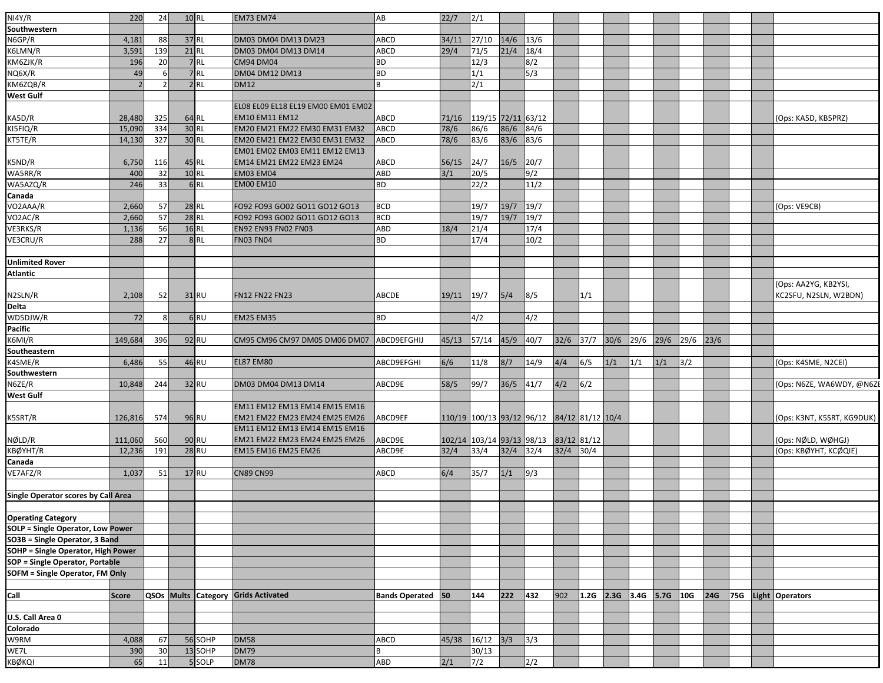| NI4Y/R                                   | 220          | 24      | $10$ RL |         | <b>EM73 EM74</b>                    | AB                       | 22/7  | 2/1                       |      |                     |             |                           |      |      |      |      |      |  |                            |
|------------------------------------------|--------------|---------|---------|---------|-------------------------------------|--------------------------|-------|---------------------------|------|---------------------|-------------|---------------------------|------|------|------|------|------|--|----------------------------|
| Southwestern                             |              |         |         |         |                                     |                          |       |                           |      |                     |             |                           |      |      |      |      |      |  |                            |
| N6GP/R                                   | 4,181        | 88      | 37 RL   |         | DM03 DM04 DM13 DM23                 | ABCD                     | 34/11 | 27/10                     | 14/6 | 13/6                |             |                           |      |      |      |      |      |  |                            |
|                                          |              | 139     | 21 RL   |         |                                     |                          |       |                           | 21/4 |                     |             |                           |      |      |      |      |      |  |                            |
| K6LMN/R                                  | 3,591        |         |         | 7RL     | DM03 DM04 DM13 DM14                 | ABCD                     | 29/4  | 71/5                      |      | 18/4                |             |                           |      |      |      |      |      |  |                            |
| KM6ZJK/R                                 | 196          | 20<br>6 |         | 7RL     | <b>CM94 DM04</b>                    | BD                       |       | 12/3                      |      | 8/2<br>$\sqrt{5/3}$ |             |                           |      |      |      |      |      |  |                            |
| NQ6X/R                                   | 49           |         |         |         | DM04 DM12 DM13                      | <b>BD</b>                |       | 1/1                       |      |                     |             |                           |      |      |      |      |      |  |                            |
| KM6ZQB/R                                 |              |         |         | $2$ RL  | <b>DM12</b>                         |                          |       | 2/1                       |      |                     |             |                           |      |      |      |      |      |  |                            |
| West Gulf                                |              |         |         |         |                                     |                          |       |                           |      |                     |             |                           |      |      |      |      |      |  |                            |
|                                          |              |         |         |         | EL08 EL09 EL18 EL19 EM00 EM01 EM02  |                          |       |                           |      |                     |             |                           |      |      |      |      |      |  |                            |
| KA5D/R                                   | 28,480       | 325     |         | 64 RL   | <b>EM10 EM11 EM12</b>               | ABCD                     | 71/16 | 119/15 72/11 63/12        |      |                     |             |                           |      |      |      |      |      |  | (Ops: KA5D, KB5PRZ)        |
| KI5FIQ/R                                 | 15,090       | 334     | 30 RL   |         | EM20 EM21 EM22 EM30 EM31 EM32       | ABCD                     | 78/6  | 86/6                      | 86/6 | 84/6                |             |                           |      |      |      |      |      |  |                            |
| KT5TE/R                                  | 14,130       | 327     | 30 RL   |         | EM20 EM21 EM22 EM30 EM31 EM32       | ABCD                     | 78/6  | 83/6                      | 83/6 | 83/6                |             |                           |      |      |      |      |      |  |                            |
|                                          |              |         |         |         | EM01 EM02 EM03 EM11 EM12 EM13       |                          |       |                           |      |                     |             |                           |      |      |      |      |      |  |                            |
| K5ND/R                                   | 6,750        | 116     | 45 RL   |         | EM14 EM21 EM22 EM23 EM24            | <b>ABCD</b>              | 56/15 | 24/7                      | 16/5 | 20/7                |             |                           |      |      |      |      |      |  |                            |
| WA5RR/R                                  | 400          | 32      | $10$ RL |         | <b>EM03 EM04</b>                    | ABD                      | 3/1   | 20/5                      |      | 9/2                 |             |                           |      |      |      |      |      |  |                            |
| WA5AZQ/R                                 | 246          | 33      |         | 6RL     | <b>EM00 EM10</b>                    | <b>BD</b>                |       | 22/2                      |      | 11/2                |             |                           |      |      |      |      |      |  |                            |
| Canada                                   |              |         |         |         |                                     |                          |       |                           |      |                     |             |                           |      |      |      |      |      |  |                            |
| VO2AAA/R                                 | 2,660        | 57      | $28$ RL |         | FO92 FO93 GO02 GO11 GO12 GO13       | <b>BCD</b>               |       | 19/7                      | 19/7 | 19/7                |             |                           |      |      |      |      |      |  | (Ops: VE9CB)               |
| VO2AC/R                                  | 2,660        | 57      | $28$ RL |         | FO92 FO93 GO02 GO11 GO12 GO13       | <b>BCD</b>               |       | 19/7                      | 19/7 | 19/7                |             |                           |      |      |      |      |      |  |                            |
| VE3RKS/R                                 | 1,136        | 56      | $16$ RL |         | <b>EN92 EN93 FN02 FN03</b>          | ABD                      | 18/4  | 21/4                      |      | 17/4                |             |                           |      |      |      |      |      |  |                            |
| VE3CRU/R                                 | 288          | 27      |         | 8RL     | <b>FN03 FN04</b>                    | <b>BD</b>                |       | 17/4                      |      | 10/2                |             |                           |      |      |      |      |      |  |                            |
|                                          |              |         |         |         |                                     |                          |       |                           |      |                     |             |                           |      |      |      |      |      |  |                            |
| <b>Unlimited Rover</b>                   |              |         |         |         |                                     |                          |       |                           |      |                     |             |                           |      |      |      |      |      |  |                            |
| Atlantic                                 |              |         |         |         |                                     |                          |       |                           |      |                     |             |                           |      |      |      |      |      |  |                            |
|                                          |              |         |         |         |                                     |                          |       |                           |      |                     |             |                           |      |      |      |      |      |  | (Ops: AA2YG, KB2YSI,       |
| N2SLN/R                                  | 2,108        | 52      |         | 31 RU   | <b>FN12 FN22 FN23</b>               | ABCDE                    | 19/11 | 19/7                      | 5/4  | 8/5                 |             | 1/1                       |      |      |      |      |      |  | KC2SFU, N2SLN, W2BDN)      |
| Delta                                    |              |         |         |         |                                     |                          |       |                           |      |                     |             |                           |      |      |      |      |      |  |                            |
| WD5DJW/R                                 | 72           | 8       |         | 6RU     | <b>EM25 EM35</b>                    | <b>BD</b>                |       | 4/2                       |      | 4/2                 |             |                           |      |      |      |      |      |  |                            |
| Pacific                                  |              |         |         |         |                                     |                          |       |                           |      |                     |             |                           |      |      |      |      |      |  |                            |
| K6MI/R                                   | 149,684      | 396     |         | 92 RU   | CM95 CM96 CM97 DM05 DM06 DM07       | ABCD9EFGHIJ              | 45/13 | 57/14                     | 45/9 | 40/7                | $32/6$ 37/7 |                           | 30/6 | 29/6 | 29/6 | 29/6 | 23/6 |  |                            |
| Southeastern                             |              |         |         |         |                                     |                          |       |                           |      |                     |             |                           |      |      |      |      |      |  |                            |
| K4SME/R                                  | 6,486        | 55      |         | 46 RU   | <b>EL87 EM80</b>                    | ABCD9EFGHI               | 6/6   | 11/8                      | 8/7  | 14/9                | 4/4         | 6/5                       | 1/1  | 1/1  | 1/1  | 3/2  |      |  | (Ops: K4SME, N2CEI)        |
| Southwestern                             |              |         |         |         |                                     |                          |       |                           |      |                     |             |                           |      |      |      |      |      |  |                            |
| N6ZE/R                                   | 10,848       | 244     |         | 32 RU   | DM03 DM04 DM13 DM14                 | ABCD9E                   | 58/5  | 99/7                      | 36/5 | 41/7                | 4/2         | 6/2                       |      |      |      |      |      |  | (Ops: N6ZE, WA6WDY, @N6ZE  |
| West Gulf                                |              |         |         |         |                                     |                          |       |                           |      |                     |             |                           |      |      |      |      |      |  |                            |
|                                          |              |         |         |         | EM11 EM12 EM13 EM14 EM15 EM16       |                          |       |                           |      |                     |             |                           |      |      |      |      |      |  |                            |
| K5SRT/R                                  | 126,816      | 574     |         | 96 RU   | EM21 EM22 EM23 EM24 EM25 EM26       | ABCD9EF                  |       | 110/19 100/13 93/12 96/12 |      |                     |             | 84/12 81/12 10/4          |      |      |      |      |      |  | (Ops: K3NT, K5SRT, KG9DUK) |
|                                          |              |         |         |         | EM11 EM12 EM13 EM14 EM15 EM16       |                          |       |                           |      |                     |             |                           |      |      |      |      |      |  |                            |
| NØLD/R                                   | 111,060      | 560     |         | 90 RU   | EM21 EM22 EM23 EM24 EM25 EM26       | ABCD9E                   |       | 102/14 103/14 93/13 98/13 |      |                     | 83/12 81/12 |                           |      |      |      |      |      |  | (Ops: NØLD, WØHGJ)         |
| KBØYHT/R                                 | 12,236       | 191     |         | 28 RU   | EM15 EM16 EM25 EM26                 | ABCD9E                   | 32/4  | 33/4                      | 32/4 | 32/4                | 32/4        | 30/4                      |      |      |      |      |      |  | (Ops: KBØYHT, KCØQIE)      |
| Canada                                   |              |         |         |         |                                     |                          |       |                           |      |                     |             |                           |      |      |      |      |      |  |                            |
| VE7AFZ/R                                 | 1,037        | 51      |         | 17 RU   | <b>CN89 CN99</b>                    | ABCD                     | 6/4   | 35/7                      | 1/1  | 9/3                 |             |                           |      |      |      |      |      |  |                            |
|                                          |              |         |         |         |                                     |                          |       |                           |      |                     |             |                           |      |      |      |      |      |  |                            |
| Single Operator scores by Call Area      |              |         |         |         |                                     |                          |       |                           |      |                     |             |                           |      |      |      |      |      |  |                            |
|                                          |              |         |         |         |                                     |                          |       |                           |      |                     |             |                           |      |      |      |      |      |  |                            |
| <b>Operating Category</b>                |              |         |         |         |                                     |                          |       |                           |      |                     |             |                           |      |      |      |      |      |  |                            |
| <b>SOLP = Single Operator, Low Power</b> |              |         |         |         |                                     |                          |       |                           |      |                     |             |                           |      |      |      |      |      |  |                            |
| SO3B = Single Operator, 3 Band           |              |         |         |         |                                     |                          |       |                           |      |                     |             |                           |      |      |      |      |      |  |                            |
| SOHP = Single Operator, High Power       |              |         |         |         |                                     |                          |       |                           |      |                     |             |                           |      |      |      |      |      |  |                            |
| <b>SOP = Single Operator, Portable</b>   |              |         |         |         |                                     |                          |       |                           |      |                     |             |                           |      |      |      |      |      |  |                            |
| <b>SOFM = Single Operator, FM Only</b>   |              |         |         |         |                                     |                          |       |                           |      |                     |             |                           |      |      |      |      |      |  |                            |
|                                          |              |         |         |         |                                     |                          |       |                           |      |                     |             |                           |      |      |      |      |      |  |                            |
| Call                                     | <b>Score</b> |         |         |         | QSOs Mults Category Grids Activated | <b>Bands Operated</b> 50 |       | 144                       | 222  | 432                 | 902         | $1.2G$ 2.3G 3.4G 5.7G 10G |      |      |      |      | 24G  |  | 75G Light Operators        |
|                                          |              |         |         |         |                                     |                          |       |                           |      |                     |             |                           |      |      |      |      |      |  |                            |
| U.S. Call Area 0                         |              |         |         |         |                                     |                          |       |                           |      |                     |             |                           |      |      |      |      |      |  |                            |
| Colorado                                 |              |         |         |         |                                     |                          |       |                           |      |                     |             |                           |      |      |      |      |      |  |                            |
| W9RM                                     | 4,088        | 67      |         | 56 SOHP | <b>DM58</b>                         | ABCD                     | 45/38 | $16/12$ $3/3$             |      | 3/3                 |             |                           |      |      |      |      |      |  |                            |
| WE7L                                     | 390          | 30      |         | 13 SOHP | <b>DM79</b>                         |                          |       | 30/13                     |      |                     |             |                           |      |      |      |      |      |  |                            |
| KBØKQI                                   | 65           | 11      |         | 5 SOLP  | <b>DM78</b>                         | ABD                      | 2/1   | 7/2                       |      | $\sqrt{2/2}$        |             |                           |      |      |      |      |      |  |                            |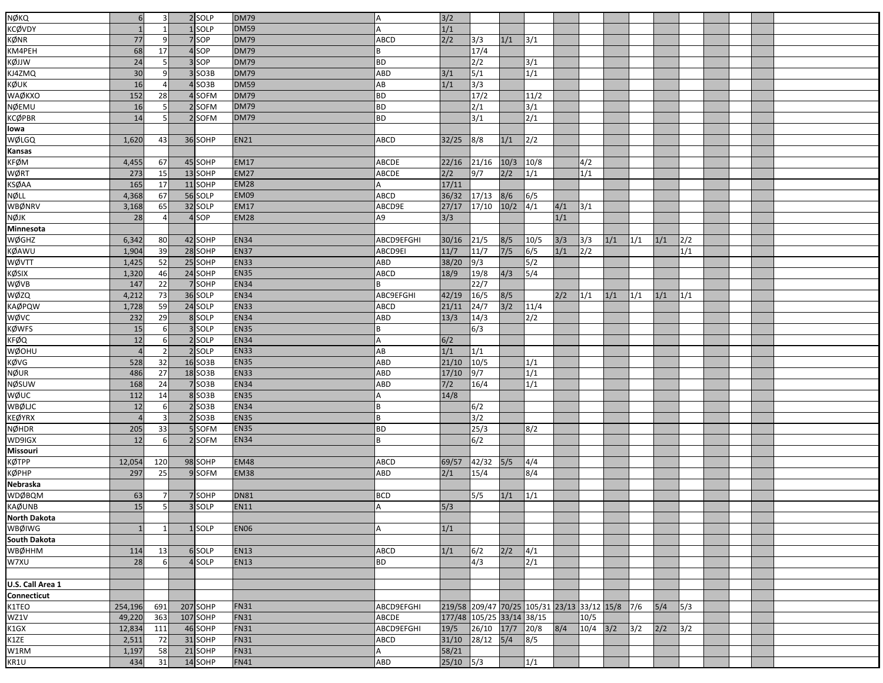| <b>NØKQ</b>         | 6              | 3              | 2 SOLP   | <b>DM79</b> |            | $3/2$                     |               |               |                                             |     |      |     |     |     |     |  |  |
|---------------------|----------------|----------------|----------|-------------|------------|---------------------------|---------------|---------------|---------------------------------------------|-----|------|-----|-----|-----|-----|--|--|
| <b>KCØVDY</b>       | $\mathbf{1}$   |                | 1SOLP    | <b>DM59</b> | А          | 1/1                       |               |               |                                             |     |      |     |     |     |     |  |  |
| KØNR                | 77             | 9              | 7 SOP    | <b>DM79</b> | ABCD       | 2/2                       | 3/3           | 1/1           | 3/1                                         |     |      |     |     |     |     |  |  |
| KM4PEH              | 68             | 17             | 4 SOP    | <b>DM79</b> |            |                           | 17/4          |               |                                             |     |      |     |     |     |     |  |  |
| KØJJW               | 24             | 5              | 3 SOP    | <b>DM79</b> | ВD         |                           | 2/2           |               | 3/1                                         |     |      |     |     |     |     |  |  |
| KJ4ZMQ              | 30             | 9              | $3$ SO3B | <b>DM79</b> | ABD        | 3/1                       | 5/1           |               | 1/1                                         |     |      |     |     |     |     |  |  |
| KØUK                | 16             |                | 4SO3B    | <b>DM59</b> | AB         | 1/1                       | 3/3           |               |                                             |     |      |     |     |     |     |  |  |
| WAØKXO              | 152            | 28             | 4 SOFM   | <b>DM79</b> | ВD         |                           | 17/2          |               | 11/2                                        |     |      |     |     |     |     |  |  |
| <b>NØEMU</b>        | 16             | 5              | 2 SOFM   | <b>DM79</b> | <b>BD</b>  |                           | 2/1           |               | 3/1                                         |     |      |     |     |     |     |  |  |
| <b>KCØPBR</b>       | 14             | 5              | 2 SOFM   | <b>DM79</b> | ВD         |                           | 3/1           |               | $\sqrt{2/1}$                                |     |      |     |     |     |     |  |  |
| lowa                |                |                |          |             |            |                           |               |               |                                             |     |      |     |     |     |     |  |  |
| WØLGQ               | 1,620          | 43             | 36 SOHP  | <b>EN21</b> | ABCD       | 32/25                     | 8/8           | 1/1           | 2/2                                         |     |      |     |     |     |     |  |  |
| Kansas              |                |                |          |             |            |                           |               |               |                                             |     |      |     |     |     |     |  |  |
| KFØM                | 4,455          | 67             | 45 SOHP  | <b>EM17</b> | ABCDE      | 22/16                     | 21/16         | 10/3          | 10/8                                        |     | 4/2  |     |     |     |     |  |  |
| WØRT                | 273            | 15             | 13 SOHP  | <b>EM27</b> | ABCDE      | 2/2                       | 9/7           | 2/2           | 1/1                                         |     | 1/1  |     |     |     |     |  |  |
| <b>KSØAA</b>        | 165            | 17             | 11 SOHP  | <b>EM28</b> |            | 17/11                     |               |               |                                             |     |      |     |     |     |     |  |  |
| NØLL                | 4,368          | 67             | 56 SOLP  | <b>EM09</b> | ABCD       | 36/32                     | 17/13         | 8/6           | 6/5                                         |     |      |     |     |     |     |  |  |
|                     |                | 65             | 32 SOLP  | <b>EM17</b> | ABCD9E     | 27/17                     |               | $10/2$        | $\sqrt{4/1}$                                |     |      |     |     |     |     |  |  |
| WBØNRV              | 3,168<br>28    |                | 4 SOP    | <b>EM28</b> | A9         |                           | 17/10         |               |                                             | 4/1 | 3/1  |     |     |     |     |  |  |
| NØJK                |                |                |          |             |            | 3/3                       |               |               |                                             | 1/1 |      |     |     |     |     |  |  |
| Minnesota           |                |                |          | <b>EN34</b> |            |                           |               |               |                                             |     |      |     |     |     |     |  |  |
| WØGHZ               | 6,342          | 80             | 42 SOHP  |             | ABCD9EFGHI | 30/16                     | 21/5          | 8/5           | 10/5                                        | 3/3 | 3/3  | 1/1 | 1/1 | 1/1 | 2/2 |  |  |
| <b>KØAWU</b>        | 1,904          | 39             | 28 SOHP  | <b>EN37</b> | ABCD9EI    | 11/7                      | 11/7          | $7/5$         | 6/5                                         | 1/1 | 2/2  |     |     |     | 1/1 |  |  |
| WØVTT               | 1,425          | 52             | 25 SOHP  | <b>EN33</b> | ABD        | 38/20                     | $\sqrt{9/3}$  |               | 5/2                                         |     |      |     |     |     |     |  |  |
| KØSIX               | 1,320          | 46             | 24 SOHP  | <b>EN35</b> | ABCD       | 18/9                      | 19/8          | 4/3           | 5/4                                         |     |      |     |     |     |     |  |  |
| WØVB                | 147            | 22             | 7 SOHP   | <b>EN34</b> |            |                           | 22/7          |               |                                             |     |      |     |     |     |     |  |  |
| WØZQ                | 4,212          | 73             | 36 SOLP  | <b>EN34</b> | ABC9EFGHI  | 42/19                     | 16/5          | 8/5           |                                             | 2/2 | 1/1  | 1/1 | 1/1 | 1/1 | 1/1 |  |  |
| <b>KAØPQW</b>       | 1,728          | 59             | 24 SOLP  | <b>EN33</b> | ABCD       | 21/11                     | $\sqrt{24/7}$ | 3/2           | 11/4                                        |     |      |     |     |     |     |  |  |
| WØVC                | 232            | 29             | 8 SOLP   | <b>EN34</b> | ABD        | 13/3                      | 14/3          |               | 2/2                                         |     |      |     |     |     |     |  |  |
| <b>KØWFS</b>        | 15             | 6              | 3 SOLP   | <b>EN35</b> |            |                           | 6/3           |               |                                             |     |      |     |     |     |     |  |  |
| <b>KFØQ</b>         | 12             | 6              | 2 SOLP   | <b>EN34</b> | А          | 6/2                       |               |               |                                             |     |      |     |     |     |     |  |  |
| WØOHU               | $\overline{4}$ | $\overline{2}$ | 2 SOLP   | <b>EN33</b> | AB         | 1/1                       | 1/1           |               |                                             |     |      |     |     |     |     |  |  |
| KØVG                | 528            | 32             | 16 SO3B  | <b>EN35</b> | ABD        | 21/10                     | $10/5$        |               | 1/1                                         |     |      |     |     |     |     |  |  |
| NØUR                | 486            | 27             | 18 SO3B  | <b>EN33</b> | ABD        | 17/10                     | 9/7           |               | 1/1                                         |     |      |     |     |     |     |  |  |
| NØSUW               | 168            | 24             | 7 SO3B   | <b>EN34</b> | ABD        | $7/2$                     | 16/4          |               | 1/1                                         |     |      |     |     |     |     |  |  |
| <b>WØUC</b>         | 112            | 14             | 8 SO3B   | <b>EN35</b> |            | 14/8                      |               |               |                                             |     |      |     |     |     |     |  |  |
| WBØLJC              | 12             | 6              | $2$ SO3B | <b>EN34</b> | В          |                           | 6/2           |               |                                             |     |      |     |     |     |     |  |  |
| <b>KEØYRX</b>       | $\overline{4}$ | 3              | $2$ SO3B | <b>EN35</b> | B          |                           | 3/2           |               |                                             |     |      |     |     |     |     |  |  |
| <b>NØHDR</b>        | 205            | 33             | 5 SOFM   | <b>EN35</b> | <b>BD</b>  |                           | 25/3          |               | 8/2                                         |     |      |     |     |     |     |  |  |
| WD9IGX              | 12             | 6              | 2 SOFM   | <b>EN34</b> | B          |                           | 6/2           |               |                                             |     |      |     |     |     |     |  |  |
| Missouri            |                |                |          |             |            |                           |               |               |                                             |     |      |     |     |     |     |  |  |
| <b>KØTPP</b>        | 12,054         | 120            | 98 SOHP  | <b>EM48</b> | ABCD       | 69/57                     | 42/32         | $5/5$         | 4/4                                         |     |      |     |     |     |     |  |  |
| КØРНР               | 297            | 25             | 9SOFM    | <b>EM38</b> | ABD        | 2/1                       | 15/4          |               | 8/4                                         |     |      |     |     |     |     |  |  |
| Nebraska            |                |                |          |             |            |                           |               |               |                                             |     |      |     |     |     |     |  |  |
| <b>WDØBQM</b>       | 63             | 7              | 7 SOHP   | <b>DN81</b> | <b>BCD</b> |                           | 5/5           | 1/1           | 1/1                                         |     |      |     |     |     |     |  |  |
| <b>KAØUNB</b>       | 15             | $\mathsf{5}$   | 3 SOLP   | <b>EN11</b> | Δ          | 5/3                       |               |               |                                             |     |      |     |     |     |     |  |  |
| <b>North Dakota</b> |                |                |          |             |            |                           |               |               |                                             |     |      |     |     |     |     |  |  |
| WBØIWG              |                | $\mathbf{1}$   | 1SOLP    | <b>EN06</b> | А          | 1/1                       |               |               |                                             |     |      |     |     |     |     |  |  |
|                     |                |                |          |             |            |                           |               |               |                                             |     |      |     |     |     |     |  |  |
| <b>South Dakota</b> |                |                |          |             |            |                           |               |               |                                             |     |      |     |     |     |     |  |  |
| WBØHHM              | 114            | 13             | 6 SOLP   | <b>EN13</b> | ABCD       | 1/1                       | 6/2           | 2/2           | 4/1                                         |     |      |     |     |     |     |  |  |
| W7XU                | 28             | 6              | 4 SOLP   | <b>EN13</b> | ВD         |                           | 4/3           |               | $\sqrt{2/1}$                                |     |      |     |     |     |     |  |  |
|                     |                |                |          |             |            |                           |               |               |                                             |     |      |     |     |     |     |  |  |
| U.S. Call Area 1    |                |                |          |             |            |                           |               |               |                                             |     |      |     |     |     |     |  |  |
| <b>Connecticut</b>  |                |                |          |             |            |                           |               |               |                                             |     |      |     |     |     |     |  |  |
| K1TEO               | 254,196        | 691            | 207 SOHP | <b>FN31</b> | ABCD9EFGHI |                           |               |               | 219/58 209/47 70/25 105/31 23/13 33/12 15/8 |     |      |     | 7/6 | 5/4 | 5/3 |  |  |
| WZ1V                | 49,220         | 363            | 107 SOHP | <b>FN31</b> | ABCDE      | 177/48 105/25 33/14 38/15 |               |               |                                             |     | 10/5 |     |     |     |     |  |  |
| K1GX                | 12,834         | 111            | 46 SOHP  | <b>FN31</b> | ABCD9EFGHI | 19/5                      | 26/10         | 17/7 20/8     |                                             | 8/4 | 10/4 | 3/2 | 3/2 | 2/2 | 3/2 |  |  |
| K1ZE                | 2,511          | 72             | 31 SOHP  | <b>FN31</b> | ABCD       | 31/10                     | 28/12         | $\frac{5}{4}$ | 8/5                                         |     |      |     |     |     |     |  |  |
| W1RM                | 1,197          | 58             | 21 SOHP  | <b>FN31</b> | А          | 58/21                     |               |               |                                             |     |      |     |     |     |     |  |  |
| KR1U                | 434            | 31             | 14 SOHP  | <b>FN41</b> | <b>ABD</b> | $25/10$ 5/3               |               |               | 1/1                                         |     |      |     |     |     |     |  |  |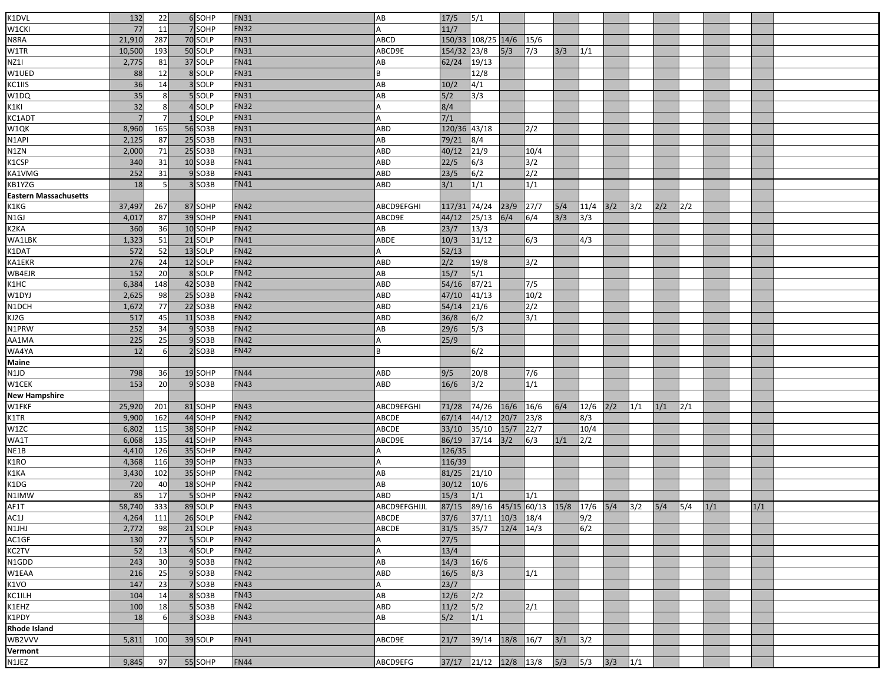| K1DVL                        | 132    | 22    | 6 SOHP              | <b>FN31</b> | AB           | 17/5                                      | 5/1                   |               |              |       |                  |     |              |     |     |     |     |  |
|------------------------------|--------|-------|---------------------|-------------|--------------|-------------------------------------------|-----------------------|---------------|--------------|-------|------------------|-----|--------------|-----|-----|-----|-----|--|
| W1CKI                        | 77     | 11    | 7 SOHP              | <b>FN32</b> |              | 11/7                                      |                       |               |              |       |                  |     |              |     |     |     |     |  |
|                              |        |       |                     |             |              |                                           |                       |               |              |       |                  |     |              |     |     |     |     |  |
| N8RA                         | 21,910 | 287   | 70 SOLP             | <b>FN31</b> | <b>ABCD</b>  | 150/33                                    | 108/25 14/6           |               | 15/6         |       |                  |     |              |     |     |     |     |  |
| W1TR                         | 10,500 | 193   | 50 SOLP             | <b>FN31</b> | ABCD9E       | 154/32 23/8                               |                       | 5/3           | 7/3          | 3/3   | 1/1              |     |              |     |     |     |     |  |
| NZ1I                         | 2,775  | 81    | 37 SOLP             | <b>FN41</b> | AB           | 62/24                                     | 19/13                 |               |              |       |                  |     |              |     |     |     |     |  |
| W1UED                        | 88     | 12    | 8 SOLP              | <b>FN31</b> | R            |                                           | 12/8                  |               |              |       |                  |     |              |     |     |     |     |  |
| KC1IIS                       | 36     | 14    | 3 SOLP              | <b>FN31</b> | AB           | 10/2                                      | 4/1                   |               |              |       |                  |     |              |     |     |     |     |  |
| W1DQ                         | 35     |       | 5 SOLP              | <b>FN31</b> | AB           | 5/2                                       | 3/3                   |               |              |       |                  |     |              |     |     |     |     |  |
| K1KI                         | 32     | 8     | 4 SOLP              | <b>FN32</b> |              | 8/4                                       |                       |               |              |       |                  |     |              |     |     |     |     |  |
| KC1ADT                       |        |       | <b>SOLP</b>         | <b>FN31</b> | А            | $\frac{7}{1}$                             |                       |               |              |       |                  |     |              |     |     |     |     |  |
| W1QK                         | 8,960  | 165   | 56 SO3B             | <b>FN31</b> | ABD          | 120/36 43/18                              |                       |               | 2/2          |       |                  |     |              |     |     |     |     |  |
| N <sub>1</sub> API           | 2,125  | 87    | 25 SO3B             | <b>FN31</b> | AB           | 79/21                                     | 8/4                   |               |              |       |                  |     |              |     |     |     |     |  |
| N1ZN                         | 2,000  | 71    | 25 SO3B             | <b>FN31</b> | ABD          | 40/12                                     | 21/9                  |               | 10/4         |       |                  |     |              |     |     |     |     |  |
| K1CSP                        | 340    | 31    | 10 SO3B             | <b>FN41</b> | ABD          | 22/5                                      | 6/3                   |               | 3/2          |       |                  |     |              |     |     |     |     |  |
| KA1VMG                       | 252    | 31    | $9$ SO3B            | <b>FN41</b> | ABD          | 23/5                                      | 6/2                   |               | 2/2          |       |                  |     |              |     |     |     |     |  |
| KB1YZG                       | 18     | 5     | 3 SO3B              | <b>FN41</b> | ABD          | 3/1                                       | 1/1                   |               | 1/1          |       |                  |     |              |     |     |     |     |  |
| <b>Eastern Massachusetts</b> |        |       |                     |             |              |                                           |                       |               |              |       |                  |     |              |     |     |     |     |  |
| K1KG                         | 37,497 | 267   | 87 SOHP             | <b>FN42</b> | ABCD9EFGHI   | 117/31                                    | 74/24                 | 23/9          | 27/7         | $5/4$ | $11/4$ 3/2       |     | 3/2          | 2/2 | 2/2 |     |     |  |
| N <sub>1</sub> GJ            | 4,017  | 87    | 39 SOHP             | <b>FN41</b> | ABCD9E       | 44/12                                     | 25/13                 | 6/4           | 6/4          | 3/3   | 3/3              |     |              |     |     |     |     |  |
| K2KA                         | 360    | 36    | 10 SOHP             | <b>FN42</b> | AB           | 23/7                                      | 13/3                  |               |              |       |                  |     |              |     |     |     |     |  |
| <b>WA1LBK</b>                | 1,323  | 51    | 21 SOLP             | <b>FN41</b> | ABDE         | $10/3$                                    | 31/12                 |               | 6/3          |       | 4/3              |     |              |     |     |     |     |  |
| K1DAT<br>KA1EKR              | 572    | 52    | 13 SOLP             | <b>FN42</b> | А            | 52/13                                     |                       |               |              |       |                  |     |              |     |     |     |     |  |
|                              | 276    | 24    | 12 SOLP             | <b>FN42</b> | ABD          | 2/2                                       | 19/8                  |               | 3/2          |       |                  |     |              |     |     |     |     |  |
| WB4EJR                       | 152    | 20    | 8 SOLP              | <b>FN42</b> | AB           | 15/7                                      | 5/1                   |               |              |       |                  |     |              |     |     |     |     |  |
| K1HC<br>W1DYJ                | 6,384  | 148   | 42 SO3B             | <b>FN42</b> | ABD          | 54/16                                     | 87/21                 |               | $\sqrt{7/5}$ |       |                  |     |              |     |     |     |     |  |
|                              | 2,625  | 98    | 25 SO3B             | <b>FN42</b> | ABD          | 47/10                                     | 41/13                 |               | 10/2         |       |                  |     |              |     |     |     |     |  |
| N1DCH                        | 1,672  | 77    | 22 SO3B             | <b>FN42</b> | ABD          | 54/14                                     | $21/6$                |               | 2/2          |       |                  |     |              |     |     |     |     |  |
| KJ2G<br>N1PRW                | 517    | 45    | 11 SO3B             | <b>FN42</b> | ABD          | 36/8                                      | 6/2                   |               | 3/1          |       |                  |     |              |     |     |     |     |  |
|                              | 252    | 34    | 9 SO3B              | <b>FN42</b> | AB           | 29/6                                      | 5/3                   |               |              |       |                  |     |              |     |     |     |     |  |
| AA1MA                        | 225    | 25    | 9 SO <sub>3</sub> B | <b>FN42</b> | А            | 25/9                                      |                       |               |              |       |                  |     |              |     |     |     |     |  |
| WA4YA                        | 12     | 6     | $2$ SO3B            | <b>FN42</b> | B            |                                           | 6/2                   |               |              |       |                  |     |              |     |     |     |     |  |
| <b>Maine</b>                 |        |       |                     |             |              |                                           |                       |               |              |       |                  |     |              |     |     |     |     |  |
| N1JD                         | 798    | 36    | 19 SOHP             | <b>FN44</b> | ABD          | 9/5                                       | 20/8                  |               | 7/6          |       |                  |     |              |     |     |     |     |  |
| W1CEK                        | 153    | 20    | $9$ SO3B            | <b>FN43</b> | ABD          | 16/6                                      | 3/2                   |               | 1/1          |       |                  |     |              |     |     |     |     |  |
| <b>New Hampshire</b>         |        |       |                     |             |              |                                           |                       |               |              |       |                  |     |              |     |     |     |     |  |
| W1FKF                        | 25,920 | 201   | 81 SOHP             | <b>FN43</b> | ABCD9EFGHI   | 71/28                                     | 74/26                 | 16/6          | 16/6         | 6/4   | 12/6             | 2/2 | 1/1          | 1/1 | 2/1 |     |     |  |
| K1TR                         | 9,900  | 162   | 44 SOHP             | <b>FN42</b> | ABCDE        | 67/14                                     | 44/12                 | 20/7          | 23/8         |       | 8/3              |     |              |     |     |     |     |  |
| W1ZC                         | 6,802  | 115   | 38 SOHP             | <b>FN42</b> | ABCDE        | 33/10                                     | 35/10                 | 15/7          | 22/7         |       | 10/4             |     |              |     |     |     |     |  |
| WA1T                         | 6,068  | 135   | 41 SOHP             | <b>FN43</b> | ABCD9E       | 86/19                                     | 37/14                 | 3/2           | 6/3          | 1/1   | $\overline{2/2}$ |     |              |     |     |     |     |  |
| NE1B                         | 4,410  | 126   | 35 SOHP             | <b>FN42</b> |              | 126/35                                    |                       |               |              |       |                  |     |              |     |     |     |     |  |
| K1RO                         | 4,368  | 116   | 39 SOHP             | <b>FN33</b> |              | 116/39                                    |                       |               |              |       |                  |     |              |     |     |     |     |  |
| K1KA                         | 3,430  | 102   | 35 SOHP             | <b>FN42</b> | AB           | 81/25                                     | 21/10                 |               |              |       |                  |     |              |     |     |     |     |  |
| K1DG                         | 720    | 40    | 18 SOHP             | <b>FN42</b> | AB           | 30/12                                     | 10/6                  |               |              |       |                  |     |              |     |     |     |     |  |
| N1IMW                        | 85     | 17    | 5 SOHP              | <b>FN42</b> | ABD          | 15/3                                      | 1/1                   |               | 1/1          |       |                  |     |              |     |     |     |     |  |
| AF1T                         | 58,740 | $333$ | 89 SOLP             | <b>FN43</b> | ABCD9EFGHIJL | 87/15 89/16 45/15 60/13 15/8 17/6 5/4 3/2 |                       |               |              |       |                  |     |              | 5/4 | 5/4 | 1/1 | 1/1 |  |
| AC1J<br>N1JHJ                | 4,264  | 111   | 26 SOLP             | <b>FN42</b> | ABCDE        | 37/6                                      | 37/11                 | 10/3          | 18/4         |       | 9/2              |     |              |     |     |     |     |  |
|                              | 2,772  | 98    | 21 SOLP             | <b>FN43</b> | ABCDE        | 31/5                                      | 35/7                  | $12/4$ $14/3$ |              |       | 6/2              |     |              |     |     |     |     |  |
| AC1GF                        | 130    | 27    | 5 SOLP              | <b>FN42</b> |              | 27/5                                      |                       |               |              |       |                  |     |              |     |     |     |     |  |
| KC2TV                        | 52     | 13    | 4 SOLP              | <b>FN42</b> | A            | 13/4                                      |                       |               |              |       |                  |     |              |     |     |     |     |  |
| N1GDD                        | 243    | 30    | $9$ SO3B            | <b>FN42</b> | AB           | 14/3                                      | 16/6                  |               |              |       |                  |     |              |     |     |     |     |  |
| W1EAA                        | 216    | 25    | 9 SO <sub>3</sub> B | <b>FN42</b> | ABD          | 16/5                                      | 8/3                   |               | 1/1          |       |                  |     |              |     |     |     |     |  |
| <b>K1VO</b>                  | 147    | 23    | 7 SO3B              | <b>FN43</b> | А            | 23/7                                      |                       |               |              |       |                  |     |              |     |     |     |     |  |
| KC1ILH                       | 104    | 14    | 8 SO3B              | <b>FN43</b> | AB           | 12/6                                      | 2/2                   |               |              |       |                  |     |              |     |     |     |     |  |
| K1EHZ                        | 100    | 18    | 5 SO3B              | <b>FN42</b> | ABD          | 11/2                                      | 5/2                   |               | 2/1          |       |                  |     |              |     |     |     |     |  |
| K1PDY                        | 18     | 6     | 3 SO3B              | <b>FN43</b> | AB           | 5/2                                       | 1/1                   |               |              |       |                  |     |              |     |     |     |     |  |
| <b>Rhode Island</b>          |        |       |                     |             |              |                                           |                       |               |              |       |                  |     |              |     |     |     |     |  |
| WB2VVV                       | 5,811  | 100   | 39 SOLP             | <b>FN41</b> | ABCD9E       | 21/7                                      | 39/14                 | 18/8          | 16/7         | $3/1$ | 3/2              |     |              |     |     |     |     |  |
| Vermont                      |        |       |                     |             |              |                                           |                       |               |              |       |                  |     |              |     |     |     |     |  |
| N1JEZ                        | 9,845  | 97    | 55 SOHP             | <b>FN44</b> | ABCD9EFG     | 37/17                                     | $21/12$ $12/8$ $13/8$ |               |              | 5/3   | 5/3              | 3/3 | $\sqrt{1/1}$ |     |     |     |     |  |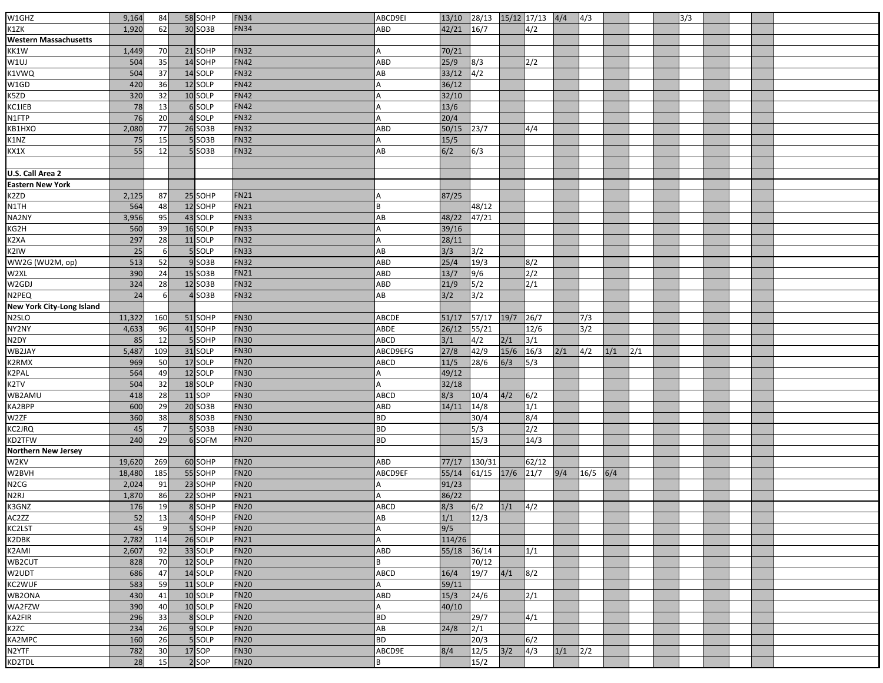| W1GHZ                      | 9,164  | 84             | 58 SOHP  | <b>FN34</b> | ABCD9EI      | 13/10          | 28/13 15/12 17/13 4/4 |               |                          |     | 4/3  |     |     | 3/3 |  |  |  |
|----------------------------|--------|----------------|----------|-------------|--------------|----------------|-----------------------|---------------|--------------------------|-----|------|-----|-----|-----|--|--|--|
| K1ZK                       | 1,920  | 62             | 30 SO3B  | <b>FN34</b> | ABD          | 42/21          | 16/7                  |               | 4/2                      |     |      |     |     |     |  |  |  |
| Western Massachusetts      |        |                |          |             |              |                |                       |               |                          |     |      |     |     |     |  |  |  |
| KK1W                       | 1,449  | 70             | 21 SOHP  | <b>FN32</b> |              | 70/21          |                       |               |                          |     |      |     |     |     |  |  |  |
|                            |        | 35             | 14 SOHP  | <b>FN42</b> | ABD          | 25/9           |                       |               |                          |     |      |     |     |     |  |  |  |
| W1UJ                       | 504    | 37             | 14 SOLP  | <b>FN32</b> | AB           | 33/12          | 8/3<br>$\sqrt{4/2}$   |               | 2/2                      |     |      |     |     |     |  |  |  |
| K1VWQ                      | 504    |                |          | <b>FN42</b> |              |                |                       |               |                          |     |      |     |     |     |  |  |  |
| W1GD                       | 420    | 36             | 12 SOLP  | <b>FN42</b> |              | 36/12          |                       |               |                          |     |      |     |     |     |  |  |  |
| K5ZD                       | 320    | 32             | 10 SOLP  |             |              | 32/10          |                       |               |                          |     |      |     |     |     |  |  |  |
| KC1IEB                     | 78     | 13             | 6 SOLP   | <b>FN42</b> |              | $13/6$         |                       |               |                          |     |      |     |     |     |  |  |  |
| N1FTP                      | 76     | 20             | 4 SOLP   | <b>FN32</b> | А            | 20/4           |                       |               |                          |     |      |     |     |     |  |  |  |
| KB1HXO                     | 2,080  | 77             | 26 SO3B  | <b>FN32</b> | ABD          | 50/15          | $23/7$                |               | 4/4                      |     |      |     |     |     |  |  |  |
| K1NZ                       | 75     | 15             | $5$ SO3B | <b>FN32</b> |              | 15/5           |                       |               |                          |     |      |     |     |     |  |  |  |
| KX1X                       | 55     | 12             | 5 SO3B   | <b>FN32</b> | AB           | 6/2            | 6/3                   |               |                          |     |      |     |     |     |  |  |  |
|                            |        |                |          |             |              |                |                       |               |                          |     |      |     |     |     |  |  |  |
| U.S. Call Area 2           |        |                |          |             |              |                |                       |               |                          |     |      |     |     |     |  |  |  |
| <b>Eastern New York</b>    |        |                |          |             |              |                |                       |               |                          |     |      |     |     |     |  |  |  |
| K2ZD                       | 2,125  | 87             | 25 SOHP  | <b>FN21</b> |              | 87/25          |                       |               |                          |     |      |     |     |     |  |  |  |
| N1TH                       | 564    | 48             | 12 SOHP  | <b>FN21</b> |              |                | 48/12                 |               |                          |     |      |     |     |     |  |  |  |
| NA2NY                      | 3,956  | 95             | 43 SOLP  | <b>FN33</b> | AB           | 48/22          | 47/21                 |               |                          |     |      |     |     |     |  |  |  |
| KG2H                       | 560    | 39             | 16 SOLP  | <b>FN33</b> |              | 39/16          |                       |               |                          |     |      |     |     |     |  |  |  |
| K2XA                       | 297    | 28             | 11 SOLP  | <b>FN32</b> |              | 28/11          |                       |               |                          |     |      |     |     |     |  |  |  |
| K2IW                       | 25     | 6              | 5 SOLP   | <b>FN33</b> | AB           | 3/3            | $3/2$                 |               |                          |     |      |     |     |     |  |  |  |
| WW2G (WU2M, op)            | 513    | 52             | $9$ SO3B | <b>FN32</b> | ABD          | 25/4           | 19/3                  |               | 8/2                      |     |      |     |     |     |  |  |  |
| W2XL                       | 390    | 24             | 15 SO3B  | <b>FN21</b> | ABD          | 13/7           | $\overline{9/6}$      |               | 2/2                      |     |      |     |     |     |  |  |  |
| W2GDJ                      | 324    | 28             | 12 SO3B  | <b>FN32</b> | ABD          | 21/9           | 5/2                   |               | 2/1                      |     |      |     |     |     |  |  |  |
| N2PEQ                      | 24     | 6              | $4$ SO3B | <b>FN32</b> | AB           | 3/2            | 3/2                   |               |                          |     |      |     |     |     |  |  |  |
| New York City-Long Island  |        |                |          |             |              |                |                       |               |                          |     |      |     |     |     |  |  |  |
| N2SLO                      | 11,322 | 160            | 51 SOHP  | <b>FN30</b> | <b>ABCDE</b> | 51/17          | 57/17                 | $19/7$        | 26/7                     |     | 7/3  |     |     |     |  |  |  |
| NY2NY                      | 4,633  | 96             | 41 SOHP  | <b>FN30</b> | ABDE         | 26/12          | 55/21                 |               | 12/6                     |     | 3/2  |     |     |     |  |  |  |
| N2DY                       | 85     | 12             | 5 SOHP   | <b>FN30</b> | ABCD         | 3/1            | 4/2                   | 2/1           | $\overline{\frac{3}{1}}$ |     |      |     |     |     |  |  |  |
| WB2JAY                     | 5,487  | 109            | 31 SOLP  | <b>FN30</b> | ABCD9EFG     | 27/8           | 42/9                  | $15/6$ $16/3$ |                          | 2/1 | 4/2  | 1/1 | 2/1 |     |  |  |  |
| K2RMX                      | 969    | 50             | 17 SOLP  | <b>FN20</b> | ABCD         | $11/5$         | 28/6                  | 6/3           | 5/3                      |     |      |     |     |     |  |  |  |
| K2PAL                      | 564    | 49             | 12 SOLP  | <b>FN30</b> |              | 49/12          |                       |               |                          |     |      |     |     |     |  |  |  |
| K2TV                       | 504    | 32             | 18 SOLP  | <b>FN30</b> | A            | 32/18          |                       |               |                          |     |      |     |     |     |  |  |  |
| WB2AMU                     | 418    | 28             | $11$ SOP | <b>FN30</b> | ABCD         | 8/3            | 10/4                  | 4/2           | $\sqrt{6/2}$             |     |      |     |     |     |  |  |  |
| KA2BPP                     | 600    | 29             | 20 SO3B  | <b>FN30</b> | ABD          | 14/11          | 14/8                  |               | 1/1                      |     |      |     |     |     |  |  |  |
| W2ZF                       | 360    | 38             | 8 SO3B   | <b>FN30</b> | ВD           |                | 30/4                  |               | 8/4                      |     |      |     |     |     |  |  |  |
| KC2JRQ                     | 45     | $\overline{7}$ | 5 SO3B   | <b>FN30</b> | <b>BD</b>    |                | 5/3                   |               | $\sqrt{2/2}$             |     |      |     |     |     |  |  |  |
| KD2TFW                     | 240    | 29             | 6 SOFM   | <b>FN20</b> | <b>BD</b>    |                | 15/3                  |               | 14/3                     |     |      |     |     |     |  |  |  |
| <b>Northern New Jersey</b> |        |                |          |             |              |                |                       |               |                          |     |      |     |     |     |  |  |  |
| W2KV                       | 19,620 | 269            | 60 SOHP  | <b>FN20</b> | ABD          | 77/17          | 130/31                |               | 62/12                    |     |      |     |     |     |  |  |  |
|                            |        |                | 55 SOHP  | <b>FN20</b> | ABCD9EF      |                | 61/15                 | $17/6$        | 21/7                     |     |      | 6/4 |     |     |  |  |  |
| W2BVH                      | 18,480 | 185            | 23 SOHP  | <b>FN20</b> |              | 55/14<br>91/23 |                       |               |                          | 9/4 | 16/5 |     |     |     |  |  |  |
| N2CG<br>N2RJ               | 2,024  | 91             | 22 SOHP  | <b>FN21</b> |              | 86/22          |                       |               |                          |     |      |     |     |     |  |  |  |
|                            | 1,870  | 86             |          |             |              |                |                       |               |                          |     |      |     |     |     |  |  |  |
| K3GNZ                      | 176    | 19             | 8 SOHP   | <b>FN20</b> | <b>ABCD</b>  | 8/3            | $\frac{6}{2}$         | 1/1           | 4/2                      |     |      |     |     |     |  |  |  |
| AC2ZZ                      | 52     | 13             | 4SOHP    | <b>FN20</b> | AB           | 1/1            | 12/3                  |               |                          |     |      |     |     |     |  |  |  |
| KC2LST                     | 45     | 9              | 5 SOHP   | <b>FN20</b> | А            | 9/5            |                       |               |                          |     |      |     |     |     |  |  |  |
| K2DBK                      | 2,782  | 114            | 26 SOLP  | <b>FN21</b> | А            | 114/26         |                       |               |                          |     |      |     |     |     |  |  |  |
| K2AMI                      | 2,607  | 92             | 33 SOLP  | <b>FN20</b> | ABD          | 55/18          | 36/14                 |               | 1/1                      |     |      |     |     |     |  |  |  |
| WB2CUT                     | 828    | 70             | 12 SOLP  | <b>FN20</b> | R            |                | 70/12                 |               |                          |     |      |     |     |     |  |  |  |
| W2UDT                      | 686    | 47             | 14 SOLP  | <b>FN20</b> | <b>ABCD</b>  | 16/4           | 19/7                  | 4/1           | 8/2                      |     |      |     |     |     |  |  |  |
| KC2WUF                     | 583    | 59             | 11 SOLP  | <b>FN20</b> |              | 59/11          |                       |               |                          |     |      |     |     |     |  |  |  |
| WB2ONA                     | 430    | 41             | 10 SOLP  | <b>FN20</b> | ABD          | 15/3           | 24/6                  |               | 2/1                      |     |      |     |     |     |  |  |  |
| WA2FZW                     | 390    | 40             | 10 SOLP  | <b>FN20</b> | A            | 40/10          |                       |               |                          |     |      |     |     |     |  |  |  |
| KA2FIR                     | 296    | 33             | 8 SOLP   | <b>FN20</b> | <b>BD</b>    |                | 29/7                  |               | 4/1                      |     |      |     |     |     |  |  |  |
| K2ZC                       | 234    | 26             | 9 SOLP   | <b>FN20</b> | AB           | 24/8           | 2/1                   |               |                          |     |      |     |     |     |  |  |  |
| KA2MPC                     | 160    | 26             | 5 SOLP   | <b>FN20</b> | <b>BD</b>    |                | 20/3                  |               | 6/2                      |     |      |     |     |     |  |  |  |
| N2YTF                      | 782    | 30             | 17 SOP   | <b>FN30</b> | ABCD9E       | 8/4            | 12/5                  | 3/2           | $\sqrt{4/3}$             | 1/1 | 2/2  |     |     |     |  |  |  |
| KD2TDL                     | 28     | 15             | 2 SOP    | <b>FN20</b> |              |                | 15/2                  |               |                          |     |      |     |     |     |  |  |  |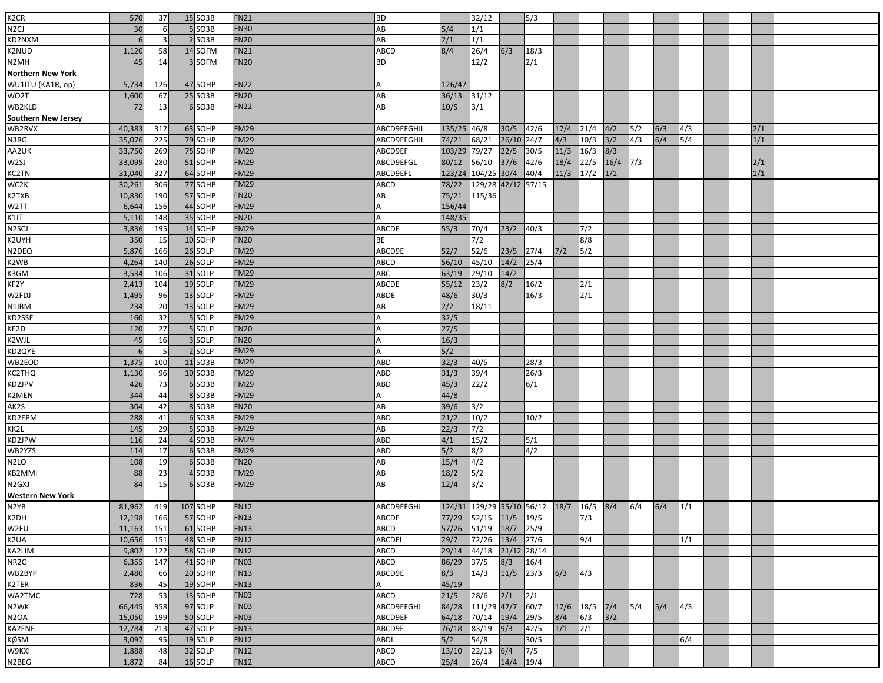| K <sub>2</sub> CR          |            | 37       | 15 SO3B  | <b>FN21</b> | BD          |             | 32/12              |                |                                         |             |      |      |     |     |               |  |     |  |
|----------------------------|------------|----------|----------|-------------|-------------|-------------|--------------------|----------------|-----------------------------------------|-------------|------|------|-----|-----|---------------|--|-----|--|
| N <sub>2</sub> CJ          | 570<br>30  |          | $5$ SO3B | <b>FN30</b> | AB          | 5/4         | 1/1                |                | 5/3                                     |             |      |      |     |     |               |  |     |  |
|                            |            |          |          |             |             |             |                    |                |                                         |             |      |      |     |     |               |  |     |  |
| KD2NXM                     | 6          | 3        | $2$ SO3B | <b>FN20</b> | AB          | 2/1         | 1/1                |                |                                         |             |      |      |     |     |               |  |     |  |
| K2NUD                      | 1,120      | 58       | 14 SOFM  | <b>FN21</b> | ABCD        | 8/4         | 26/4               | 6/3            | 18/3                                    |             |      |      |     |     |               |  |     |  |
| N2MH                       | 45         | 14       | 3 SOFM   | <b>FN20</b> | ВD          |             | 12/2               |                | 2/1                                     |             |      |      |     |     |               |  |     |  |
| <b>Northern New York</b>   |            |          |          |             |             |             |                    |                |                                         |             |      |      |     |     |               |  |     |  |
| WU1ITU (KA1R, op)          | 5,734      | 126      | 47 SOHP  | <b>FN22</b> |             | 126/47      |                    |                |                                         |             |      |      |     |     |               |  |     |  |
| WO2T                       | 1,600      | 67       | 25 SO3B  | <b>FN20</b> | AB          | 36/13       | 31/12              |                |                                         |             |      |      |     |     |               |  |     |  |
| WB2KLD                     | 72         | 13       | $6$ SO3B | <b>FN22</b> | AB          | 10/5        | 3/1                |                |                                         |             |      |      |     |     |               |  |     |  |
| <b>Southern New Jersey</b> |            |          |          |             |             |             |                    |                |                                         |             |      |      |     |     |               |  |     |  |
| WB2RVX                     | 40,383     | 312      | 63 SOHP  | <b>FM29</b> | ABCD9EFGHIL | 135/25 46/8 |                    | 30/5 42/6      |                                         | 17/4        | 21/4 | 4/2  | 5/2 | 6/3 | $\frac{4}{3}$ |  | 2/1 |  |
| N3RG                       | 35,076     | 225      | 79 SOHP  | <b>FM29</b> | ABCD9EFGHIL | 74/21       | 68/21              | 26/10 24/7     |                                         | 4/3         | 10/3 | 3/2  | 4/3 | 6/4 | 5/4           |  | 1/1 |  |
| AA2UK                      | 33,750     | 269      | 75 SOHP  | <b>FM29</b> | ABCD9EF     | 103/29      | 79/27              | 22/5           | 30/5                                    | 11/3        | 16/3 | 8/3  |     |     |               |  |     |  |
| W <sub>2SJ</sub>           | 33,099     | 280      | 51 SOHP  | <b>FM29</b> | ABCD9EFGL   | 80/12       | 56/10              | $\frac{37}{6}$ | $\sqrt{42/6}$                           | 18/4        | 22/5 | 16/4 | 7/3 |     |               |  | 2/1 |  |
| <b>KC2TN</b>               | 31,040     | 327      | 64 SOHP  | <b>FM29</b> | ABCD9EFL    | 123/24      | 104/25 30/4        |                | $\sqrt{40/4}$                           | $11/3$ 17/2 |      | 1/1  |     |     |               |  | 1/1 |  |
| WC2K                       | 30,261     | 306      | 77 SOHP  | <b>FM29</b> | ABCD        | 78/22       | 129/28 42/12 57/15 |                |                                         |             |      |      |     |     |               |  |     |  |
| K2TXB                      | 10,830     | 190      | 57 SOHP  | <b>FN20</b> | AB          | 75/21       | 115/36             |                |                                         |             |      |      |     |     |               |  |     |  |
| W <sub>2</sub> TT          | 6,644      | 156      | 44 SOHP  | <b>FM29</b> |             | 156/44      |                    |                |                                         |             |      |      |     |     |               |  |     |  |
| K1JT                       | 5,110      | 148      | 35 SOHP  | <b>FN20</b> |             | 148/35      |                    |                |                                         |             |      |      |     |     |               |  |     |  |
| N <sub>2</sub> SCJ         | 3,836      | 195      | 14 SOHP  | <b>FM29</b> | ABCDE       | 55/3        | 70/4               | 23/2           | 40/3                                    |             | 7/2  |      |     |     |               |  |     |  |
| K2UYH                      | 350        | 15       | 10 SOHP  | <b>FN20</b> | ВE          |             | 7/2                |                |                                         |             | 8/8  |      |     |     |               |  |     |  |
| N2DEQ                      | 5,876      | 166      | 26 SOLP  | <b>FM29</b> | ABCD9E      | 52/7        | $\frac{52}{6}$     | $23/5$ 27/4    |                                         | $7/2$       | 5/2  |      |     |     |               |  |     |  |
| K2WB                       | 4,264      | 140      | 26 SOLP  | <b>FM29</b> | ABCD        | 56/10       | 45/10              | $14/2$         | 25/4                                    |             |      |      |     |     |               |  |     |  |
| K3GM                       | 3,534      | 106      | 31 SOLP  | <b>FM29</b> | ABC         | 63/19       | 29/10              | 14/2           |                                         |             |      |      |     |     |               |  |     |  |
| KF2Y                       | 2,413      | 104      | 19 SOLP  | <b>FM29</b> | ABCDE       | 55/12       | 23/2               | 8/2            | 16/2                                    |             | 2/1  |      |     |     |               |  |     |  |
| W2FDJ                      | 1,495      | 96       | 13 SOLP  | <b>FM29</b> | ABDE        | 48/6        | 30/3               |                | 16/3                                    |             | 2/1  |      |     |     |               |  |     |  |
| N1IBM                      | 234        | 20       | 13 SOLP  | <b>FM29</b> | AB          | 2/2         | 18/11              |                |                                         |             |      |      |     |     |               |  |     |  |
|                            |            |          | 5 SOLP   | <b>FM29</b> |             | 32/5        |                    |                |                                         |             |      |      |     |     |               |  |     |  |
| KD2SSE<br>KE2D             | 160<br>120 | 32<br>27 | 5 SOLP   | <b>FN20</b> |             | 27/5        |                    |                |                                         |             |      |      |     |     |               |  |     |  |
|                            |            |          |          |             |             |             |                    |                |                                         |             |      |      |     |     |               |  |     |  |
| K2WJL                      | 45         | 16       | 3 SOLP   | <b>FN20</b> |             | 16/3        |                    |                |                                         |             |      |      |     |     |               |  |     |  |
| KD2QYE                     | 6          | -5       | 2 SOLP   | <b>FM29</b> |             | 5/2         |                    |                |                                         |             |      |      |     |     |               |  |     |  |
| WB2EOD                     | 1,375      | 100      | 11 SO3B  | <b>FM29</b> | ABD         | 32/3        | 40/5               |                | 28/3                                    |             |      |      |     |     |               |  |     |  |
| KC2THQ                     | 1,130      | 96       | 10 SO3B  | <b>FM29</b> | ABD         | 31/3        | 39/4               |                | 26/3                                    |             |      |      |     |     |               |  |     |  |
| KD2JPV                     | 426        | 73       | 6 SO3B   | <b>FM29</b> | ABD         | 45/3        | 22/2               |                | 6/1                                     |             |      |      |     |     |               |  |     |  |
| K2MEN                      | 344        | 44       | 8 SO3B   | <b>FM29</b> |             | 44/8        |                    |                |                                         |             |      |      |     |     |               |  |     |  |
| AK2S                       | 304        | 42       | 8 SO3B   | <b>FN20</b> | AB          | $39/6$      | 3/2                |                |                                         |             |      |      |     |     |               |  |     |  |
| KD2EPM                     | 288        | 41       | $6$ SO3B | <b>FM29</b> | ABD         | 21/2        | 10/2               |                | 10/2                                    |             |      |      |     |     |               |  |     |  |
| KK2L                       | 145        | 29       | $5$ SO3B | <b>FM29</b> | AB          | 22/3        | 7/2                |                |                                         |             |      |      |     |     |               |  |     |  |
| KD2JPW                     | 116        | 24       | 4SO3B    | <b>FM29</b> | ABD         | 4/1         | 15/2               |                | 5/1                                     |             |      |      |     |     |               |  |     |  |
| WB2YZS                     | 114        | 17       | $6$ SO3B | <b>FM29</b> | ABD         | 5/2         | 8/2                |                | 4/2                                     |             |      |      |     |     |               |  |     |  |
| N <sub>2</sub> LO          | 108        | 19       | $6$ SO3B | <b>FN20</b> | AB          | 15/4        | 4/2                |                |                                         |             |      |      |     |     |               |  |     |  |
| KB2MMI                     | 88         | 23       | 4SO3B    | <b>FM29</b> | AB          | 18/2        | 5/2                |                |                                         |             |      |      |     |     |               |  |     |  |
| N2GXJ                      | 84         | 15       | 6SO3B    | <b>FM29</b> | AB          | 12/4        | 3/2                |                |                                         |             |      |      |     |     |               |  |     |  |
| <b>Western New York</b>    |            |          |          |             |             |             |                    |                |                                         |             |      |      |     |     |               |  |     |  |
| N <sub>2</sub> YB          | 81,962     | 419      | 107 SOHP | <b>FN12</b> | ABCD9EFGHI  |             |                    |                | 124/31 129/29 55/10 56/12 18/7 16/5 8/4 |             |      |      | 6/4 | 6/4 | 1/1           |  |     |  |
| K2DH                       | 12,198     | 166      | 57 SOHP  | <b>FN13</b> | ABCDE       | 77/29       | 52/15              | $11/5$ 19/5    |                                         |             | 7/3  |      |     |     |               |  |     |  |
| W2FU                       | 11,163     | 151      | 61 SOHP  | <b>FN13</b> | ABCD        | 57/26       | 51/19              | 18/7           | 25/9                                    |             |      |      |     |     |               |  |     |  |
| K2UA                       | 10,656     | 151      | 48 SOHP  | <b>FN12</b> | ABCDEI      | 29/7        | 72/26              | 13/4 27/6      |                                         |             | 9/4  |      |     |     | 1/1           |  |     |  |
| KA2LIM                     | 9,802      | 122      | 58 SOHP  | <b>FN12</b> | ABCD        | 29/14       | 44/18              |                | 21/12 28/14                             |             |      |      |     |     |               |  |     |  |
| NR <sub>2C</sub>           | 6,355      | 147      | 41 SOHP  | <b>FN03</b> | ABCD        | 86/29       | 37/5               | 8/3            | 16/4                                    |             |      |      |     |     |               |  |     |  |
| WB2BYP                     | 2,480      | 66       | 20 SOHP  | <b>FN13</b> | ABCD9E      | 8/3         | 14/3               | 11/5           | 23/3                                    | 6/3         | 4/3  |      |     |     |               |  |     |  |
| K2TER                      | 836        | 45       | 19 SOHP  | <b>FN13</b> |             | 45/19       |                    |                |                                         |             |      |      |     |     |               |  |     |  |
| WA2TMC                     | 728        | 53       | 13 SOHP  | <b>FN03</b> | ABCD        | 21/5        | 28/6               | 2/1            | 2/1                                     |             |      |      |     |     |               |  |     |  |
| N2WK                       | 66,445     | 358      | 97 SOLP  | <b>FN03</b> | ABCD9EFGHI  | 84/28       | 111/29 47/7        |                | 60/7                                    | 17/6        | 18/5 | 7/4  | 5/4 | 5/4 | 4/3           |  |     |  |
| N <sub>2</sub> OA          | 15,050     | 199      | 50 SOLP  | <b>FN03</b> | ABCD9EF     | 64/18       | 70/14              | 19/4           | 29/5                                    | 8/4         | 6/3  | 3/2  |     |     |               |  |     |  |
| KA2ENE                     | 12,784     | 213      | 47 SOLP  | <b>FN13</b> | ABCD9E      | 76/18       | 83/19              | 9/3            | 142/5                                   | 1/1         | 2/1  |      |     |     |               |  |     |  |
| <b>KØSM</b>                | 3,097      | 95       | 19 SOLP  | <b>FN12</b> | ABDI        | 5/2         | 54/8               |                | 30/5                                    |             |      |      |     |     | 6/4           |  |     |  |
|                            |            |          |          | <b>FN12</b> |             |             |                    |                |                                         |             |      |      |     |     |               |  |     |  |
| W9KXI                      | 1,888      | 48       | 32 SOLP  |             | <b>ABCD</b> | 13/10       | 22/13              | 6/4            | 7/5                                     |             |      |      |     |     |               |  |     |  |
| N2BEG                      | 1,872      | 84       | 16 SOLP  | <b>FN12</b> | ABCD        | 25/4        | 26/4               | $14/4$ 19/4    |                                         |             |      |      |     |     |               |  |     |  |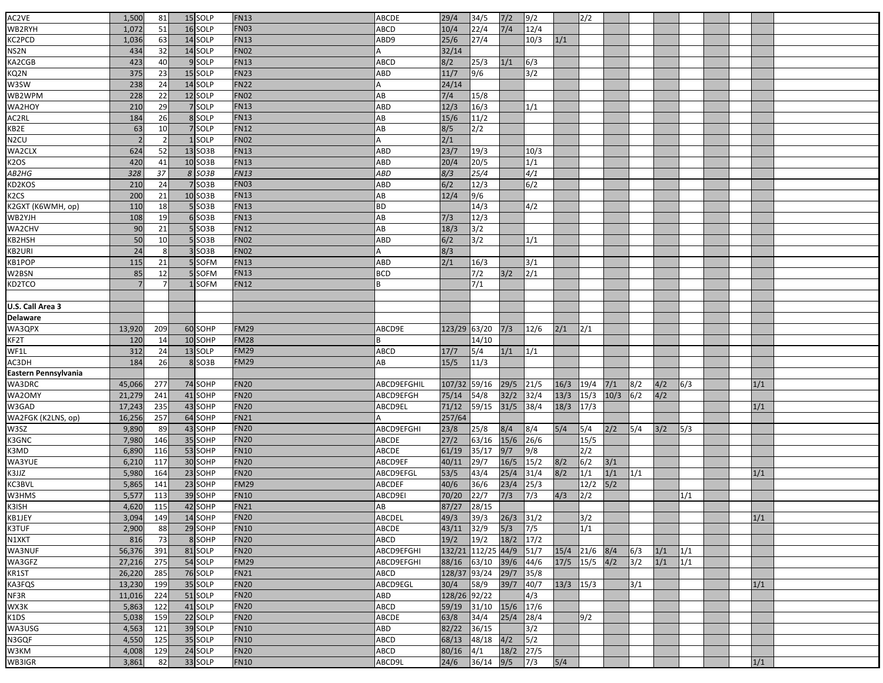| AC2VE                     | 1,500          |                | 15 SOLP             | <b>FN13</b> | ABCDE       | 29/4         | 34/5          | $7/2$     | 9/2            |             | 2/2  |       |              |     |     |  |     |  |
|---------------------------|----------------|----------------|---------------------|-------------|-------------|--------------|---------------|-----------|----------------|-------------|------|-------|--------------|-----|-----|--|-----|--|
| WB2RYH                    |                | 81<br>51       | 16 SOLP             |             |             | 10/4         | 22/4          | $7/4$     | 12/4           |             |      |       |              |     |     |  |     |  |
|                           | 1,072          |                |                     | <b>FN03</b> | ABCD        |              |               |           |                |             |      |       |              |     |     |  |     |  |
| KC2PCD                    | 1,036          | 63             | 14 SOLP             | <b>FN13</b> | ABD9        | 25/6         | 27/4          |           | 10/3           | 1/1         |      |       |              |     |     |  |     |  |
| NS2N                      | 434            | 32             | 14 SOLP             | <b>FN02</b> |             | 32/14        |               |           |                |             |      |       |              |     |     |  |     |  |
| KA2CGB                    | 423            | 40             | 9 SOLP              | <b>FN13</b> | ABCD        | 8/2          | 25/3          | 1/1       | 6/3            |             |      |       |              |     |     |  |     |  |
| KQ2N                      | 375            | 23             | 15 SOLP             | <b>FN23</b> | ABD         | 11/7         | 9/6           |           | 3/2            |             |      |       |              |     |     |  |     |  |
| W3SW                      | 238            | 24             | 14 SOLP             | <b>FN22</b> |             | 24/14        |               |           |                |             |      |       |              |     |     |  |     |  |
| WB2WPM                    | 228            | 22             | 12 SOLP             | <b>FN02</b> | AB          | 7/4          | 15/8          |           |                |             |      |       |              |     |     |  |     |  |
| WA2HOY                    | 210            | 29             | 7 SOLP              | <b>FN13</b> | ABD         | 12/3         | 16/3          |           | 1/1            |             |      |       |              |     |     |  |     |  |
| AC2RL                     | 184            | 26             | 8 SOLP              | <b>FN13</b> | AB          | 15/6         | 11/2          |           |                |             |      |       |              |     |     |  |     |  |
| KB2E                      | 63             | 10             | 7 SOLP              | <b>FN12</b> | AB          | 8/5          | 2/2           |           |                |             |      |       |              |     |     |  |     |  |
| N <sub>2</sub> CU         | $\overline{z}$ | $\overline{2}$ | 1 SOLP              | <b>FN02</b> |             | 2/1          |               |           |                |             |      |       |              |     |     |  |     |  |
| WA2CLX                    | 624            | 52             | 13 SO3B             | <b>FN13</b> | ABD         | 23/7         | 19/3          |           | 10/3           |             |      |       |              |     |     |  |     |  |
| K <sub>2</sub> OS         | 420            | 41             | 10 SO3B             | <b>FN13</b> | ABD         | 20/4         | 20/5          |           | 1/1            |             |      |       |              |     |     |  |     |  |
|                           |                |                |                     |             |             |              |               |           |                |             |      |       |              |     |     |  |     |  |
| $\overline{AB2HG}$        | 328            | 37             | 8 SO3B              | <b>FN13</b> | ABD         | 8/3          | 25/4          |           | $\sqrt{4/1}$   |             |      |       |              |     |     |  |     |  |
| KD2KOS                    | 210            | 24             | 7 SO3B              | <b>FN03</b> | ABD         | 6/2          | 12/3          |           | $\sqrt{6/2}$   |             |      |       |              |     |     |  |     |  |
| K <sub>2</sub> CS         | 200            | 21             | 10 SO3B             | <b>FN13</b> | AB          | 12/4         | 9/6           |           |                |             |      |       |              |     |     |  |     |  |
| K2GXT (K6WMH, op)         | 110            | 18             | 5SO3B               | <b>FN13</b> | ВD          |              | 14/3          |           | 4/2            |             |      |       |              |     |     |  |     |  |
| WB2YJH                    | 108            | 19             | 6 SO3B              | <b>FN13</b> | AB          | 7/3          | 12/3          |           |                |             |      |       |              |     |     |  |     |  |
| WA2CHV                    | 90             | 21             | 5 SO3B              | <b>FN12</b> | AB          | 18/3         | 3/2           |           |                |             |      |       |              |     |     |  |     |  |
| KB2HSH                    | 50             | 10             | 5SO3B               | <b>FN02</b> | ABD         | 6/2          | 3/2           |           | 1/1            |             |      |       |              |     |     |  |     |  |
| KB2URI                    | 24             | 8              | 3 SO3B              | <b>FN02</b> | А           | 8/3          |               |           |                |             |      |       |              |     |     |  |     |  |
| KB1POP                    | 115            | 21             | 5 SOFM              | <b>FN13</b> | ABD         | 2/1          | 16/3          |           | 3/1            |             |      |       |              |     |     |  |     |  |
| W2BSN                     | 85             | 12             | 5 SOFM              | <b>FN13</b> | BCD         |              | 7/2           | 3/2       | 2/1            |             |      |       |              |     |     |  |     |  |
| KD2TCO                    |                |                | 1SOFM               | <b>FN12</b> |             |              | 7/1           |           |                |             |      |       |              |     |     |  |     |  |
|                           |                |                |                     |             |             |              |               |           |                |             |      |       |              |     |     |  |     |  |
| U.S. Call Area 3          |                |                |                     |             |             |              |               |           |                |             |      |       |              |     |     |  |     |  |
|                           |                |                |                     |             |             |              |               |           |                |             |      |       |              |     |     |  |     |  |
| <b>Delaware</b><br>WA3QPX |                |                |                     |             |             |              |               |           |                |             |      |       |              |     |     |  |     |  |
|                           | 13,920         | 209            | 60 SOHP             | <b>FM29</b> | ABCD9E      | 123/29 63/20 |               | 7/3       | 12/6           | 2/1         | 2/1  |       |              |     |     |  |     |  |
| KF2T                      | 120            | 14             | 10 SOHP             | <b>FM28</b> |             |              | 14/10         |           |                |             |      |       |              |     |     |  |     |  |
| WF1L                      | 312            | 24             | 13 SOLP             | <b>FM29</b> | ABCD        | 17/7         | 5/4           | 1/1       | 1/1            |             |      |       |              |     |     |  |     |  |
| AC3DH                     | 184            | 26             | 8 SO <sub>3</sub> B | <b>FM29</b> | AВ          | 15/5         | 11/3          |           |                |             |      |       |              |     |     |  |     |  |
| Eastern Pennsylvania      |                |                |                     |             |             |              |               |           |                |             |      |       |              |     |     |  |     |  |
| WA3DRC                    | 45,066         | 277            | 74 SOHP             | <b>FN20</b> | ABCD9EFGHIL | 107/32       | 59/16         | 29/5      | 21/5           | 16/3        | 19/4 | 7/1   | 8/2          | 4/2 | 6/3 |  | 1/1 |  |
| WA2OMY                    | 21,279         | 241            | 41 SOHP             | <b>FN20</b> | ABCD9EFGH   | 75/14        | 54/8          | 32/2      | 32/4           | 13/3        | 15/3 | 10/3  | $\sqrt{6/2}$ | 4/2 |     |  |     |  |
| W3GAD                     | 17,243         | 235            | 43 SOHP             | <b>FN20</b> | ABCD9EL     | 71/12        | 59/15         | $31/5$    | 38/4           | 18/3        | 17/3 |       |              |     |     |  | 1/1 |  |
| WA2FGK (K2LNS, op)        | 16,256         | 257            | 64 SOHP             | <b>FN21</b> |             | 257/64       |               |           |                |             |      |       |              |     |     |  |     |  |
| W3SZ                      | 9,890          | 89             | 43 SOHP             | <b>FN20</b> | ABCD9EFGHI  | 23/8         | 25/8          | 8/4       | 8/4            | 5/4         | 5/4  | 2/2   | 5/4          | 3/2 | 5/3 |  |     |  |
| K3GNC                     | 7,980          | 146            | 35 SOHP             | <b>FN20</b> | ABCDE       | 27/2         | 63/16         | $15/6$    | 26/6           |             | 15/5 |       |              |     |     |  |     |  |
| K3MD                      | 6,890          | 116            | 53 SOHP             | <b>FN10</b> | ABCDE       | 61/19        | 35/17         | 9/7       | 9/8            |             | 2/2  |       |              |     |     |  |     |  |
| WA3YUE                    | 6,210          | 117            | 30 SOHP             | <b>FN20</b> | ABCD9EF     | 40/11        | 29/7          | 16/5      | 15/2           | 8/2         | 6/2  | 3/1   |              |     |     |  |     |  |
| K3JJZ                     | 5,980          | 164            | 23 SOHP             | <b>FN20</b> | ABCD9EFGL   | 53/5         | 43/4          | 25/4      | 31/4           | 8/2         | 1/1  | 1/1   | 1/1          |     |     |  | 1/1 |  |
| KC3BVL                    | 5,865          | 141            | 23 SOHP             | <b>FM29</b> | ABCDEF      | 40/6         | 36/6          | 23/4      | 25/3           |             | 12/2 | $5/2$ |              |     |     |  |     |  |
| W3HMS                     |                |                | 39 SOHP             | <b>FN10</b> |             | 70/20        |               |           | 7/3            |             | 2/2  |       |              |     |     |  |     |  |
| K3ISH                     | 5,577          | 113            |                     |             | ABCD9EI     |              | 22/7          | 7/3       |                | 4/3         |      |       |              |     | 1/1 |  |     |  |
|                           | 4,620          | 115            | 42 SOHP             | <b>FN21</b> | AB          | 87/27        | 28/15         |           |                |             |      |       |              |     |     |  |     |  |
| KB1JEY                    | 3,094          | 149            | 14 SOHP             | <b>FN20</b> | ABCDEL      | 49/3         | 39/3          | 26/3      | 31/2           |             | 3/2  |       |              |     |     |  | 1/1 |  |
| K3TUF                     | 2,900          | 88             | 29 SOHP             | <b>FN10</b> | ABCDE       | 43/11        | 32/9          | 5/3       | $\sqrt{7/5}$   |             | 1/1  |       |              |     |     |  |     |  |
| N1XKT                     | 816            | 73             | 8 SOHP              | <b>FN20</b> | ABCD        | 19/2         | 19/2          | $18/2$    | $\frac{17}{2}$ |             |      |       |              |     |     |  |     |  |
| WA3NUF                    | 56,376         | 391            | 81 SOLP             | <b>FN20</b> | ABCD9EFGHI  | 132/21       | $112/25$ 44/9 |           | 51/7           | 15/4        | 21/6 | 8/4   | 6/3          | 1/1 | 1/1 |  |     |  |
| WA3GFZ                    | 27,216         | 275            | 54 SOLP             | <b>FM29</b> | ABCD9EFGHI  | 88/16        | 63/10         | $39/6$    | 44/6           | $17/5$ 15/5 |      | 4/2   | 3/2          | 1/1 | 1/1 |  |     |  |
| KR1ST                     | 26,220         | 285            | 76 SOLP             | <b>FN21</b> | ABCD        | 128/37       | 93/24         | 29/7      | 35/8           |             |      |       |              |     |     |  |     |  |
| <b>KA3FQS</b>             | 13,230         | 199            | 35 SOLP             | <b>FN20</b> | ABCD9EGL    | 30/4         | 58/9          | 39/7      | 40/7           | $13/3$ 15/3 |      |       | 3/1          |     |     |  | 1/1 |  |
| NF3R                      | 11,016         | 224            | 51 SOLP             | <b>FN20</b> | ABD         | 128/26       | 92/22         |           | $\sqrt{4/3}$   |             |      |       |              |     |     |  |     |  |
| WX3K                      | 5,863          | 122            | 41 SOLP             | <b>FN20</b> | ABCD        | 59/19        | 31/10         | 15/6 17/6 |                |             |      |       |              |     |     |  |     |  |
| K1DS                      | 5,038          | 159            | 22 SOLP             | <b>FN20</b> | ABCDE       | 63/8         | 34/4          | 25/4      | 28/4           |             | 9/2  |       |              |     |     |  |     |  |
| WA3USG                    | 4,563          | 121            | 39 SOLP             | <b>FN10</b> | ABD         | 82/22        | 36/15         |           | 3/2            |             |      |       |              |     |     |  |     |  |
| N3GQF                     | 4,550          | 125            | 35 SOLP             | <b>FN10</b> | ABCD        | 68/13        | 48/18         | 4/2       | 5/2            |             |      |       |              |     |     |  |     |  |
|                           |                |                |                     | <b>FN20</b> |             |              |               |           |                |             |      |       |              |     |     |  |     |  |
| W3KM                      | 4,008          | 129            | 24 SOLP             |             | ABCD        | 80/16        | 4/1           | 18/2 27/5 |                |             |      |       |              |     |     |  |     |  |
| WB3IGR                    | 3,861          | 82             | 33 SOLP             | <b>FN10</b> | ABCD9L      | 24/6         | 36/14         | 9/5       | $\sqrt{7/3}$   | 5/4         |      |       |              |     |     |  | 1/1 |  |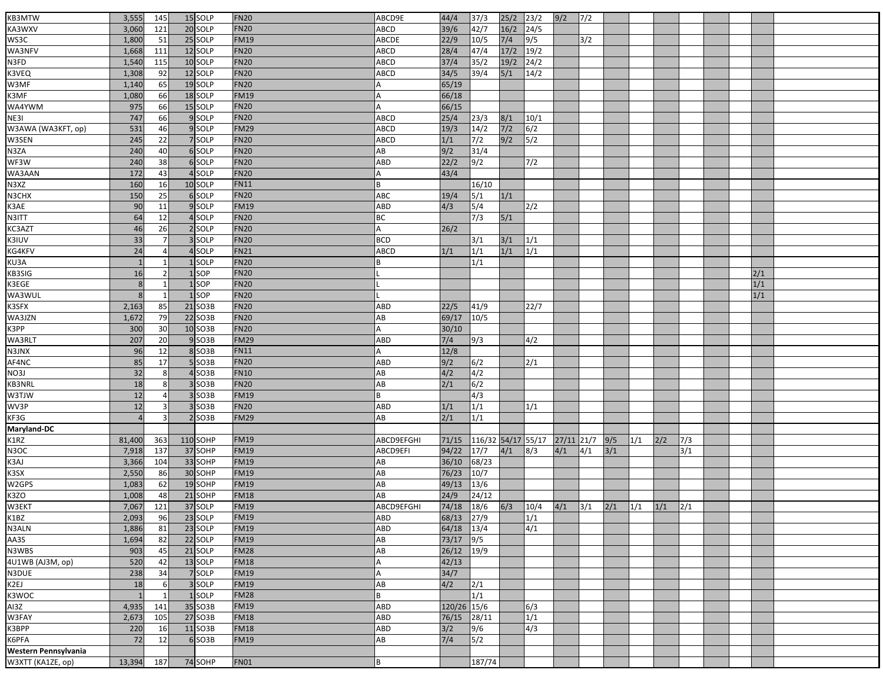| KB3MTW               | 3,555  | 145            | 15 SOLP  | <b>FN20</b> | ABCD9E      | 44/4        | 37/3               | 25/2   | 23/2         | 9/2         | 7/2 |       |                   |     |               |  |     |  |
|----------------------|--------|----------------|----------|-------------|-------------|-------------|--------------------|--------|--------------|-------------|-----|-------|-------------------|-----|---------------|--|-----|--|
| KA3WXV               | 3,060  | 121            | 20 SOLP  | <b>FN20</b> | ABCD        | 39/6        | 42/7               | $16/2$ | 24/5         |             |     |       |                   |     |               |  |     |  |
| WS3C                 | 1,800  | 51             | 25 SOLP  | <b>FM19</b> | ABCDE       | 22/9        | $\frac{10}{5}$     | $7/4$  | 9/5          |             | 3/2 |       |                   |     |               |  |     |  |
| WA3NFV               | 1,668  | 111            | 12 SOLP  | <b>FN20</b> | <b>ABCD</b> | 28/4        | $\sqrt{47/4}$      | 17/2   | 19/2         |             |     |       |                   |     |               |  |     |  |
| N3FD                 | 1,540  | 115            | 10 SOLP  | <b>FN20</b> | <b>ABCD</b> | 37/4        | 35/2               | $19/2$ | 24/2         |             |     |       |                   |     |               |  |     |  |
| K3VEQ                | 1,308  | 92             | 12 SOLP  | <b>FN20</b> | <b>ABCD</b> | 34/5        | 39/4               | $5/1$  | 14/2         |             |     |       |                   |     |               |  |     |  |
| W3MF                 | 1,140  | 65             | 19 SOLP  | <b>FN20</b> |             | 65/19       |                    |        |              |             |     |       |                   |     |               |  |     |  |
| K3MF                 | 1,080  | 66             | 18 SOLP  | <b>FM19</b> |             | 66/18       |                    |        |              |             |     |       |                   |     |               |  |     |  |
| WA4YWM               | 975    | 66             | 15 SOLP  | <b>FN20</b> | A           | 66/15       |                    |        |              |             |     |       |                   |     |               |  |     |  |
| NE3I                 | 747    | 66             | 9 SOLP   | <b>FN20</b> | ABCD        | 25/4        | 23/3               | 8/1    | 10/1         |             |     |       |                   |     |               |  |     |  |
| W3AWA (WA3KFT, op)   | 531    | 46             | 9 SOLP   | <b>FM29</b> | ABCD        | 19/3        | 14/2               | $7/2$  | 6/2          |             |     |       |                   |     |               |  |     |  |
| W3SEN                | 245    | 22             | 7 SOLP   | <b>FN20</b> | ABCD        | 1/1         | 7/2                | 9/2    | 5/2          |             |     |       |                   |     |               |  |     |  |
| N3ZA                 | 240    | 40             | 6 SOLP   | <b>FN20</b> | AB          | 9/2         | 31/4               |        |              |             |     |       |                   |     |               |  |     |  |
| WF3W                 | 240    | 38             | 6 SOLP   | <b>FN20</b> | ABD         | 22/2        | $\sqrt{9/2}$       |        | 7/2          |             |     |       |                   |     |               |  |     |  |
|                      | 172    | 43             | 4 SOLP   | <b>FN20</b> |             |             |                    |        |              |             |     |       |                   |     |               |  |     |  |
| WA3AAN               |        |                |          |             |             | 43/4        |                    |        |              |             |     |       |                   |     |               |  |     |  |
| N3XZ                 | 160    | 16             | 10 SOLP  | <b>FN11</b> | B           |             | 16/10              |        |              |             |     |       |                   |     |               |  |     |  |
| N3CHX                | 150    | 25             | 6 SOLP   | <b>FN20</b> | ABC         | 19/4        | 5/1                | 1/1    |              |             |     |       |                   |     |               |  |     |  |
| K3AE                 | 90     | 11             | 9 SOLP   | <b>FM19</b> | ABD         | 4/3         | 5/4                |        | 2/2          |             |     |       |                   |     |               |  |     |  |
| N3ITT                | 64     | 12             | 4 SOLP   | <b>FN20</b> | ВC          |             | 7/3                | $5/1$  |              |             |     |       |                   |     |               |  |     |  |
| KC3AZT               | 46     | 26             | 2 SOLP   | <b>FN20</b> | A           | 26/2        |                    |        |              |             |     |       |                   |     |               |  |     |  |
| K3IUV                | 33     |                | 3 SOLP   | <b>FN20</b> | <b>BCD</b>  |             | 3/1                | 3/1    | 1/1          |             |     |       |                   |     |               |  |     |  |
| KG4KFV               | 24     | 4              | 4 SOLP   | <b>FN21</b> | ABCD        | 1/1         | 1/1                | 1/1    | 1/1          |             |     |       |                   |     |               |  |     |  |
| KU3A                 |        | $\mathbf{1}$   | 1 SOLP   | <b>FN20</b> |             |             | 1/1                |        |              |             |     |       |                   |     |               |  |     |  |
| KB3SIG               | 16     | $\overline{2}$ | 1SOP     | <b>FN20</b> |             |             |                    |        |              |             |     |       |                   |     |               |  | 2/1 |  |
| K3EGE                | 8      | 1              | 1 SOP    | <b>FN20</b> |             |             |                    |        |              |             |     |       |                   |     |               |  | 1/1 |  |
| WA3WUL               |        | $\mathbf{1}$   | 1 SOP    | <b>FN20</b> |             |             |                    |        |              |             |     |       |                   |     |               |  | 1/1 |  |
| K3SFX                | 2,163  | 85             | 21 SO3B  | <b>FN20</b> | ABD         | 22/5        | 41/9               |        | 22/7         |             |     |       |                   |     |               |  |     |  |
| WA3JZN               | 1,672  | 79             | 22 SO3B  | <b>FN20</b> | AB          | 69/17       | 10/5               |        |              |             |     |       |                   |     |               |  |     |  |
| K3PP                 | 300    | 30             | 10 SO3B  | <b>FN20</b> |             | 30/10       |                    |        |              |             |     |       |                   |     |               |  |     |  |
| WA3RLT               | 207    | 20             | 9 SO3B   | <b>FM29</b> | ABD         | $7/4$       | 9/3                |        | 4/2          |             |     |       |                   |     |               |  |     |  |
| N3JNX                | 96     | 12             | 8 SO3B   | <b>FN11</b> |             | 12/8        |                    |        |              |             |     |       |                   |     |               |  |     |  |
| AF4NC                | 85     | 17             | $5$ SO3B | <b>FN20</b> | ABD         | 9/2         | 6/2                |        | 2/1          |             |     |       |                   |     |               |  |     |  |
| NO3J                 | 32     | 8              | $4$ SO3B | <b>FN10</b> | AB          | 4/2         | 4/2                |        |              |             |     |       |                   |     |               |  |     |  |
|                      | 18     | 8              | $3$ SO3B | <b>FN20</b> | AB          | 2/1         |                    |        |              |             |     |       |                   |     |               |  |     |  |
| KB3NRL               |        |                |          | <b>FM19</b> |             |             | 6/2                |        |              |             |     |       |                   |     |               |  |     |  |
| W3TJW                | 12     | $\overline{a}$ | 3 SO3B   |             |             |             | 4/3                |        |              |             |     |       |                   |     |               |  |     |  |
| WV3P                 | 12     | 3              | $3$ SO3B | <b>FN20</b> | ABD         | 1/1         | 1/1                |        | 1/1          |             |     |       |                   |     |               |  |     |  |
| KF3G                 |        | 3              | $2$ SO3B | <b>FM29</b> | AB          | 2/1         | 1/1                |        |              |             |     |       |                   |     |               |  |     |  |
| Maryland-DC          |        |                |          |             |             |             |                    |        |              |             |     |       |                   |     |               |  |     |  |
| K1RZ                 | 81,400 | 363            | 110 SOHP | <b>FM19</b> | ABCD9EFGHI  | 71/15       | 116/32 54/17 55/17 |        |              | 27/11 21/7  |     | 9/5   | 1/1               | 2/2 | 7/3           |  |     |  |
| N3OC                 | 7,918  | 137            | 37 SOHP  | <b>FM19</b> | ABCD9EFI    | 94/22       | $17/7$             | 4/1    | $\sqrt{8/3}$ | 4/1         | 4/1 | $3/1$ |                   |     | 3/1           |  |     |  |
| K3AJ                 | 3,366  | 104            | 33 SOHP  | <b>FM19</b> | AB          | 36/10       | 68/23              |        |              |             |     |       |                   |     |               |  |     |  |
| K3SX                 | 2,550  | 86             | 30 SOHP  | <b>FM19</b> | AB          | 76/23       | 10/7               |        |              |             |     |       |                   |     |               |  |     |  |
| W2GPS                | 1,083  | 62             | 19 SOHP  | <b>FM19</b> | AB          | 49/13       | 13/6               |        |              |             |     |       |                   |     |               |  |     |  |
| K3ZO                 | 1,008  | 48             | 21 SOHP  | <b>FM18</b> | AB          | 24/9        | 24/12              |        |              |             |     |       |                   |     |               |  |     |  |
| W3EKT                | 7,067  | $121$          | 37 SOLP  | <b>FM19</b> | ABCD9EFGHI  | 74/18       | $18/6$             | 6/3    | 10/4         | $4/1$ $3/1$ |     | 2/1   | $\vert 1/1 \vert$ | 1/1 | $\frac{2}{1}$ |  |     |  |
| K1BZ                 | 2,093  | 96             | 23 SOLP  | <b>FM19</b> | ABD         | 68/13       | 27/9               |        | 1/1          |             |     |       |                   |     |               |  |     |  |
| N3ALN                | 1,886  | 81             | 23 SOLP  | <b>FM19</b> | ABD         | 64/18       | 13/4               |        | 4/1          |             |     |       |                   |     |               |  |     |  |
| AA3S                 | 1,694  | 82             | 22 SOLP  | <b>FM19</b> | AB          | 73/17       | $\sqrt{9/5}$       |        |              |             |     |       |                   |     |               |  |     |  |
| N3WBS                | 903    | 45             | 21 SOLP  | <b>FM28</b> | AB          | 26/12       | 19/9               |        |              |             |     |       |                   |     |               |  |     |  |
| 4U1WB (AJ3M, op)     | 520    | 42             | 13 SOLP  | <b>FM18</b> | А           | 42/13       |                    |        |              |             |     |       |                   |     |               |  |     |  |
| N3DUE                | 238    | 34             | 7 SOLP   | <b>FM19</b> | А           | 34/7        |                    |        |              |             |     |       |                   |     |               |  |     |  |
| K2EJ                 | 18     | 6              | 3 SOLP   | <b>FM19</b> | AB          | 4/2         | 2/1                |        |              |             |     |       |                   |     |               |  |     |  |
| K3WOC                |        | $\mathbf{1}$   | 1 SOLP   | <b>FM28</b> | R.          |             | 1/1                |        |              |             |     |       |                   |     |               |  |     |  |
| AI3Z                 | 4,935  | 141            | 35 SO3B  | <b>FM19</b> | <b>ABD</b>  | 120/26 15/6 |                    |        | 6/3          |             |     |       |                   |     |               |  |     |  |
| W3FAY                |        | 105            | 27 SO3B  | <b>FM18</b> | ABD         | 76/15       | 28/11              |        | 1/1          |             |     |       |                   |     |               |  |     |  |
| K3BPP                | 2,673  | 16             | 11 SO3B  | <b>FM18</b> | ABD         |             |                    |        |              |             |     |       |                   |     |               |  |     |  |
|                      | 220    |                |          |             |             | 3/2         | 9/6                |        | 4/3          |             |     |       |                   |     |               |  |     |  |
| K6PFA                | 72     | 12             | 6 SO3B   | <b>FM19</b> | AB          | 7/4         | 5/2                |        |              |             |     |       |                   |     |               |  |     |  |
| Western Pennsylvania |        |                |          |             |             |             |                    |        |              |             |     |       |                   |     |               |  |     |  |
| W3XTT (KA1ZE, op)    | 13,394 | 187            | 74 SOHP  | <b>FN01</b> | B           |             | 187/74             |        |              |             |     |       |                   |     |               |  |     |  |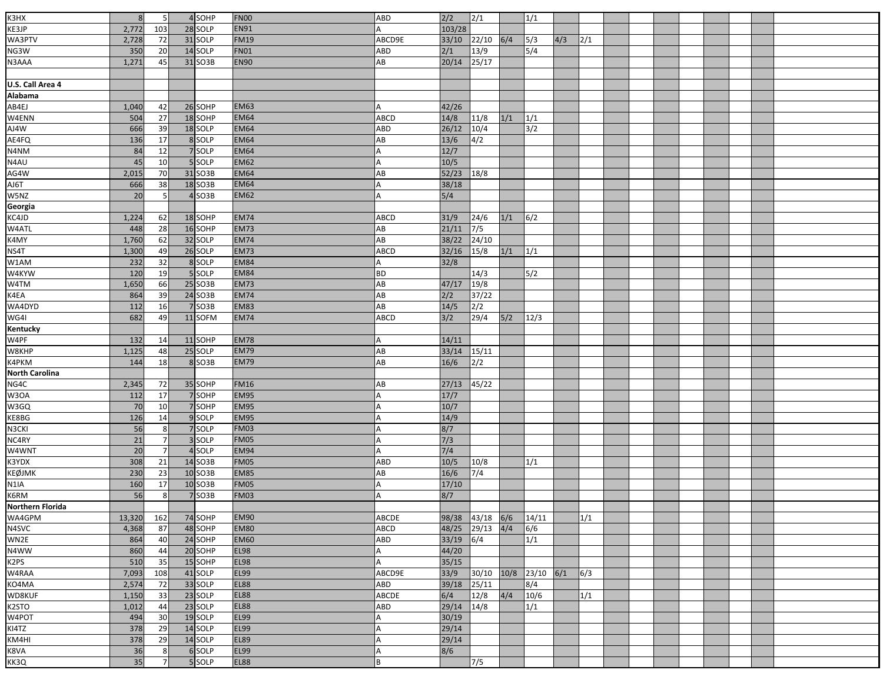| K3HX                    | 8          | 5               | 4SOHP               | <b>FN00</b> | ABD                | 2/2            | 2/1          |      | $\overline{1/1}$ |     |     |  |  |  |  |
|-------------------------|------------|-----------------|---------------------|-------------|--------------------|----------------|--------------|------|------------------|-----|-----|--|--|--|--|
| KE3JP                   | 2,772      | 103             | 28 SOLP             | <b>EN91</b> |                    | 103/28         |              |      |                  |     |     |  |  |  |  |
| WA3PTV                  | 2,728      | 72              | 31 SOLP             | <b>FM19</b> | ABCD9E             | 33/10          | 22/10        | 6/4  | 5/3              | 4/3 | 2/1 |  |  |  |  |
| NG3W                    | 350        | 20              | 14 SOLP             | <b>FN01</b> | ABD                | 2/1            | 13/9         |      | 5/4              |     |     |  |  |  |  |
| N3AAA                   | 1,271      | 45              | 31 SO3B             | <b>EN90</b> | AB                 | 20/14          | 25/17        |      |                  |     |     |  |  |  |  |
|                         |            |                 |                     |             |                    |                |              |      |                  |     |     |  |  |  |  |
| U.S. Call Area 4        |            |                 |                     |             |                    |                |              |      |                  |     |     |  |  |  |  |
|                         |            |                 |                     |             |                    |                |              |      |                  |     |     |  |  |  |  |
| Alabama<br>AB4EJ        |            |                 |                     | <b>EM63</b> | А                  | 42/26          |              |      |                  |     |     |  |  |  |  |
|                         | 1,040      | 42              | 26 SOHP             | <b>EM64</b> |                    |                |              |      |                  |     |     |  |  |  |  |
| W4ENN<br>AJ4W           | 504<br>666 | 27<br>39        | 18 SOHP<br>18 SOLP  | <b>EM64</b> | <b>ABCD</b><br>ABD | 14/8<br>26/12  | 11/8         | 1/1  | 1/1<br>3/2       |     |     |  |  |  |  |
|                         |            |                 | 8 SOLP              | <b>EM64</b> |                    |                | 10/4         |      |                  |     |     |  |  |  |  |
| AE4FQ                   | 136<br>84  | 17<br>12        | 7 SOLP              | <b>EM64</b> | AB                 | $13/6$<br>12/7 | 4/2          |      |                  |     |     |  |  |  |  |
| N4NM                    |            | 10              |                     | <b>EM62</b> | А                  |                |              |      |                  |     |     |  |  |  |  |
| N4AU                    | 45         |                 | 5 SOLP              |             |                    | 10/5           |              |      |                  |     |     |  |  |  |  |
| AG4W                    | 2,015      | 70              | 31 SO3B             | <b>EM64</b> | AB                 | 52/23          | 18/8         |      |                  |     |     |  |  |  |  |
| AJ6T                    | 666        | 38              | 18 SO3B             | <b>EM64</b> | A                  | 38/18          |              |      |                  |     |     |  |  |  |  |
| W5NZ                    | 20         | 5               | $4$ SO3B            | <b>EM62</b> |                    | 5/4            |              |      |                  |     |     |  |  |  |  |
| Georgia                 |            |                 |                     |             |                    |                |              |      |                  |     |     |  |  |  |  |
| KC4JD                   | 1,224      | 62              | 18 SOHP             | <b>EM74</b> | ABCD               | 31/9           | 24/6         | 1/1  | 6/2              |     |     |  |  |  |  |
| W4ATL                   | 448        | $\overline{28}$ | 16 SOHP             | <b>EM73</b> | AB                 | 21/11          | $\sqrt{7/5}$ |      |                  |     |     |  |  |  |  |
| K4MY                    | 1,760      | 62              | 32 SOLP             | <b>EM74</b> | AB                 | 38/22          | 24/10        |      |                  |     |     |  |  |  |  |
| NS4T                    | 1,300      | 49              | 26 SOLP             | EM73        | ABCD               | 32/16          | 15/8         | 1/1  | 1/1              |     |     |  |  |  |  |
| W1AM                    | 232        | 32              | 8 SOLP              | <b>EM84</b> |                    | 32/8           |              |      |                  |     |     |  |  |  |  |
| W4KYW                   | 120        | 19              | 5 SOLP              | <b>EM84</b> | <b>BD</b>          |                | 14/3         |      | 5/2              |     |     |  |  |  |  |
| W4TM                    | 1,650      | 66              | 25 SO3B             | <b>EM73</b> | AB                 | 47/17          | 19/8         |      |                  |     |     |  |  |  |  |
| K4EA                    | 864        | 39              | 24 SO3B             | <b>EM74</b> | AB                 | 2/2            | 37/22        |      |                  |     |     |  |  |  |  |
| WA4DYD                  | 112        | 16              | 7 SO3B              | <b>EM83</b> | AB                 | 14/5           | 2/2          |      |                  |     |     |  |  |  |  |
| WG4I                    | 682        | 49              | 11 SOFM             | <b>EM74</b> | <b>ABCD</b>        | 3/2            | 29/4         | 5/2  | 12/3             |     |     |  |  |  |  |
| Kentucky                |            |                 |                     |             |                    |                |              |      |                  |     |     |  |  |  |  |
| W4PF                    | 132        | 14              | 11 SOHP             | <b>EM78</b> |                    | 14/11          |              |      |                  |     |     |  |  |  |  |
| W8KHP                   | 1,125      | 48              | 25 SOLP             | <b>EM79</b> | AB                 | 33/14          | 15/11        |      |                  |     |     |  |  |  |  |
| K4PKM                   | 144        | 18              | 8 SO3B              | <b>EM79</b> | AB                 | 16/6           | 2/2          |      |                  |     |     |  |  |  |  |
| <b>North Carolina</b>   |            |                 |                     |             |                    |                |              |      |                  |     |     |  |  |  |  |
| NG4C                    | 2,345      | 72              | 35 SOHP             | <b>FM16</b> | AB                 | 27/13          | 45/22        |      |                  |     |     |  |  |  |  |
| W3OA                    | 112        | 17              | 7 SOHP              | <b>EM95</b> |                    | 17/7           |              |      |                  |     |     |  |  |  |  |
| W3GQ                    | 70         | 10              | 7 SOHP              | <b>EM95</b> |                    | 10/7           |              |      |                  |     |     |  |  |  |  |
| KE8BG                   | 126        | 14              | 9 SOLP              | <b>EM95</b> | А                  | 14/9           |              |      |                  |     |     |  |  |  |  |
| N3CKI                   | 56         | 8               | 7 SOLP              | <b>FM03</b> |                    | 8/7            |              |      |                  |     |     |  |  |  |  |
| NC4RY                   | 21         |                 | 3 SOLP              | <b>FM05</b> |                    | 7/3            |              |      |                  |     |     |  |  |  |  |
| W4WNT                   | 20         |                 | 4 SOLP              | <b>EM94</b> | А                  | 7/4            |              |      |                  |     |     |  |  |  |  |
| K3YDX                   | 308        | 21              | 14 SO3B             | <b>FM05</b> | ABD                | 10/5           | $10/8$       |      | 1/1              |     |     |  |  |  |  |
| KEØJMK                  | 230        | 23              | 10 SO3B             | <b>EM85</b> | AB                 | 16/6           | 7/4          |      |                  |     |     |  |  |  |  |
| N1IA                    | 160        | 17              | 10 SO3B             | <b>FM05</b> | А                  | 17/10          |              |      |                  |     |     |  |  |  |  |
| K6RM                    | 56         | 8               | 7 SO <sub>3</sub> B | <b>FM03</b> |                    | 8/7            |              |      |                  |     |     |  |  |  |  |
| <b>Northern Florida</b> |            |                 |                     |             |                    |                |              |      |                  |     |     |  |  |  |  |
| WA4GPM                  | 13,320     | 162             | 74 SOHP             | <b>EM90</b> | ABCDE              | 98/38          | 43/18        | 6/6  | 14/11            |     | 1/1 |  |  |  |  |
| N4SVC                   | 4,368      | 87              | 48 SOHP             | <b>EM80</b> | ABCD               | 48/25          | $29/13$ 4/4  |      | 6/6              |     |     |  |  |  |  |
| WN2E                    | 864        | 40              | 24 SOHP             | <b>EM60</b> | ABD                | 33/19          | $\sqrt{6/4}$ |      | 1/1              |     |     |  |  |  |  |
| N4WW                    | 860        | 44              | 20 SOHP             | <b>EL98</b> | A                  | 44/20          |              |      |                  |     |     |  |  |  |  |
| K <sub>2</sub> PS       | 510        | 35              | 15 SOHP             | <b>EL98</b> | А                  | 35/15          |              |      |                  |     |     |  |  |  |  |
| W4RAA                   | 7,093      | 108             | 41 SOLP             | <b>EL99</b> | ABCD9E             | 33/9           | 30/10        | 10/8 | 23/10            | 6/1 | 6/3 |  |  |  |  |
| KO4MA                   | 2,574      | 72              | 33 SOLP             | <b>EL88</b> | ABD                | 39/18          | 25/11        |      | 8/4              |     |     |  |  |  |  |
| WD8KUF                  | 1,150      | 33              | 23 SOLP             | <b>EL88</b> | ABCDE              | 6/4            | 12/8         | 4/4  | 10/6             |     | 1/1 |  |  |  |  |
| K2STO                   | 1,012      | 44              | 23 SOLP             | <b>EL88</b> | ABD                | 29/14          | 14/8         |      | $1/1$            |     |     |  |  |  |  |
| W4POT                   | 494        | 30              | 19 SOLP             | <b>EL99</b> |                    | 30/19          |              |      |                  |     |     |  |  |  |  |
| KI4TZ                   | 378        | 29              | 14 SOLP             | <b>EL99</b> |                    | 29/14          |              |      |                  |     |     |  |  |  |  |
| KM4HI                   | 378        | 29              | 14 SOLP             | <b>EL89</b> | А                  | 29/14          |              |      |                  |     |     |  |  |  |  |
| K8VA                    | 36         | 8               | 6 SOLP              | <b>EL99</b> |                    | 8/6            |              |      |                  |     |     |  |  |  |  |
| KK3Q                    | 35         | $\overline{7}$  | 5 SOLP              | <b>EL88</b> | B                  |                | $\sqrt{7/5}$ |      |                  |     |     |  |  |  |  |
|                         |            |                 |                     |             |                    |                |              |      |                  |     |     |  |  |  |  |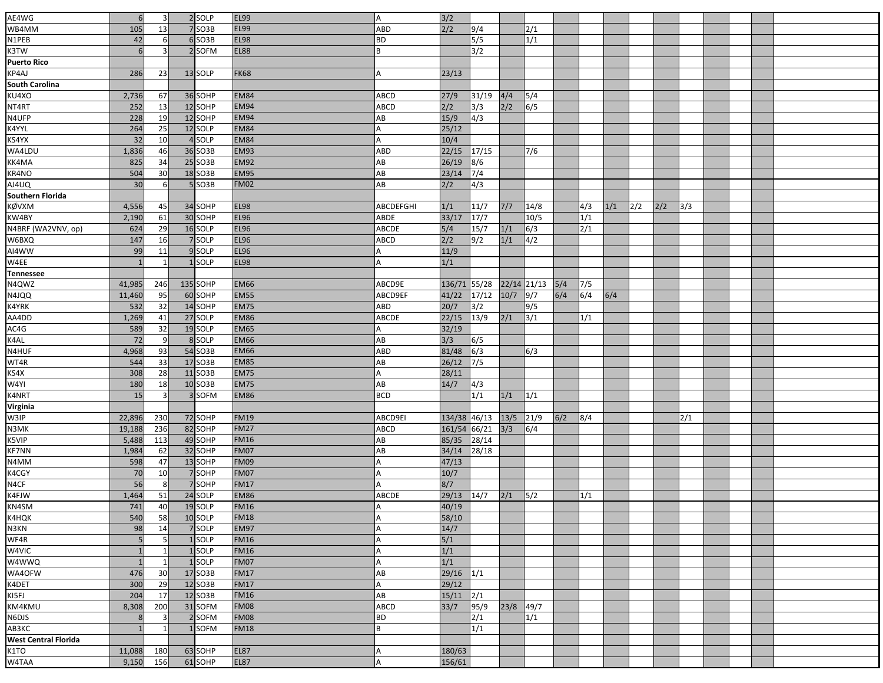| AE4WG                       | 6              | 3               | 2 SOLP              | <b>EL99</b> |             |              |                        |           |              |       |               |     |     |     |     |  |  |
|-----------------------------|----------------|-----------------|---------------------|-------------|-------------|--------------|------------------------|-----------|--------------|-------|---------------|-----|-----|-----|-----|--|--|
|                             |                |                 |                     |             | A           | $3/2$        |                        |           |              |       |               |     |     |     |     |  |  |
| WB4MM                       | 105            | 13              | 7 SO <sub>3</sub> B | <b>EL99</b> | ABD         | 2/2          | 9/4                    |           | 2/1          |       |               |     |     |     |     |  |  |
| N1PEB                       | 42             | 6               | 6SO3B               | <b>EL98</b> | <b>BD</b>   |              | 5/5                    |           | 1/1          |       |               |     |     |     |     |  |  |
| K3TW                        | 6              | $\overline{3}$  | 2 SOFM              | <b>EL88</b> | B           |              | 3/2                    |           |              |       |               |     |     |     |     |  |  |
| Puerto Rico                 |                |                 |                     |             |             |              |                        |           |              |       |               |     |     |     |     |  |  |
| KP4AJ                       | 286            | 23              | 13 SOLP             | <b>FK68</b> |             | 23/13        |                        |           |              |       |               |     |     |     |     |  |  |
| <b>South Carolina</b>       |                |                 |                     |             |             |              |                        |           |              |       |               |     |     |     |     |  |  |
| KU4XO                       | 2,736          | 67              | 36 SOHP             | <b>EM84</b> | ABCD        | 27/9         | 31/19                  | 4/4       | 5/4          |       |               |     |     |     |     |  |  |
| NT4RT                       | 252            | 13              | 12 SOHP             | <b>EM94</b> | ABCD        | 2/2          | 3/3                    | 2/2       | $\sqrt{6/5}$ |       |               |     |     |     |     |  |  |
| N4UFP                       | 228            | 19              | 12 SOHP             | <b>EM94</b> | AB          | 15/9         | 4/3                    |           |              |       |               |     |     |     |     |  |  |
| K4YYL                       | 264            | $\overline{25}$ | 12 SOLP             | <b>EM84</b> | А           | 25/12        |                        |           |              |       |               |     |     |     |     |  |  |
| KS4YX                       | 32             | 10              | 4 SOLP              | <b>EM84</b> | A           | 10/4         |                        |           |              |       |               |     |     |     |     |  |  |
| WA4LDU                      | 1,836          | 46              | 36 SO3B             | <b>EM93</b> | ABD         | 22/15        | 17/15                  |           | 7/6          |       |               |     |     |     |     |  |  |
| KK4MA                       | 825            | 34              | 25 SO3B             | <b>EM92</b> | AB          | 26/19        | 8/6                    |           |              |       |               |     |     |     |     |  |  |
| KR4NO                       | 504            | 30              | 18 SO3B             | <b>EM95</b> | AB          | 23/14        | 7/4                    |           |              |       |               |     |     |     |     |  |  |
| AJ4UQ<br>Southern Florida   | 30             | 6               | SO <sub>3</sub> B   | <b>FM02</b> | AB          | 2/2          | 4/3                    |           |              |       |               |     |     |     |     |  |  |
|                             |                |                 |                     |             |             |              |                        |           |              |       |               |     |     |     |     |  |  |
| KØVXM                       | 4,556          | 45              | 34 SOHP             | <b>EL98</b> | ABCDEFGHI   | 1/1          | 11/7                   | 7/7       | 14/8         |       | 4/3           | 1/1 | 2/2 | 2/2 | 3/3 |  |  |
| KW4BY                       | 2,190          | 61              | 30 SOHP             | <b>EL96</b> | ABDE        | 33/17        | $\boxed{17/7}$         |           | 10/5         |       | 1/1           |     |     |     |     |  |  |
| N4BRF (WA2VNV, op)          | 624            | 29              | 16 SOLP             | <b>EL96</b> | ABCDE       | 5/4          | 15/7                   | $1/1$     | $\sqrt{6/3}$ |       | $\frac{2}{1}$ |     |     |     |     |  |  |
| W6BXQ                       | 147            | 16              | 7 SOLP              | <b>EL96</b> | ABCD        | 2/2          | 9/2                    | 1/1       | $\sqrt{4/2}$ |       |               |     |     |     |     |  |  |
| AI4WW<br>W4EE               | 99             | 11              | 9SOLP               | <b>EL96</b> |             | 11/9         |                        |           |              |       |               |     |     |     |     |  |  |
|                             |                |                 | $1$ SOLP            | <b>EL98</b> |             | 1/1          |                        |           |              |       |               |     |     |     |     |  |  |
| <b>Tennessee</b>            |                |                 |                     |             |             |              |                        |           |              |       |               |     |     |     |     |  |  |
| N4QWZ                       | 41,985         | 246             | 135 SOHP            | <b>EM66</b> | ABCD9E      | 136/71 55/28 |                        |           | 22/14 21/13  | $5/4$ | 7/5           |     |     |     |     |  |  |
| N4JQQ                       | 11,460         | 95              | 60 SOHP             | <b>EM55</b> | ABCD9EF     | 41/22        | 17/12                  | 10/7      | $\sqrt{9/7}$ | 6/4   | 6/4           | 6/4 |     |     |     |  |  |
| K4YRK                       | 532            | 32              | 14 SOHP             | <b>EM75</b> | ABD         | 20/7         | 3/2                    |           | 9/5          |       |               |     |     |     |     |  |  |
| AA4DD<br>AC4G               | 1,269          | 41              | 27 SOLP             | <b>EM86</b> | ABCDE       | 22/15        | 13/9                   | 2/1       | 3/1          |       | 1/1           |     |     |     |     |  |  |
|                             | 589            | 32              | 19 SOLP             | <b>EM65</b> |             | 32/19        |                        |           |              |       |               |     |     |     |     |  |  |
| K4AL                        | 72             | 9               | 8 SOLP              | <b>EM66</b> | AB          | 3/3          | 6/5                    |           |              |       |               |     |     |     |     |  |  |
| N4HUF<br>WT4R               | 4,968          | 93              | 54 SO3B             | <b>EM66</b> | ABD         | 81/48        | 6/3                    |           | 6/3          |       |               |     |     |     |     |  |  |
|                             | 544            | 33              | 17 SO3B             | <b>EM85</b> | AB          | 26/12        | 7/5                    |           |              |       |               |     |     |     |     |  |  |
|                             | 308            | 28              | 11 SO3B             | <b>EM75</b> | А           | 28/11        |                        |           |              |       |               |     |     |     |     |  |  |
| KS4X<br>W4YI<br>K4NRT       | 180            | 18              | 10 SO3B             | <b>EM75</b> | AB          | 14/7         | 4/3                    |           |              |       |               |     |     |     |     |  |  |
|                             | 15             | $\overline{3}$  | 3 SOFM              | <b>EM86</b> | <b>BCD</b>  |              | 1/1                    | 1/1       | 1/1          |       |               |     |     |     |     |  |  |
| <b>Virginia</b>             |                |                 |                     |             |             |              |                        |           |              |       |               |     |     |     |     |  |  |
| W3IP                        | 22,896         | 230             | 72 SOHP             | <b>FM19</b> | ABCD9EI     |              | 134/38 46/13 13/5 21/9 |           |              | 6/2   | 8/4           |     |     |     | 2/1 |  |  |
| N3MK                        | 19,188         | 236             | 82 SOHP             | <b>FM27</b> | ABCD        | 161/54 66/21 |                        | 3/3       | $\sqrt{6/4}$ |       |               |     |     |     |     |  |  |
| K5VIP                       | 5,488          | 113             | 49 SOHP             | <b>FM16</b> | AB          | 85/35        | 28/14                  |           |              |       |               |     |     |     |     |  |  |
| <b>KF7NN</b>                | 1,984          | 62              | 32 SOHP             | <b>FM07</b> | AB          | 34/14        | 28/18                  |           |              |       |               |     |     |     |     |  |  |
| N4MM                        | 598            | 47              | 13 SOHP             | <b>FM09</b> |             | 47/13        |                        |           |              |       |               |     |     |     |     |  |  |
| K4CGY                       | 70             | 10              | 7 SOHP              | <b>FM07</b> |             | 10/7         |                        |           |              |       |               |     |     |     |     |  |  |
| N4CF                        | 56             | 8               | 7 SOHP              | <b>FM17</b> | А           | 8/7          |                        |           |              |       |               |     |     |     |     |  |  |
| K4FJW                       | 1,464          | 51              | 24 SOLP             | <b>EM86</b> | ABCDE       | 29/13        | 14/7                   | 2/1       | 5/2          |       | 1/1           |     |     |     |     |  |  |
| KN4SM                       | 741            | 40              | 19 SOLP             | <b>FM16</b> | A           | 40/19        |                        |           |              |       |               |     |     |     |     |  |  |
|                             | 540            | 58              | 10 SOLP             | <b>FM18</b> | А           | 58/10        |                        |           |              |       |               |     |     |     |     |  |  |
| K4HQK<br>N3KN               | 98             | 14              | 7 SOLP              | <b>EM97</b> |             | 14/7         |                        |           |              |       |               |     |     |     |     |  |  |
| WF4R                        | 5              | 5               | 1 SOLP              | <b>FM16</b> | А           | 5/1          |                        |           |              |       |               |     |     |     |     |  |  |
| W4VIC                       |                | $\mathbf{1}$    | 1 SOLP              | <b>FM16</b> | А           | 1/1          |                        |           |              |       |               |     |     |     |     |  |  |
| W4WWQ                       | $\overline{1}$ | $\mathbf{1}$    | 1 SOLP              | <b>FM07</b> |             | 1/1          |                        |           |              |       |               |     |     |     |     |  |  |
| WA4OFW                      | 476            | 30              | 17 SO3B             | <b>FM17</b> | AB          | 29/16        | 1/1                    |           |              |       |               |     |     |     |     |  |  |
| K4DET                       | 300            | 29              | 12 SO3B             | <b>FM17</b> | А           | 29/12        |                        |           |              |       |               |     |     |     |     |  |  |
| KI5FJ                       | 204            | 17              | 12 SO3B             | <b>FM16</b> | AB          | 15/11        | 2/1                    |           |              |       |               |     |     |     |     |  |  |
| KM4KMU                      | 8,308          | 200             | 31 SOFM             | <b>FM08</b> | <b>ABCD</b> | 33/7         | 95/9                   | 23/8 49/7 |              |       |               |     |     |     |     |  |  |
| N6DJS                       | 8              | 3               | 2 SOFM              | <b>FM08</b> | <b>BD</b>   |              | 2/1                    |           | 1/1          |       |               |     |     |     |     |  |  |
| AB3KC                       |                | 1               | 1SOFM               | <b>FM18</b> | B           |              | 1/1                    |           |              |       |               |     |     |     |     |  |  |
| <b>West Central Florida</b> |                |                 |                     |             |             |              |                        |           |              |       |               |     |     |     |     |  |  |
|                             | 11,088         | 180             | 63 SOHP             | <b>EL87</b> | А           | 180/63       |                        |           |              |       |               |     |     |     |     |  |  |
| K1TO<br>W4TAA               | 9,150          | 156             | 61 SOHP             | <b>EL87</b> | A           | 156/61       |                        |           |              |       |               |     |     |     |     |  |  |
|                             |                |                 |                     |             |             |              |                        |           |              |       |               |     |     |     |     |  |  |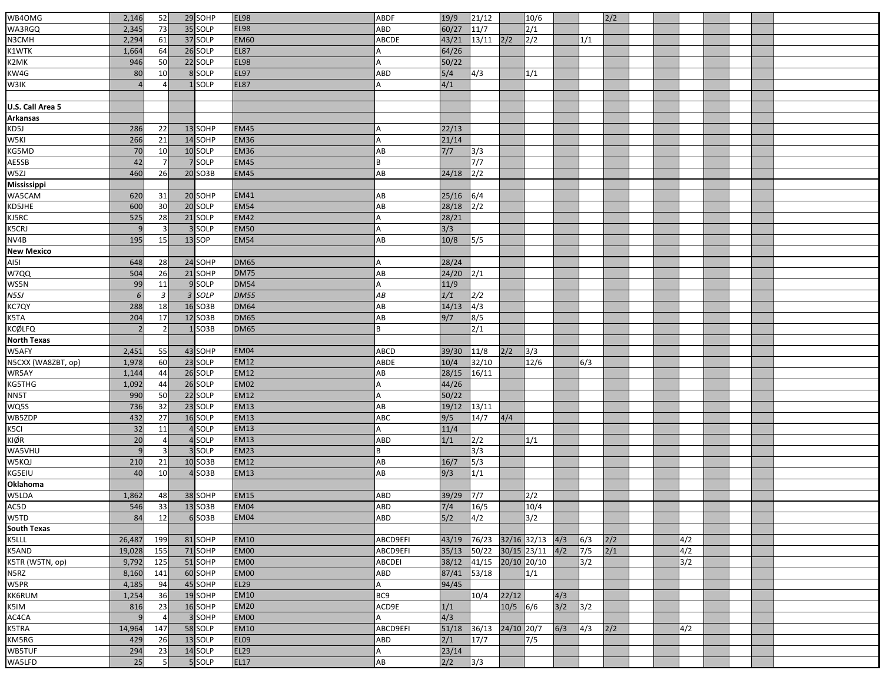| WB4OMG             | 2,146        | 52               | 29 SOHP  | <b>EL98</b> | ABDF            | 19/9  | 21/12         |             | 10/6        |     |     | 2/2 |  |     |  |  |
|--------------------|--------------|------------------|----------|-------------|-----------------|-------|---------------|-------------|-------------|-----|-----|-----|--|-----|--|--|
| WA3RGQ             | 2,345        | 73               | 35 SOLP  | <b>EL98</b> | ABD             | 60/27 | 11/7          |             | 2/1         |     |     |     |  |     |  |  |
| N3CMH              | 2,294        | 61               | 37 SOLP  | <b>EM60</b> | ABCDE           | 43/21 | $13/11$ $2/2$ |             | 2/2         |     | 1/1 |     |  |     |  |  |
| K1WTK              | 1,664        | 64               | 26 SOLP  | <b>EL87</b> |                 | 64/26 |               |             |             |     |     |     |  |     |  |  |
|                    | 946          | 50               | 22 SOLP  | <b>EL98</b> |                 | 50/22 |               |             |             |     |     |     |  |     |  |  |
| K2MK               |              |                  |          |             |                 |       |               |             |             |     |     |     |  |     |  |  |
| KW4G               | 80           | 10               | 8 SOLP   | <b>EL97</b> | ABD             | 5/4   | 4/3           |             | 1/1         |     |     |     |  |     |  |  |
| W3IK               |              |                  | 1 SOLP   | <b>EL87</b> |                 | 4/1   |               |             |             |     |     |     |  |     |  |  |
|                    |              |                  |          |             |                 |       |               |             |             |     |     |     |  |     |  |  |
| U.S. Call Area 5   |              |                  |          |             |                 |       |               |             |             |     |     |     |  |     |  |  |
| <b>Arkansas</b>    |              |                  |          |             |                 |       |               |             |             |     |     |     |  |     |  |  |
| KD5J               | 286          | 22               | 13 SOHP  | <b>EM45</b> |                 | 22/13 |               |             |             |     |     |     |  |     |  |  |
| W5KI               | 266          | 21               | 14 SOHP  | <b>EM36</b> |                 | 21/14 |               |             |             |     |     |     |  |     |  |  |
| KG5MD              | 70           | 10               | 10 SOLP  | <b>EM36</b> | AB              | 7/7   | 3/3           |             |             |     |     |     |  |     |  |  |
| AE5SB              | 42           | $\overline{7}$   | 7 SOLP   | <b>EM45</b> | R               |       | 7/7           |             |             |     |     |     |  |     |  |  |
| W5ZJ               | 460          | 26               | 20 SO3B  | <b>EM45</b> | AB              | 24/18 | 2/2           |             |             |     |     |     |  |     |  |  |
| Mississippi        |              |                  |          |             |                 |       |               |             |             |     |     |     |  |     |  |  |
| WA5CAM             | 620          | 31               | 20 SOHP  | <b>EM41</b> | AB              | 25/16 | 6/4           |             |             |     |     |     |  |     |  |  |
| KD5JHE             | 600          | 30               | 20 SOLP  | <b>EM54</b> | AB              | 28/18 | $\sqrt{2/2}$  |             |             |     |     |     |  |     |  |  |
| KJ5RC              | 525          | 28               | 21 SOLP  | <b>EM42</b> |                 | 28/21 |               |             |             |     |     |     |  |     |  |  |
| K5CRJ              | $\mathbf{q}$ | $\overline{3}$   | 3 SOLP   | <b>EM50</b> |                 | 3/3   |               |             |             |     |     |     |  |     |  |  |
| NV4B               | 195          | 15               | $13$ SOP | <b>EM54</b> | AB              | 10/8  | 5/5           |             |             |     |     |     |  |     |  |  |
| <b>New Mexico</b>  |              |                  |          |             |                 |       |               |             |             |     |     |     |  |     |  |  |
| AI5I               | 648          | 28               | 24 SOHP  | <b>DM65</b> |                 | 28/24 |               |             |             |     |     |     |  |     |  |  |
| W7QQ               | 504          | 26               | 21 SOHP  | <b>DM75</b> | AB              | 24/20 | 2/1           |             |             |     |     |     |  |     |  |  |
| WS5N               | 99           | 11               | 9 SOLP   | <b>DM54</b> | А               | 11/9  |               |             |             |     |     |     |  |     |  |  |
| N5SJ               | 6            | $\overline{3}$   | 3 SOLP   | <b>DM55</b> | АB              | 1/1   | 2/2           |             |             |     |     |     |  |     |  |  |
| KC7QY              | 288          | 18               | 16 SO3B  | <b>DM64</b> | AB              | 14/13 | $\sqrt{4/3}$  |             |             |     |     |     |  |     |  |  |
| K5TA               | 204          | 17               | 12 SO3B  | <b>DM65</b> | AB              | 9/7   | 8/5           |             |             |     |     |     |  |     |  |  |
| KCØLFQ             |              | 2                | $1$ SO3B | <b>DM65</b> | B               |       | 2/1           |             |             |     |     |     |  |     |  |  |
| <b>North Texas</b> |              |                  |          |             |                 |       |               |             |             |     |     |     |  |     |  |  |
| W5AFY              | 2,451        | 55               | 43 SOHP  | <b>EM04</b> | <b>ABCD</b>     | 39/30 | 11/8          | 2/2         | 3/3         |     |     |     |  |     |  |  |
| N5CXX (WA8ZBT, op) | 1,978        | 60               | 23 SOLP  | <b>EM12</b> | ABDE            | 10/4  | 32/10         |             | 12/6        |     | 6/3 |     |  |     |  |  |
| WR5AY              | 1,144        | 44               | 26 SOLP  | <b>EM12</b> | AB              | 28/15 | 16/11         |             |             |     |     |     |  |     |  |  |
| KG5THG             | 1,092        | 44               | 26 SOLP  | <b>EM02</b> | A               | 44/26 |               |             |             |     |     |     |  |     |  |  |
| NN5T               | 990          | 50               | 22 SOLP  | <b>EM12</b> |                 | 50/22 |               |             |             |     |     |     |  |     |  |  |
| WQ5S               | 736          | 32               | 23 SOLP  | <b>EM13</b> | AB              | 19/12 | 13/11         |             |             |     |     |     |  |     |  |  |
| WB5ZDP             | 432          | 27               | 16 SOLP  | <b>EM13</b> | ABC             | 9/5   | 14/7          | 4/4         |             |     |     |     |  |     |  |  |
| K5CI               | 32           | 11               | 4 SOLP   | <b>EM13</b> |                 | 11/4  |               |             |             |     |     |     |  |     |  |  |
| KIØR               | 20           | $\overline{4}$   | 4 SOLP   | <b>EM13</b> | ABD             | 1/1   | 2/2           |             | 1/1         |     |     |     |  |     |  |  |
| WA5VHU             | q            | 3                | 3 SOLP   | <b>EM23</b> | B               |       | 3/3           |             |             |     |     |     |  |     |  |  |
| W5KQJ              | 210          | 21               | 10 SO3B  | <b>EM12</b> | AB              | 16/7  | 5/3           |             |             |     |     |     |  |     |  |  |
| KG5EIU             | 40           | 10               | $4$ SO3B | <b>EM13</b> | AB              | 9/3   | 1/1           |             |             |     |     |     |  |     |  |  |
| Oklahoma           |              |                  |          |             |                 |       |               |             |             |     |     |     |  |     |  |  |
| W5LDA              | 1,862        | 48               | 38 SOHP  | <b>EM15</b> | ABD             | 39/29 | 7/7           |             | 2/2         |     |     |     |  |     |  |  |
| AC5D               | 546          | 33               | 13 SO3B  | <b>EM04</b> | <b>ABD</b>      | $7/4$ | 16/5          |             | 10/4        |     |     |     |  |     |  |  |
| W5TD               | 84           | 12               | $6$ SO3B | <b>EM04</b> | <b>ABD</b>      | 5/2   | 4/2           |             | 3/2         |     |     |     |  |     |  |  |
| South Texas        |              |                  |          |             |                 |       |               |             |             |     |     |     |  |     |  |  |
| K5LLL              | 26,487       | 199              | 81 SOHP  | <b>EM10</b> | ABCD9EFI        | 43/19 | 76/23         |             | 32/16 32/13 | 4/3 | 6/3 | 2/2 |  | 4/2 |  |  |
| <b>K5AND</b>       | 19,028       | 155              | 71 SOHP  | <b>EM00</b> | ABCD9EFI        | 35/13 | 50/22         |             | 30/15 23/11 | 4/2 | 7/5 | 2/1 |  | 4/2 |  |  |
| K5TR (W5TN, op)    | 9,792        | 125              | 51 SOHP  | <b>EM00</b> | <b>ABCDEI</b>   | 38/12 | 41/15         | 20/10 20/10 |             |     | 3/2 |     |  | 3/2 |  |  |
|                    |              |                  |          |             |                 |       |               |             |             |     |     |     |  |     |  |  |
| N5RZ               | 8,160        | 141              | 60 SOHP  | <b>EM00</b> | ABD             | 87/41 | 53/18         |             | 1/1         |     |     |     |  |     |  |  |
| W5PR               | 4,185        | 94               | 45 SOHP  | <b>EL29</b> | A               | 94/45 |               |             |             |     |     |     |  |     |  |  |
| KK6RUM             | 1,254        | 36               | 19 SOHP  | <b>EM10</b> | BC <sub>9</sub> |       | 10/4          | 22/12       |             | 4/3 |     |     |  |     |  |  |
| K5IM               | 816          | 23               | 16 SOHP  | <b>EM20</b> | ACD9E           | 1/1   |               | $10/5$ 6/6  |             | 3/2 | 3/2 |     |  |     |  |  |
| AC4CA              |              | 4                | 3 SOHP   | <b>EM00</b> |                 | 4/3   |               |             |             |     |     |     |  |     |  |  |
| K5TRA              | 14,964       | 147              | 58 SOLP  | <b>EM10</b> | ABCD9EFI        | 51/18 | 36/13         | 24/10 20/7  |             | 6/3 | 4/3 | 2/2 |  | 4/2 |  |  |
| KM5RG              | 429          | 26               | 13 SOLP  | <b>EL09</b> | ABD             | 2/1   | 17/7          |             | 7/5         |     |     |     |  |     |  |  |
| WB5TUF             | 294          | 23               | 14 SOLP  | <b>EL29</b> |                 | 23/14 |               |             |             |     |     |     |  |     |  |  |
| WA5LFD             | 25           | $5 \overline{S}$ | 5 SOLP   | <b>EL17</b> | AB              | 2/2   | 3/3           |             |             |     |     |     |  |     |  |  |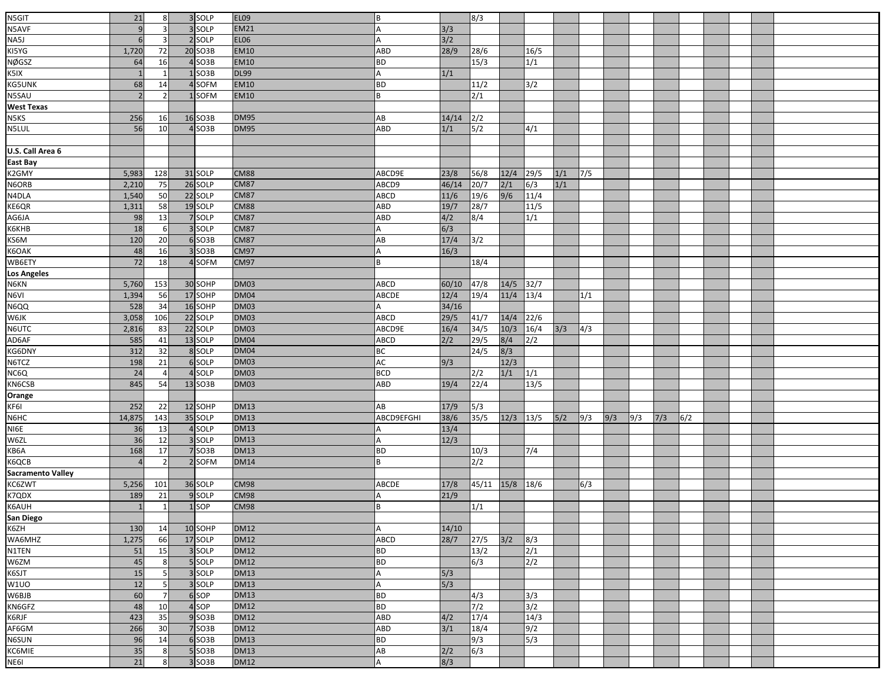|                               |                          |                |                      | <b>EL09</b> |             |        |                |             |        |       |              |     |     |     |     |  |  |
|-------------------------------|--------------------------|----------------|----------------------|-------------|-------------|--------|----------------|-------------|--------|-------|--------------|-----|-----|-----|-----|--|--|
| N5GIT                         | 21                       | 8              | 3 SOLP               |             | l B         |        | 8/3            |             |        |       |              |     |     |     |     |  |  |
|                               | $\overline{9}$           |                | 3 SOLP               | <b>EM21</b> | A           | 3/3    |                |             |        |       |              |     |     |     |     |  |  |
| NSAVE<br>NASJ<br>KISYG        | 6                        | $\overline{3}$ | 2 SOLP               | <b>EL06</b> | A           | 3/2    |                |             |        |       |              |     |     |     |     |  |  |
|                               | 1,720                    | 72             | 20 SO3B              | <b>EM10</b> | ABD         | 28/9   | 28/6           |             | 16/5   |       |              |     |     |     |     |  |  |
| <b>NØGSZ</b>                  | 64                       | 16             | 4 SO3B               | <b>EM10</b> | <b>BD</b>   |        | 15/3           |             | 1/1    |       |              |     |     |     |     |  |  |
| K5IX                          | $\mathbf{1}$             |                | $1$ SO3B             | <b>DL99</b> | A           | 1/1    |                |             |        |       |              |     |     |     |     |  |  |
| KG5UNK                        | 68                       | 14             | 4SOFM                | <b>EM10</b> | BD          |        | 11/2           |             | 3/2    |       |              |     |     |     |     |  |  |
| N5SAU                         | $\overline{\phantom{a}}$ |                | 1SOFM                | <b>EM10</b> | l B         |        | 2/1            |             |        |       |              |     |     |     |     |  |  |
| <b>West Texas</b>             |                          |                |                      |             |             |        |                |             |        |       |              |     |     |     |     |  |  |
| N5KS<br>N5LUL                 | 256                      | 16             | 16 SO3B              | <b>DM95</b> | AB          | 14/14  | 2/2            |             |        |       |              |     |     |     |     |  |  |
|                               | 56                       | 10             | $4$ SO3B             | <b>DM95</b> | ABD         | 1/1    | 5/2            |             | 4/1    |       |              |     |     |     |     |  |  |
|                               |                          |                |                      |             |             |        |                |             |        |       |              |     |     |     |     |  |  |
| U.S. Call Area 6              |                          |                |                      |             |             |        |                |             |        |       |              |     |     |     |     |  |  |
| East Bay                      |                          |                |                      |             |             |        |                |             |        |       |              |     |     |     |     |  |  |
| K2GMY                         | 5,983                    | 128            | 31 SOLP              | <b>CM88</b> | ABCD9E      | 23/8   | 56/8           | 12/4        | 29/5   | 1/1   | $\sqrt{7/5}$ |     |     |     |     |  |  |
| N6ORB<br>N4DLA                | 2,210                    | 75             | 26 SOLP              | <b>CM87</b> | ABCD9       | 46/14  | 20/7           | 2/1         | 6/3    | 1/1   |              |     |     |     |     |  |  |
|                               | 1,540                    | 50             | 22 SOLP              | <b>CM87</b> | ABCD        | $11/6$ | 19/6           | 9/6         | 11/4   |       |              |     |     |     |     |  |  |
| KE6QR                         | 1,311                    | 58             | 19SOLP               | <b>CM88</b> | ABD         | 19/7   | 28/7           |             | 11/5   |       |              |     |     |     |     |  |  |
| AG6JA                         | 98                       | 13             | 7 SOLP               | <b>CM87</b> | ABD         | 4/2    | 8/4            |             | 1/1    |       |              |     |     |     |     |  |  |
| К6КНВ                         | 18                       | 6              | 3 SOLP               | <b>CM87</b> | A           | 6/3    |                |             |        |       |              |     |     |     |     |  |  |
| KS6M                          | 120                      | 20             | $6$ SO3B             | <b>CM87</b> | AB          | 17/4   | 3/2            |             |        |       |              |     |     |     |     |  |  |
| K6OAK                         | 48                       | 16             | $3$ SO3B             | <b>CM97</b> | A           | 16/3   |                |             |        |       |              |     |     |     |     |  |  |
| WB6ETY                        | 72                       | 18             | 4 SOFM               | <b>CM97</b> | B           |        | 18/4           |             |        |       |              |     |     |     |     |  |  |
| <b>Los Angeles</b>            |                          |                |                      |             |             |        |                |             |        |       |              |     |     |     |     |  |  |
| N6KN<br>N6VI                  | 5,760                    | 153            | 30 SOHP              | <b>DM03</b> | ABCD        | 60/10  | 47/8           | 14/5        | 32/7   |       |              |     |     |     |     |  |  |
|                               | 1,394                    | 56             | 17 SOHP              | <b>DM04</b> | ABCDE       | 12/4   | 19/4           | 11/4        | 13/4   |       | 1/1          |     |     |     |     |  |  |
| NECO<br>MEQQ<br>MEJK<br>NEUTC | 528                      | 34             | 16 SOHP              | <b>DM03</b> |             | 34/16  |                |             |        |       |              |     |     |     |     |  |  |
|                               | 3,058                    | 106            | 22 SOLP              | <b>DM03</b> | <b>ABCD</b> | 29/5   | 41/7           | 14/4        | $22/6$ |       |              |     |     |     |     |  |  |
|                               | 2,816                    | 83             | 22 SOLP              | <b>DM03</b> | ABCD9E      | 16/4   | $34/5$         | $10/3$      | 16/4   | 3/3   | 4/3          |     |     |     |     |  |  |
| AD6AF                         | 585                      | 41             | 13 SOLP              | <b>DM04</b> | ABCD        | 2/2    | $\boxed{29/5}$ | 8/4         | 2/2    |       |              |     |     |     |     |  |  |
| KG6DNY<br>N6TCZ               | 312                      | 32             | 8 SOLP               | <b>DM04</b> | BC          |        | 24/5           | 8/3         |        |       |              |     |     |     |     |  |  |
|                               | 198                      | 21             | 6 SOLP               | <b>DM03</b> | AC          | 9/3    |                | 12/3        |        |       |              |     |     |     |     |  |  |
| NC6Q                          | 24                       | $\overline{4}$ | 4 SOLP               | <b>DM03</b> | <b>BCD</b>  |        | 2/2            | 1/1         | 1/1    |       |              |     |     |     |     |  |  |
| KN6CSB<br>Orange<br>KF6I      | 845                      | 54             | 13 SO <sub>3</sub> B | <b>DM03</b> | ABD         | 19/4   | 22/4           |             | 13/5   |       |              |     |     |     |     |  |  |
|                               |                          |                |                      |             |             |        |                |             |        |       |              |     |     |     |     |  |  |
|                               | 252                      | 22             | 12 SOHP              | <b>DM13</b> | AB          | 17/9   | 5/3            |             |        |       |              |     |     |     |     |  |  |
| N6HC<br>NI6E                  | 14,875                   | 143            | 35 SOLP              | <b>DM13</b> | ABCD9EFGHI  | 38/6   | 35/5           | $12/3$ 13/5 |        | $5/2$ | 9/3          | 9/3 | 9/3 | 7/3 | 6/2 |  |  |
|                               | 36                       | 13             | 4 SOLP               | <b>DM13</b> |             | 13/4   |                |             |        |       |              |     |     |     |     |  |  |
| W6ZL                          | 36                       | 12             | 3 SOLP               | <b>DM13</b> | А           | 12/3   |                |             |        |       |              |     |     |     |     |  |  |
| KB6A                          | 168                      | 17             | 7 SO3B               | <b>DM13</b> | <b>BD</b>   |        | 10/3           |             | 7/4    |       |              |     |     |     |     |  |  |
| K6QCB                         |                          | $\overline{z}$ | 2 SOFM               | <b>DM14</b> | B           |        | 2/2            |             |        |       |              |     |     |     |     |  |  |
| <b>Sacramento Valley</b>      |                          |                |                      |             |             |        |                |             |        |       |              |     |     |     |     |  |  |
| KC6ZWT                        | 5,256                    | 101            | 36 SOLP              | <b>CM98</b> | ABCDE       | 17/8   | 45/11          | 15/8        | 18/6   |       | 6/3          |     |     |     |     |  |  |
| K7QDX<br>K6AUH                | 189                      | 21             | 9 SOLP               | CM98        |             | 21/9   |                |             |        |       |              |     |     |     |     |  |  |
|                               | $\mathbf{1}$             | 1              | 1 SOP                | <b>CM98</b> | lв          |        | 1/1            |             |        |       |              |     |     |     |     |  |  |
| San Diego<br>K6ZH             |                          |                |                      |             |             |        |                |             |        |       |              |     |     |     |     |  |  |
|                               | 130                      | 14             | 10 SOHP              | <b>DM12</b> | А           | 14/10  |                |             |        |       |              |     |     |     |     |  |  |
| WA6MHZ                        | 1,275                    | 66             | 17 SOLP              | <b>DM12</b> | <b>ABCD</b> | 28/7   | 27/5           | 3/2         | 8/3    |       |              |     |     |     |     |  |  |
| N1TEN<br>W6ZM                 | 51                       | 15             | 3 SOLP               | <b>DM12</b> | BD          |        | 13/2           |             | 2/1    |       |              |     |     |     |     |  |  |
|                               | 45                       | 8              | 5 SOLP               | <b>DM12</b> | <b>BD</b>   |        | 6/3            |             | 2/2    |       |              |     |     |     |     |  |  |
| K6SJT                         | 15                       | 5              | 3 SOLP               | <b>DM13</b> | A           | 5/3    |                |             |        |       |              |     |     |     |     |  |  |
| W1UO<br>W6BJB                 | 12                       | 5              | 3 SOLP               | <b>DM13</b> | l A         | 5/3    |                |             |        |       |              |     |     |     |     |  |  |
|                               | 60                       | $\overline{7}$ | 6 SOP                | <b>DM13</b> | <b>BD</b>   |        | $\sqrt{4/3}$   |             | 3/3    |       |              |     |     |     |     |  |  |
| KN6GFZ                        | 48                       | 10             | 4 SOP                | <b>DM12</b> | BD          |        | 7/2            |             | 3/2    |       |              |     |     |     |     |  |  |
| K6RJF                         | 423                      | 35             | $9$ SO3B             | <b>DM12</b> | ABD         | 4/2    | 17/4           |             | 14/3   |       |              |     |     |     |     |  |  |
| AF6GM                         | 266                      | 30             | 7 SO3B               | <b>DM12</b> | ABD         | 3/1    | 18/4           |             | 9/2    |       |              |     |     |     |     |  |  |
| N6SUN                         | 96                       | 14             | 6 SO3B               | <b>DM13</b> | <b>BD</b>   |        | 9/3            |             | 5/3    |       |              |     |     |     |     |  |  |
| KC6MIE                        | 35                       | 8              | $5$ SO3B             | <b>DM13</b> | AB          | 2/2    | 6/3            |             |        |       |              |     |     |     |     |  |  |
| NE6I                          | 21                       | 8              | 3 SO3B               | <b>DM12</b> | A           | 8/3    |                |             |        |       |              |     |     |     |     |  |  |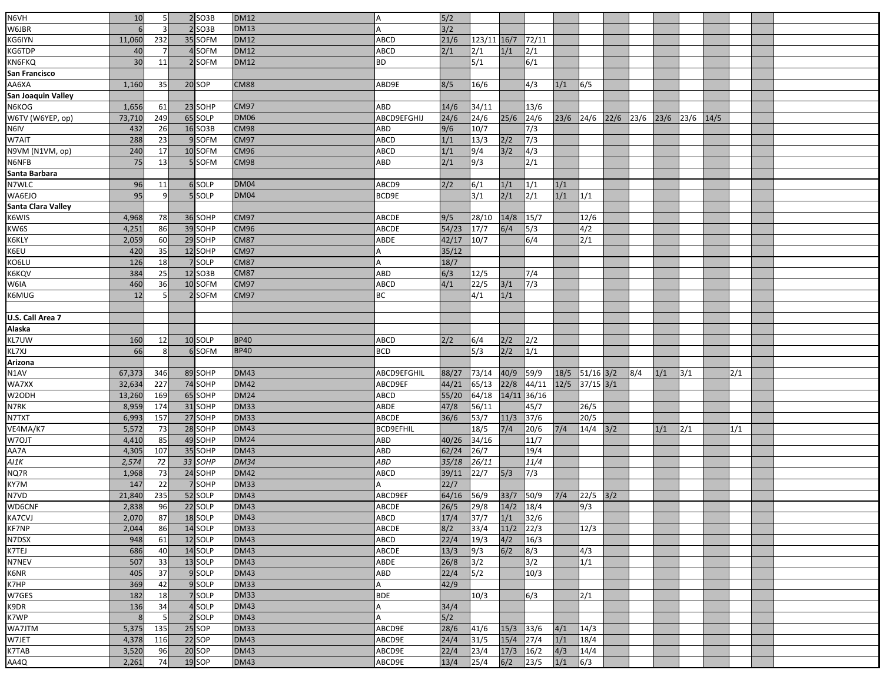| N6VH                              |           | 5              | $2$ SO3B          | <b>DM12</b> |                    |            |             |       |                |             |                |      |      |      |      |      |     |  |
|-----------------------------------|-----------|----------------|-------------------|-------------|--------------------|------------|-------------|-------|----------------|-------------|----------------|------|------|------|------|------|-----|--|
| W6JBR                             | 10<br>6   |                | $2$ SO3B          | <b>DM13</b> | А<br>A             | 5/2<br>3/2 |             |       |                |             |                |      |      |      |      |      |     |  |
|                                   |           |                |                   |             |                    |            |             |       |                |             |                |      |      |      |      |      |     |  |
| KG6IYN                            | 11,060    | 232            | 35 SOFM           | <b>DM12</b> | <b>ABCD</b>        | 21/6       | 123/11 16/7 |       | 72/11          |             |                |      |      |      |      |      |     |  |
| KG6TDP                            | 40        | $\overline{7}$ | 4 SOFM            | <b>DM12</b> | ABCD               | 2/1        | 2/1         | 1/1   | 2/1            |             |                |      |      |      |      |      |     |  |
| <b>KN6FKQ</b>                     | 30        | 11             | 2 SOFM            | <b>DM12</b> | <b>BD</b>          |            | 5/1         |       | 6/1            |             |                |      |      |      |      |      |     |  |
| San Francisco                     |           |                |                   |             |                    |            |             |       |                |             |                |      |      |      |      |      |     |  |
| AA6XA                             | 1,160     | 35             | 20 SOP            | <b>CM88</b> | ABD9E              | 8/5        | 16/6        |       | 4/3            | 1/1         | 6/5            |      |      |      |      |      |     |  |
| San Joaquin Valley                |           |                |                   |             |                    |            |             |       |                |             |                |      |      |      |      |      |     |  |
| N6KOG                             | 1,656     | 61             | 23 SOHP           | <b>CM97</b> | ABD                | 14/6       | 34/11       |       | 13/6           |             |                |      |      |      |      |      |     |  |
| W6TV (W6YEP, op)                  | 73,710    | 249            | 65 SOLP           | <b>DM06</b> | ABCD9EFGHIJ        | 24/6       | 24/6        | 25/6  | 24/6           | $23/6$ 24/6 |                | 22/6 | 23/6 | 23/6 | 23/6 | 14/5 |     |  |
| N6IV                              | 432       | 26             | 16 SO3B           | <b>CM98</b> | ABD                | 9/6        | 10/7        |       | 7/3            |             |                |      |      |      |      |      |     |  |
| W7AIT                             | 288       | 23             | 9 SOFM            | <b>CM97</b> | ABCD               | 1/1        | 13/3        | 2/2   | 7/3            |             |                |      |      |      |      |      |     |  |
| N9VM (N1VM, op)                   | 240       | 17             | 10 SOFM           | <b>CM96</b> | ABCD               | 1/1        | 9/4         | 3/2   | 4/3            |             |                |      |      |      |      |      |     |  |
| N6NFB                             | 75        | 13             | 5 SOFM            | <b>CM98</b> | ABD                | 2/1        | 9/3         |       | 2/1            |             |                |      |      |      |      |      |     |  |
| Santa Barbara                     |           |                |                   |             |                    |            |             |       |                |             |                |      |      |      |      |      |     |  |
| N7WLC                             | 96        | 11             | 6 SOLP            | <b>DM04</b> | ABCD9              | 2/2        | 6/1         | 1/1   | 1/1            | 1/1         |                |      |      |      |      |      |     |  |
| WA6EJO                            | 95        | 9              | 5 SOLP            | <b>DM04</b> | BCD9E              |            | 3/1         | 2/1   | 2/1            | 1/1         | 1/1            |      |      |      |      |      |     |  |
| Santa Clara Valley                |           |                |                   |             |                    |            |             |       |                |             |                |      |      |      |      |      |     |  |
| K6WIS                             | 4,968     | 78I            | 36 SOHP           | <b>CM97</b> | <b>ABCDE</b>       | 9/5        | 28/10       | 14/8  | 15/7           |             | 12/6           |      |      |      |      |      |     |  |
| KW6S                              | 4,251     | 86             | 39 SOHP           | <b>CM96</b> | ABCDE              | 54/23      | 17/7        | 6/4   | 5/3            |             | 4/2            |      |      |      |      |      |     |  |
| K6KLY                             | 2,059     | 60             | 29 SOHP           | <b>CM87</b> | ABDE               | 42/17      | 10/7        |       | 6/4            |             | 2/1            |      |      |      |      |      |     |  |
| K6EU                              | 420       | 35             | 12 SOHP           | <b>CM97</b> | А                  | 35/12      |             |       |                |             |                |      |      |      |      |      |     |  |
| KO6LU                             | 126       | 18             | 7 SOLP            | <b>CM87</b> | Α                  | 18/7       |             |       |                |             |                |      |      |      |      |      |     |  |
| <b>K6KQV</b>                      | 384       | 25             | 12 SO3B           | <b>CM87</b> | ABD                | 6/3        | 12/5        |       | 7/4            |             |                |      |      |      |      |      |     |  |
| W6IA                              | 460       | 36             | 10 SOFM           | <b>CM97</b> | <b>ABCD</b>        | 4/1        | 22/5        | $3/1$ | 7/3            |             |                |      |      |      |      |      |     |  |
| K6MUG                             | 12        |                | 2 SOFM            | <b>CM97</b> | ВC                 |            | 4/1         | 1/1   |                |             |                |      |      |      |      |      |     |  |
|                                   |           |                |                   |             |                    |            |             |       |                |             |                |      |      |      |      |      |     |  |
|                                   |           |                |                   |             |                    |            |             |       |                |             |                |      |      |      |      |      |     |  |
| U.S. Call Area 7<br><b>Alaska</b> |           |                |                   |             |                    |            |             |       |                |             |                |      |      |      |      |      |     |  |
| KL7UW                             |           |                |                   | <b>BP40</b> |                    |            |             |       | 2/2            |             |                |      |      |      |      |      |     |  |
| KL7XJ                             | 160<br>66 | 12             | 10 SOLP<br>6 SOFM | <b>BP40</b> | ABCD<br><b>BCD</b> | 2/2        | 6/4         | 2/2   | 1/1            |             |                |      |      |      |      |      |     |  |
| Arizona                           |           | 8              |                   |             |                    |            | 5/3         | 2/2   |                |             |                |      |      |      |      |      |     |  |
|                                   |           |                |                   |             |                    |            |             |       |                |             |                |      |      |      |      |      |     |  |
| N1AV                              | 67,373    | 346            | 89 SOHP           | <b>DM43</b> | ABCD9EFGHIL        | 88/27      | 73/14       | 40/9  | 59/9           |             | 18/5 51/16 3/2 |      | 8/4  | 1/1  | 3/1  |      | 2/1 |  |
| WA7XX                             | 32,634    | 227            | 74 SOHP           | <b>DM42</b> | ABCD9EF            | 44/21      | 65/13       | 22/8  | 44/11          | 12/5        | $37/15$ $3/1$  |      |      |      |      |      |     |  |
| W2ODH                             | 13,260    | 169            | 65 SOHP           | <b>DM24</b> | ABCD               | 55/20      | 64/18       |       | 14/11 36/16    |             |                |      |      |      |      |      |     |  |
| N7RK                              | 8,959     | 174            | 31 SOHP           | <b>DM33</b> | ABDE               | 47/8       | 56/11       |       | 45/7           |             | 26/5           |      |      |      |      |      |     |  |
| <b>N7TXT</b>                      | 6,993     | 157            | 27 SOHP           | <b>DM33</b> | ABCDE              | 36/6       | 53/7        | 11/3  | $37/6$         |             | 20/5           |      |      |      |      |      |     |  |
| VE4MA/K7                          | 5,572     | 73             | 28 SOHP           | <b>DM43</b> | <b>BCD9EFHIL</b>   |            | 18/5        | $7/4$ | 20/6           | $7/4$       | $14/4$ 3/2     |      |      | 1/1  | 2/1  |      | 1/1 |  |
| W7OJT                             | 4,410     | 85             | 49 SOHP           | <b>DM24</b> | ABD                | 40/26      | 34/16       |       | 11/7           |             |                |      |      |      |      |      |     |  |
| AA7A                              | 4,305     | 107            | 35 SOHP           | <b>DM43</b> | ABD                | 62/24      | 26/7        |       | 19/4           |             |                |      |      |      |      |      |     |  |
| A11K                              | 2,574     | 72             | 33 SOHP           | <b>DM34</b> | ABD                | 35/18      | 26/11       |       | 11/4           |             |                |      |      |      |      |      |     |  |
| NQ7R                              | 1,968     | 73             | 24 SOHP           | <b>DM42</b> | ABCD               | 39/11      | 22/7        | 5/3   | 7/3            |             |                |      |      |      |      |      |     |  |
| KY7M                              | 147       | 22             | 7 SOHP            | <b>DM33</b> |                    | 22/7       |             |       |                |             |                |      |      |      |      |      |     |  |
| N7VD                              | 21,840    | 235            | 52 SOLP           | <b>DM43</b> | ABCD9EF            | 64/16      | 56/9        | 33/7  | 50/9           | $7/4$       | 22/5 3/2       |      |      |      |      |      |     |  |
| <b>WD6CNF</b>                     | 2,838     | 96             | 22 SOLP           | <b>DM43</b> | <b>ABCDE</b>       | 26/5       | 29/8        | 14/2  | 18/4           |             | 9/3            |      |      |      |      |      |     |  |
| KA7CVJ                            | 2,070     | 87             | 18 SOLP           | <b>DM43</b> | <b>ABCD</b>        | 17/4       | 37/7        | 1/1   | 32/6           |             |                |      |      |      |      |      |     |  |
| <b>KF7NP</b>                      | 2,044     | 86             | 14 SOLP           | <b>DM33</b> | <b>ABCDE</b>       | 8/2        | 33/4        | 11/2  | 22/3           |             | 12/3           |      |      |      |      |      |     |  |
| N7DSX                             | 948       | 61             | 12 SOLP           | <b>DM43</b> | <b>ABCD</b>        | 22/4       | 19/3        | 4/2   | 16/3           |             |                |      |      |      |      |      |     |  |
| K7TEJ                             | 686       | 40             | 14 SOLP           | <b>DM43</b> | <b>ABCDE</b>       | 13/3       | 9/3         | 6/2   | 8/3            |             | 4/3            |      |      |      |      |      |     |  |
| N7NEV                             | 507       | 33             | 13 SOLP           | <b>DM43</b> | ABDE               | 26/8       | 3/2         |       | 3/2            |             | 1/1            |      |      |      |      |      |     |  |
| K6NR                              | 405       | 37             | 9 SOLP            | <b>DM43</b> | ABD                | 22/4       | 5/2         |       | 10/3           |             |                |      |      |      |      |      |     |  |
| K7HP                              | 369       | 42             | 9 SOLP            | <b>DM33</b> | A                  | 42/9       |             |       |                |             |                |      |      |      |      |      |     |  |
| W7GES                             | 182       | 18             | 7 SOLP            | <b>DM33</b> | <b>BDE</b>         |            | 10/3        |       | 6/3            |             | 2/1            |      |      |      |      |      |     |  |
| K9DR                              | 136       | 34             | 4 SOLP            | <b>DM43</b> | Α                  | 34/4       |             |       |                |             |                |      |      |      |      |      |     |  |
| K7WP                              | 8         | 5              | 2 SOLP            | <b>DM43</b> | A                  | 5/2        |             |       |                |             |                |      |      |      |      |      |     |  |
| WA7JTM                            | 5,375     | 135            | 25 SOP            | <b>DM33</b> | ABCD9E             | 28/6       | 41/6        | 15/3  | 33/6           | 4/1         | 14/3           |      |      |      |      |      |     |  |
| W7JET                             | 4,378     | 116            | 22 SOP            | <b>DM43</b> | ABCD9E             | 24/4       | 31/5        | 15/4  | 27/4           | 1/1         | 18/4           |      |      |      |      |      |     |  |
| K7TAB                             | 3,520     | 96             | 20 SOP            | <b>DM43</b> | ABCD9E             | 22/4       | 23/4        | 17/3  | $\boxed{16/2}$ | 4/3         | 14/4           |      |      |      |      |      |     |  |
| AA4Q                              | 2,261     | 74             | 19 SOP            | <b>DM43</b> | ABCD9E             | 13/4       | 25/4        | 6/2   | 23/5           | 1/1         | $\sqrt{6/3}$   |      |      |      |      |      |     |  |
|                                   |           |                |                   |             |                    |            |             |       |                |             |                |      |      |      |      |      |     |  |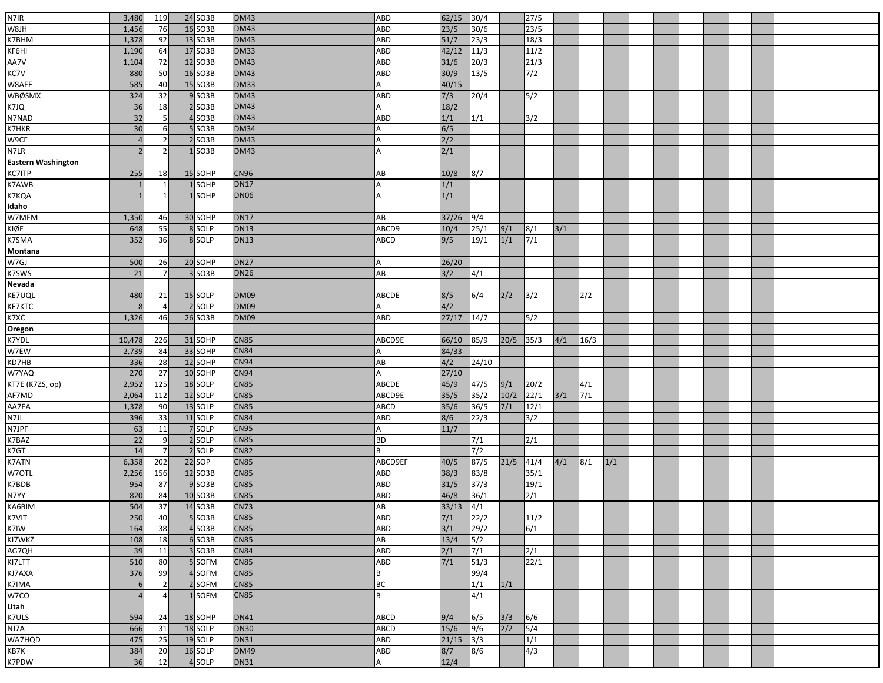| N7IR<br>24 SO3B<br>3,480<br><b>DM43</b><br>62/15<br>30/4<br>27/5<br>119<br>ABD<br>W8JH<br>76<br>16 SO3B<br><b>DM43</b><br>23/5<br>30/6<br>23/5<br>1,456<br>ABD<br>K7BHM<br><b>DM43</b><br>51/7<br>23/3<br>1,378<br>92<br>13 SO3B<br>18/3<br>ABD<br>KF6HI<br>17 SO3B<br>42/12<br>11/3<br>11/2<br>1,190<br>64<br><b>DM33</b><br>ABD<br>AA7V<br>KC7V<br>72<br>12 SO3B<br><b>DM43</b><br>$31/6$<br>20/3<br>21/3<br>1,104<br>ABD<br>50<br>7/2<br>880<br>16 SO3B<br><b>DM43</b><br>ABD<br>30/9<br>13/5<br>W8AEF<br>585<br>15 SO3B<br>40<br><b>DM33</b><br>40/15<br>A<br><b>WBØSMX</b><br>324<br><b>DM43</b><br>5/2<br>32<br>9 SO3B<br>ABD<br>7/3<br>20/4<br>K7JQ<br>36<br>18<br>$2$ SO3B<br><b>DM43</b><br>18/2<br>N7NAD<br>32<br>$4$ SO3B<br><b>DM43</b><br>1/1<br>3/2<br>ABD<br>1/1<br><b>K7HKR</b><br>30<br>6/5<br>$5$ SO3B<br><b>DM34</b><br>6<br>A<br>W9CF<br><b>DM43</b><br>$2$ SO3B<br>2/2<br>$\overline{4}$<br>2<br>N7LR<br>2/1<br>SO <sub>3</sub> B<br><b>DM43</b><br>$\overline{\phantom{a}}$<br>2<br>А<br><b>Eastern Washington</b><br><b>KC7ITP</b><br>255<br>18<br>15 SOHP<br><b>CN96</b><br>AB<br>10/8<br> 8/7<br>K7AWB<br>K7KQA<br>1/1<br>SOHP<br><b>DN17</b><br><b>DN06</b><br>1/1<br>1 SOHP<br><b>Idaho</b><br>W7MEM<br><b>DN17</b><br>30 SOHP<br>AB<br>37/26<br>9/4<br>1,350<br>46<br>KIØE<br>648<br>55<br>8 SOLP<br><b>DN13</b><br>ABCD9<br>10/4<br>25/1<br>9/1<br>8/1<br>3/1<br>K7SMA<br>352<br>36<br>8 SOLP<br><b>DN13</b><br>9/5<br>19/1<br>1/1<br>7/1<br>ABCD<br>Montana<br>W7GJ<br>500<br><b>DN27</b><br>26<br>20 SOHP<br>26/20<br>K7SWS<br>21<br>3 SO3B<br>AB<br>3/2<br><b>DN26</b><br>4/1<br>7<br><b>Nevada</b><br><b>KE7UQL</b><br><b>DM09</b><br>2/2<br>3/2<br>480<br>21<br>15 SOLP<br>ABCDE<br>8/5<br>6/4<br>2/2<br>KF7KTC<br>4/2<br>2 SOLP<br><b>DM09</b><br>8<br>$\overline{4}$<br>K7XC<br>Oregon<br>26 SO3B<br><b>DM09</b><br>27/17<br>5/2<br>1,326<br>46<br>14/7<br>ABD<br>K7YDL<br>$20/5$ 35/3<br>4/1<br>10,478<br>226<br>31 SOHP<br><b>CN85</b><br>ABCD9E<br>66/10<br>85/9<br>16/3<br>W7EW<br>33 SOHP<br>84<br><b>CN84</b><br>84/33<br>2,739<br>KD7HB<br>336<br>28<br>12 SOHP<br>CN94<br>4/2<br>AB<br>24/10<br>W7YAQ<br><b>CN94</b><br>27/10<br>270<br>27<br>10 SOHP<br>А<br>KT7E (K7ZS, op)<br>2,952<br>125<br>18 SOLP<br><b>CN85</b><br>45/9<br>47/5<br>9/1<br>20/2<br>ABCDE<br>4/1<br>AF7MD<br><b>CN85</b><br>35/2<br>$10/2$<br>$\sqrt{7/1}$<br>112<br>12 SOLP<br>35/5<br>$22/1$<br>3/1<br>2,064<br>ABCD9E<br>AA7EA<br>36/5<br>7/1<br>1,378<br>90<br>13 SOLP<br><b>CN85</b><br>35/6<br>12/1<br>ABCD<br>N7JI<br>396<br>33<br><b>CN84</b><br>11 SOLP<br>8/6<br>22/3<br>3/2<br>ABD |
|-----------------------------------------------------------------------------------------------------------------------------------------------------------------------------------------------------------------------------------------------------------------------------------------------------------------------------------------------------------------------------------------------------------------------------------------------------------------------------------------------------------------------------------------------------------------------------------------------------------------------------------------------------------------------------------------------------------------------------------------------------------------------------------------------------------------------------------------------------------------------------------------------------------------------------------------------------------------------------------------------------------------------------------------------------------------------------------------------------------------------------------------------------------------------------------------------------------------------------------------------------------------------------------------------------------------------------------------------------------------------------------------------------------------------------------------------------------------------------------------------------------------------------------------------------------------------------------------------------------------------------------------------------------------------------------------------------------------------------------------------------------------------------------------------------------------------------------------------------------------------------------------------------------------------------------------------------------------------------------------------------------------------------------------------------------------------------------------------------------------------------------------------------------------------------------------------------------------------------------------------------------------------------------------------------------------------------------------------------------------------------------------------------------------------------------------------------------------------------------------------------------------------------------------------------------------------------------------------------------------|
|                                                                                                                                                                                                                                                                                                                                                                                                                                                                                                                                                                                                                                                                                                                                                                                                                                                                                                                                                                                                                                                                                                                                                                                                                                                                                                                                                                                                                                                                                                                                                                                                                                                                                                                                                                                                                                                                                                                                                                                                                                                                                                                                                                                                                                                                                                                                                                                                                                                                                                                                                                                                                 |
|                                                                                                                                                                                                                                                                                                                                                                                                                                                                                                                                                                                                                                                                                                                                                                                                                                                                                                                                                                                                                                                                                                                                                                                                                                                                                                                                                                                                                                                                                                                                                                                                                                                                                                                                                                                                                                                                                                                                                                                                                                                                                                                                                                                                                                                                                                                                                                                                                                                                                                                                                                                                                 |
|                                                                                                                                                                                                                                                                                                                                                                                                                                                                                                                                                                                                                                                                                                                                                                                                                                                                                                                                                                                                                                                                                                                                                                                                                                                                                                                                                                                                                                                                                                                                                                                                                                                                                                                                                                                                                                                                                                                                                                                                                                                                                                                                                                                                                                                                                                                                                                                                                                                                                                                                                                                                                 |
|                                                                                                                                                                                                                                                                                                                                                                                                                                                                                                                                                                                                                                                                                                                                                                                                                                                                                                                                                                                                                                                                                                                                                                                                                                                                                                                                                                                                                                                                                                                                                                                                                                                                                                                                                                                                                                                                                                                                                                                                                                                                                                                                                                                                                                                                                                                                                                                                                                                                                                                                                                                                                 |
|                                                                                                                                                                                                                                                                                                                                                                                                                                                                                                                                                                                                                                                                                                                                                                                                                                                                                                                                                                                                                                                                                                                                                                                                                                                                                                                                                                                                                                                                                                                                                                                                                                                                                                                                                                                                                                                                                                                                                                                                                                                                                                                                                                                                                                                                                                                                                                                                                                                                                                                                                                                                                 |
|                                                                                                                                                                                                                                                                                                                                                                                                                                                                                                                                                                                                                                                                                                                                                                                                                                                                                                                                                                                                                                                                                                                                                                                                                                                                                                                                                                                                                                                                                                                                                                                                                                                                                                                                                                                                                                                                                                                                                                                                                                                                                                                                                                                                                                                                                                                                                                                                                                                                                                                                                                                                                 |
|                                                                                                                                                                                                                                                                                                                                                                                                                                                                                                                                                                                                                                                                                                                                                                                                                                                                                                                                                                                                                                                                                                                                                                                                                                                                                                                                                                                                                                                                                                                                                                                                                                                                                                                                                                                                                                                                                                                                                                                                                                                                                                                                                                                                                                                                                                                                                                                                                                                                                                                                                                                                                 |
|                                                                                                                                                                                                                                                                                                                                                                                                                                                                                                                                                                                                                                                                                                                                                                                                                                                                                                                                                                                                                                                                                                                                                                                                                                                                                                                                                                                                                                                                                                                                                                                                                                                                                                                                                                                                                                                                                                                                                                                                                                                                                                                                                                                                                                                                                                                                                                                                                                                                                                                                                                                                                 |
|                                                                                                                                                                                                                                                                                                                                                                                                                                                                                                                                                                                                                                                                                                                                                                                                                                                                                                                                                                                                                                                                                                                                                                                                                                                                                                                                                                                                                                                                                                                                                                                                                                                                                                                                                                                                                                                                                                                                                                                                                                                                                                                                                                                                                                                                                                                                                                                                                                                                                                                                                                                                                 |
|                                                                                                                                                                                                                                                                                                                                                                                                                                                                                                                                                                                                                                                                                                                                                                                                                                                                                                                                                                                                                                                                                                                                                                                                                                                                                                                                                                                                                                                                                                                                                                                                                                                                                                                                                                                                                                                                                                                                                                                                                                                                                                                                                                                                                                                                                                                                                                                                                                                                                                                                                                                                                 |
|                                                                                                                                                                                                                                                                                                                                                                                                                                                                                                                                                                                                                                                                                                                                                                                                                                                                                                                                                                                                                                                                                                                                                                                                                                                                                                                                                                                                                                                                                                                                                                                                                                                                                                                                                                                                                                                                                                                                                                                                                                                                                                                                                                                                                                                                                                                                                                                                                                                                                                                                                                                                                 |
|                                                                                                                                                                                                                                                                                                                                                                                                                                                                                                                                                                                                                                                                                                                                                                                                                                                                                                                                                                                                                                                                                                                                                                                                                                                                                                                                                                                                                                                                                                                                                                                                                                                                                                                                                                                                                                                                                                                                                                                                                                                                                                                                                                                                                                                                                                                                                                                                                                                                                                                                                                                                                 |
|                                                                                                                                                                                                                                                                                                                                                                                                                                                                                                                                                                                                                                                                                                                                                                                                                                                                                                                                                                                                                                                                                                                                                                                                                                                                                                                                                                                                                                                                                                                                                                                                                                                                                                                                                                                                                                                                                                                                                                                                                                                                                                                                                                                                                                                                                                                                                                                                                                                                                                                                                                                                                 |
|                                                                                                                                                                                                                                                                                                                                                                                                                                                                                                                                                                                                                                                                                                                                                                                                                                                                                                                                                                                                                                                                                                                                                                                                                                                                                                                                                                                                                                                                                                                                                                                                                                                                                                                                                                                                                                                                                                                                                                                                                                                                                                                                                                                                                                                                                                                                                                                                                                                                                                                                                                                                                 |
|                                                                                                                                                                                                                                                                                                                                                                                                                                                                                                                                                                                                                                                                                                                                                                                                                                                                                                                                                                                                                                                                                                                                                                                                                                                                                                                                                                                                                                                                                                                                                                                                                                                                                                                                                                                                                                                                                                                                                                                                                                                                                                                                                                                                                                                                                                                                                                                                                                                                                                                                                                                                                 |
|                                                                                                                                                                                                                                                                                                                                                                                                                                                                                                                                                                                                                                                                                                                                                                                                                                                                                                                                                                                                                                                                                                                                                                                                                                                                                                                                                                                                                                                                                                                                                                                                                                                                                                                                                                                                                                                                                                                                                                                                                                                                                                                                                                                                                                                                                                                                                                                                                                                                                                                                                                                                                 |
|                                                                                                                                                                                                                                                                                                                                                                                                                                                                                                                                                                                                                                                                                                                                                                                                                                                                                                                                                                                                                                                                                                                                                                                                                                                                                                                                                                                                                                                                                                                                                                                                                                                                                                                                                                                                                                                                                                                                                                                                                                                                                                                                                                                                                                                                                                                                                                                                                                                                                                                                                                                                                 |
|                                                                                                                                                                                                                                                                                                                                                                                                                                                                                                                                                                                                                                                                                                                                                                                                                                                                                                                                                                                                                                                                                                                                                                                                                                                                                                                                                                                                                                                                                                                                                                                                                                                                                                                                                                                                                                                                                                                                                                                                                                                                                                                                                                                                                                                                                                                                                                                                                                                                                                                                                                                                                 |
|                                                                                                                                                                                                                                                                                                                                                                                                                                                                                                                                                                                                                                                                                                                                                                                                                                                                                                                                                                                                                                                                                                                                                                                                                                                                                                                                                                                                                                                                                                                                                                                                                                                                                                                                                                                                                                                                                                                                                                                                                                                                                                                                                                                                                                                                                                                                                                                                                                                                                                                                                                                                                 |
|                                                                                                                                                                                                                                                                                                                                                                                                                                                                                                                                                                                                                                                                                                                                                                                                                                                                                                                                                                                                                                                                                                                                                                                                                                                                                                                                                                                                                                                                                                                                                                                                                                                                                                                                                                                                                                                                                                                                                                                                                                                                                                                                                                                                                                                                                                                                                                                                                                                                                                                                                                                                                 |
|                                                                                                                                                                                                                                                                                                                                                                                                                                                                                                                                                                                                                                                                                                                                                                                                                                                                                                                                                                                                                                                                                                                                                                                                                                                                                                                                                                                                                                                                                                                                                                                                                                                                                                                                                                                                                                                                                                                                                                                                                                                                                                                                                                                                                                                                                                                                                                                                                                                                                                                                                                                                                 |
|                                                                                                                                                                                                                                                                                                                                                                                                                                                                                                                                                                                                                                                                                                                                                                                                                                                                                                                                                                                                                                                                                                                                                                                                                                                                                                                                                                                                                                                                                                                                                                                                                                                                                                                                                                                                                                                                                                                                                                                                                                                                                                                                                                                                                                                                                                                                                                                                                                                                                                                                                                                                                 |
|                                                                                                                                                                                                                                                                                                                                                                                                                                                                                                                                                                                                                                                                                                                                                                                                                                                                                                                                                                                                                                                                                                                                                                                                                                                                                                                                                                                                                                                                                                                                                                                                                                                                                                                                                                                                                                                                                                                                                                                                                                                                                                                                                                                                                                                                                                                                                                                                                                                                                                                                                                                                                 |
|                                                                                                                                                                                                                                                                                                                                                                                                                                                                                                                                                                                                                                                                                                                                                                                                                                                                                                                                                                                                                                                                                                                                                                                                                                                                                                                                                                                                                                                                                                                                                                                                                                                                                                                                                                                                                                                                                                                                                                                                                                                                                                                                                                                                                                                                                                                                                                                                                                                                                                                                                                                                                 |
|                                                                                                                                                                                                                                                                                                                                                                                                                                                                                                                                                                                                                                                                                                                                                                                                                                                                                                                                                                                                                                                                                                                                                                                                                                                                                                                                                                                                                                                                                                                                                                                                                                                                                                                                                                                                                                                                                                                                                                                                                                                                                                                                                                                                                                                                                                                                                                                                                                                                                                                                                                                                                 |
|                                                                                                                                                                                                                                                                                                                                                                                                                                                                                                                                                                                                                                                                                                                                                                                                                                                                                                                                                                                                                                                                                                                                                                                                                                                                                                                                                                                                                                                                                                                                                                                                                                                                                                                                                                                                                                                                                                                                                                                                                                                                                                                                                                                                                                                                                                                                                                                                                                                                                                                                                                                                                 |
|                                                                                                                                                                                                                                                                                                                                                                                                                                                                                                                                                                                                                                                                                                                                                                                                                                                                                                                                                                                                                                                                                                                                                                                                                                                                                                                                                                                                                                                                                                                                                                                                                                                                                                                                                                                                                                                                                                                                                                                                                                                                                                                                                                                                                                                                                                                                                                                                                                                                                                                                                                                                                 |
|                                                                                                                                                                                                                                                                                                                                                                                                                                                                                                                                                                                                                                                                                                                                                                                                                                                                                                                                                                                                                                                                                                                                                                                                                                                                                                                                                                                                                                                                                                                                                                                                                                                                                                                                                                                                                                                                                                                                                                                                                                                                                                                                                                                                                                                                                                                                                                                                                                                                                                                                                                                                                 |
|                                                                                                                                                                                                                                                                                                                                                                                                                                                                                                                                                                                                                                                                                                                                                                                                                                                                                                                                                                                                                                                                                                                                                                                                                                                                                                                                                                                                                                                                                                                                                                                                                                                                                                                                                                                                                                                                                                                                                                                                                                                                                                                                                                                                                                                                                                                                                                                                                                                                                                                                                                                                                 |
|                                                                                                                                                                                                                                                                                                                                                                                                                                                                                                                                                                                                                                                                                                                                                                                                                                                                                                                                                                                                                                                                                                                                                                                                                                                                                                                                                                                                                                                                                                                                                                                                                                                                                                                                                                                                                                                                                                                                                                                                                                                                                                                                                                                                                                                                                                                                                                                                                                                                                                                                                                                                                 |
|                                                                                                                                                                                                                                                                                                                                                                                                                                                                                                                                                                                                                                                                                                                                                                                                                                                                                                                                                                                                                                                                                                                                                                                                                                                                                                                                                                                                                                                                                                                                                                                                                                                                                                                                                                                                                                                                                                                                                                                                                                                                                                                                                                                                                                                                                                                                                                                                                                                                                                                                                                                                                 |
|                                                                                                                                                                                                                                                                                                                                                                                                                                                                                                                                                                                                                                                                                                                                                                                                                                                                                                                                                                                                                                                                                                                                                                                                                                                                                                                                                                                                                                                                                                                                                                                                                                                                                                                                                                                                                                                                                                                                                                                                                                                                                                                                                                                                                                                                                                                                                                                                                                                                                                                                                                                                                 |
|                                                                                                                                                                                                                                                                                                                                                                                                                                                                                                                                                                                                                                                                                                                                                                                                                                                                                                                                                                                                                                                                                                                                                                                                                                                                                                                                                                                                                                                                                                                                                                                                                                                                                                                                                                                                                                                                                                                                                                                                                                                                                                                                                                                                                                                                                                                                                                                                                                                                                                                                                                                                                 |
|                                                                                                                                                                                                                                                                                                                                                                                                                                                                                                                                                                                                                                                                                                                                                                                                                                                                                                                                                                                                                                                                                                                                                                                                                                                                                                                                                                                                                                                                                                                                                                                                                                                                                                                                                                                                                                                                                                                                                                                                                                                                                                                                                                                                                                                                                                                                                                                                                                                                                                                                                                                                                 |
|                                                                                                                                                                                                                                                                                                                                                                                                                                                                                                                                                                                                                                                                                                                                                                                                                                                                                                                                                                                                                                                                                                                                                                                                                                                                                                                                                                                                                                                                                                                                                                                                                                                                                                                                                                                                                                                                                                                                                                                                                                                                                                                                                                                                                                                                                                                                                                                                                                                                                                                                                                                                                 |
|                                                                                                                                                                                                                                                                                                                                                                                                                                                                                                                                                                                                                                                                                                                                                                                                                                                                                                                                                                                                                                                                                                                                                                                                                                                                                                                                                                                                                                                                                                                                                                                                                                                                                                                                                                                                                                                                                                                                                                                                                                                                                                                                                                                                                                                                                                                                                                                                                                                                                                                                                                                                                 |
|                                                                                                                                                                                                                                                                                                                                                                                                                                                                                                                                                                                                                                                                                                                                                                                                                                                                                                                                                                                                                                                                                                                                                                                                                                                                                                                                                                                                                                                                                                                                                                                                                                                                                                                                                                                                                                                                                                                                                                                                                                                                                                                                                                                                                                                                                                                                                                                                                                                                                                                                                                                                                 |
|                                                                                                                                                                                                                                                                                                                                                                                                                                                                                                                                                                                                                                                                                                                                                                                                                                                                                                                                                                                                                                                                                                                                                                                                                                                                                                                                                                                                                                                                                                                                                                                                                                                                                                                                                                                                                                                                                                                                                                                                                                                                                                                                                                                                                                                                                                                                                                                                                                                                                                                                                                                                                 |
| N7JPF<br>63<br>11<br>7 SOLP<br><b>CN95</b><br>11/7                                                                                                                                                                                                                                                                                                                                                                                                                                                                                                                                                                                                                                                                                                                                                                                                                                                                                                                                                                                                                                                                                                                                                                                                                                                                                                                                                                                                                                                                                                                                                                                                                                                                                                                                                                                                                                                                                                                                                                                                                                                                                                                                                                                                                                                                                                                                                                                                                                                                                                                                                              |
| 22<br>2 SOLP<br><b>CN85</b><br><b>BD</b><br>7/1<br>2/1<br>9                                                                                                                                                                                                                                                                                                                                                                                                                                                                                                                                                                                                                                                                                                                                                                                                                                                                                                                                                                                                                                                                                                                                                                                                                                                                                                                                                                                                                                                                                                                                                                                                                                                                                                                                                                                                                                                                                                                                                                                                                                                                                                                                                                                                                                                                                                                                                                                                                                                                                                                                                     |
| K7BAZ<br>K7GT<br>14<br>$7/2$<br>2 SOLP<br>B<br><b>CN82</b><br>7                                                                                                                                                                                                                                                                                                                                                                                                                                                                                                                                                                                                                                                                                                                                                                                                                                                                                                                                                                                                                                                                                                                                                                                                                                                                                                                                                                                                                                                                                                                                                                                                                                                                                                                                                                                                                                                                                                                                                                                                                                                                                                                                                                                                                                                                                                                                                                                                                                                                                                                                                 |
| <b>K7ATN</b><br>202<br>22 SOP<br>87/5<br>$21/5$ 41/4<br>4/1<br>6,358<br><b>CN85</b><br>ABCD9EF<br>40/5                                                                                                                                                                                                                                                                                                                                                                                                                                                                                                                                                                                                                                                                                                                                                                                                                                                                                                                                                                                                                                                                                                                                                                                                                                                                                                                                                                                                                                                                                                                                                                                                                                                                                                                                                                                                                                                                                                                                                                                                                                                                                                                                                                                                                                                                                                                                                                                                                                                                                                          |
| 8/1<br>1/1<br>W70TL<br><b>CN85</b><br>12 SO <sub>3</sub> B                                                                                                                                                                                                                                                                                                                                                                                                                                                                                                                                                                                                                                                                                                                                                                                                                                                                                                                                                                                                                                                                                                                                                                                                                                                                                                                                                                                                                                                                                                                                                                                                                                                                                                                                                                                                                                                                                                                                                                                                                                                                                                                                                                                                                                                                                                                                                                                                                                                                                                                                                      |
| 38/3<br>83/8<br>35/1<br>2,256<br>156<br>ABD<br>K7BDB                                                                                                                                                                                                                                                                                                                                                                                                                                                                                                                                                                                                                                                                                                                                                                                                                                                                                                                                                                                                                                                                                                                                                                                                                                                                                                                                                                                                                                                                                                                                                                                                                                                                                                                                                                                                                                                                                                                                                                                                                                                                                                                                                                                                                                                                                                                                                                                                                                                                                                                                                            |
| 954<br>87<br>9 SO3B<br><b>CN85</b><br>ABD<br>31/5<br>37/3<br>19/1<br><b>CN85</b>                                                                                                                                                                                                                                                                                                                                                                                                                                                                                                                                                                                                                                                                                                                                                                                                                                                                                                                                                                                                                                                                                                                                                                                                                                                                                                                                                                                                                                                                                                                                                                                                                                                                                                                                                                                                                                                                                                                                                                                                                                                                                                                                                                                                                                                                                                                                                                                                                                                                                                                                |
| N7YY<br>2/1<br>820<br>46/8<br>36/1<br>84<br>10 SO3B<br>ABD<br>KA6BIM<br>504<br>37<br>CN73<br>14 SO3B<br>33/13<br>$\sqrt{4/1}$                                                                                                                                                                                                                                                                                                                                                                                                                                                                                                                                                                                                                                                                                                                                                                                                                                                                                                                                                                                                                                                                                                                                                                                                                                                                                                                                                                                                                                                                                                                                                                                                                                                                                                                                                                                                                                                                                                                                                                                                                                                                                                                                                                                                                                                                                                                                                                                                                                                                                   |
| AB                                                                                                                                                                                                                                                                                                                                                                                                                                                                                                                                                                                                                                                                                                                                                                                                                                                                                                                                                                                                                                                                                                                                                                                                                                                                                                                                                                                                                                                                                                                                                                                                                                                                                                                                                                                                                                                                                                                                                                                                                                                                                                                                                                                                                                                                                                                                                                                                                                                                                                                                                                                                              |
|                                                                                                                                                                                                                                                                                                                                                                                                                                                                                                                                                                                                                                                                                                                                                                                                                                                                                                                                                                                                                                                                                                                                                                                                                                                                                                                                                                                                                                                                                                                                                                                                                                                                                                                                                                                                                                                                                                                                                                                                                                                                                                                                                                                                                                                                                                                                                                                                                                                                                                                                                                                                                 |
| <b>CN85</b><br>$7/1$<br>250<br>$22/2$<br>11/2<br>40<br>5 SO3B<br>ABD                                                                                                                                                                                                                                                                                                                                                                                                                                                                                                                                                                                                                                                                                                                                                                                                                                                                                                                                                                                                                                                                                                                                                                                                                                                                                                                                                                                                                                                                                                                                                                                                                                                                                                                                                                                                                                                                                                                                                                                                                                                                                                                                                                                                                                                                                                                                                                                                                                                                                                                                            |
| K7VIT<br>K7IW<br>164<br>38<br>3/1<br>29/2<br>6/1<br>$4$ SO3B<br><b>CN85</b><br>ABD                                                                                                                                                                                                                                                                                                                                                                                                                                                                                                                                                                                                                                                                                                                                                                                                                                                                                                                                                                                                                                                                                                                                                                                                                                                                                                                                                                                                                                                                                                                                                                                                                                                                                                                                                                                                                                                                                                                                                                                                                                                                                                                                                                                                                                                                                                                                                                                                                                                                                                                              |
| KI7WKZ<br>108<br>13/4<br>18<br>$6$ SO3B<br><b>CN85</b><br>AB<br>5/2                                                                                                                                                                                                                                                                                                                                                                                                                                                                                                                                                                                                                                                                                                                                                                                                                                                                                                                                                                                                                                                                                                                                                                                                                                                                                                                                                                                                                                                                                                                                                                                                                                                                                                                                                                                                                                                                                                                                                                                                                                                                                                                                                                                                                                                                                                                                                                                                                                                                                                                                             |
| 39<br>2/1<br>7/1<br>2/1<br>11<br>$3$ SO3B<br><b>CN84</b><br>ABD                                                                                                                                                                                                                                                                                                                                                                                                                                                                                                                                                                                                                                                                                                                                                                                                                                                                                                                                                                                                                                                                                                                                                                                                                                                                                                                                                                                                                                                                                                                                                                                                                                                                                                                                                                                                                                                                                                                                                                                                                                                                                                                                                                                                                                                                                                                                                                                                                                                                                                                                                 |
| AG7QH<br>KI7LTT<br>510<br><b>CN85</b><br>$7/1$<br>51/3<br>80<br>5 SOFM<br>ABD<br>22/1                                                                                                                                                                                                                                                                                                                                                                                                                                                                                                                                                                                                                                                                                                                                                                                                                                                                                                                                                                                                                                                                                                                                                                                                                                                                                                                                                                                                                                                                                                                                                                                                                                                                                                                                                                                                                                                                                                                                                                                                                                                                                                                                                                                                                                                                                                                                                                                                                                                                                                                           |
| KJ7AXA<br><b>CN85</b><br>99/4<br>376<br>99<br>4 SOFM<br>B                                                                                                                                                                                                                                                                                                                                                                                                                                                                                                                                                                                                                                                                                                                                                                                                                                                                                                                                                                                                                                                                                                                                                                                                                                                                                                                                                                                                                                                                                                                                                                                                                                                                                                                                                                                                                                                                                                                                                                                                                                                                                                                                                                                                                                                                                                                                                                                                                                                                                                                                                       |
| 1/1<br>1/1<br><b>CN85</b><br><b>BC</b><br>2 SOFM<br>6<br>$\overline{2}$                                                                                                                                                                                                                                                                                                                                                                                                                                                                                                                                                                                                                                                                                                                                                                                                                                                                                                                                                                                                                                                                                                                                                                                                                                                                                                                                                                                                                                                                                                                                                                                                                                                                                                                                                                                                                                                                                                                                                                                                                                                                                                                                                                                                                                                                                                                                                                                                                                                                                                                                         |
| <b>CN85</b><br>4/1<br>$\overline{4}$<br>1SOFM<br>B<br>$\Delta$                                                                                                                                                                                                                                                                                                                                                                                                                                                                                                                                                                                                                                                                                                                                                                                                                                                                                                                                                                                                                                                                                                                                                                                                                                                                                                                                                                                                                                                                                                                                                                                                                                                                                                                                                                                                                                                                                                                                                                                                                                                                                                                                                                                                                                                                                                                                                                                                                                                                                                                                                  |
|                                                                                                                                                                                                                                                                                                                                                                                                                                                                                                                                                                                                                                                                                                                                                                                                                                                                                                                                                                                                                                                                                                                                                                                                                                                                                                                                                                                                                                                                                                                                                                                                                                                                                                                                                                                                                                                                                                                                                                                                                                                                                                                                                                                                                                                                                                                                                                                                                                                                                                                                                                                                                 |
| 9/4<br>6/5<br>3/3<br>6/6<br>594<br>24<br>18 SOHP<br><b>DN41</b><br>ABCD                                                                                                                                                                                                                                                                                                                                                                                                                                                                                                                                                                                                                                                                                                                                                                                                                                                                                                                                                                                                                                                                                                                                                                                                                                                                                                                                                                                                                                                                                                                                                                                                                                                                                                                                                                                                                                                                                                                                                                                                                                                                                                                                                                                                                                                                                                                                                                                                                                                                                                                                         |
| 666<br><b>DN30</b><br>2/2<br>5/4<br>31<br>18 SOLP<br>ABCD<br>15/6                                                                                                                                                                                                                                                                                                                                                                                                                                                                                                                                                                                                                                                                                                                                                                                                                                                                                                                                                                                                                                                                                                                                                                                                                                                                                                                                                                                                                                                                                                                                                                                                                                                                                                                                                                                                                                                                                                                                                                                                                                                                                                                                                                                                                                                                                                                                                                                                                                                                                                                                               |
| K7IMA<br>W7CO<br>Utah<br>K7ULS<br>NJ7A<br>9/6<br>475<br>25<br><b>DN31</b><br>19 SOLP                                                                                                                                                                                                                                                                                                                                                                                                                                                                                                                                                                                                                                                                                                                                                                                                                                                                                                                                                                                                                                                                                                                                                                                                                                                                                                                                                                                                                                                                                                                                                                                                                                                                                                                                                                                                                                                                                                                                                                                                                                                                                                                                                                                                                                                                                                                                                                                                                                                                                                                            |
| WA7HQD<br>1/1<br>21/15<br>3/3<br>ABD<br>KB7K<br>20<br><b>DM49</b><br>8/7<br>4/3<br>384<br>16 SOLP<br>8/6<br>ABD                                                                                                                                                                                                                                                                                                                                                                                                                                                                                                                                                                                                                                                                                                                                                                                                                                                                                                                                                                                                                                                                                                                                                                                                                                                                                                                                                                                                                                                                                                                                                                                                                                                                                                                                                                                                                                                                                                                                                                                                                                                                                                                                                                                                                                                                                                                                                                                                                                                                                                 |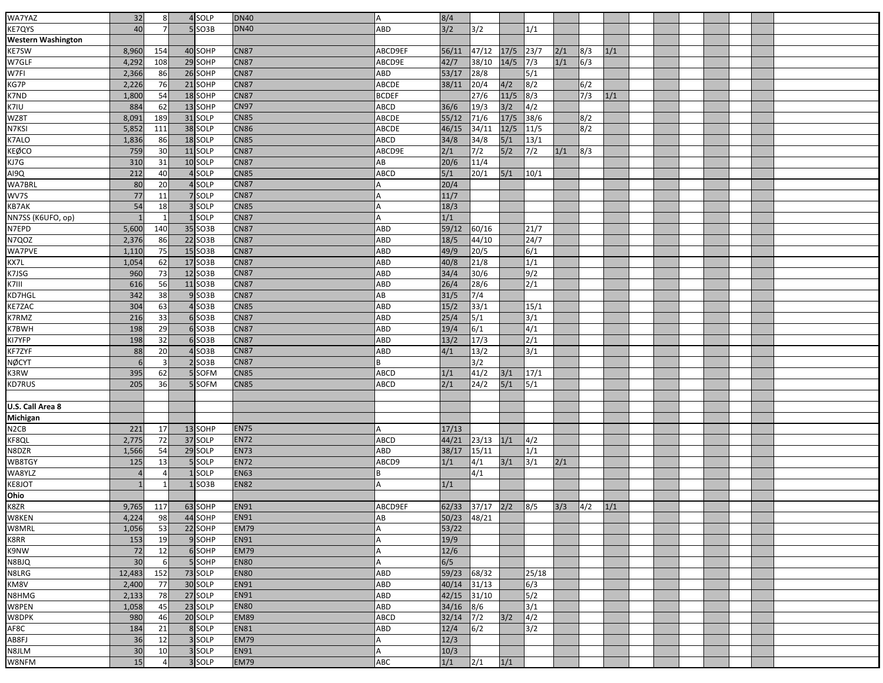| WA7YAZ                    | 32             | 8 <sup>1</sup> | 4SOLP    | <b>DN40</b> |              | 8/4            |                 |              |                               |     |              |     |  |  |  |  |
|---------------------------|----------------|----------------|----------|-------------|--------------|----------------|-----------------|--------------|-------------------------------|-----|--------------|-----|--|--|--|--|
| <b>KE7QYS</b>             | 40             |                | 5 SO3B   | <b>DN40</b> | ABD          | 3/2            | 3/2             |              | 1/1                           |     |              |     |  |  |  |  |
| <b>Western Washington</b> |                |                |          |             |              |                |                 |              |                               |     |              |     |  |  |  |  |
| <b>KE7SW</b>              |                | 154            | 40 SOHP  | <b>CN87</b> | ABCD9EF      | 56/11          | 47/12           | 17/5         | $\boxed{23/7}$                | 2/1 | 8/3          | 1/1 |  |  |  |  |
| W7GLF                     | 8,960          |                | 29 SOHP  | <b>CN87</b> |              |                |                 | 14/5         | $\sqrt{7/3}$                  | 1/1 | $\sqrt{6/3}$ |     |  |  |  |  |
| W7FI                      | 4,292          | 108            |          |             | ABCD9E       | 42/7           | 38/10           |              |                               |     |              |     |  |  |  |  |
|                           | 2,366          | 86             | 26 SOHP  | <b>CN87</b> | ABD          | 53/17          | 28/8            |              | $\overline{\smash{\big }5/1}$ |     |              |     |  |  |  |  |
| KG7P                      | 2,226          | 76             | 21 SOHP  | <b>CN87</b> | ABCDE        | 38/11          | 20/4            | 4/2          | 8/2                           |     | 6/2          |     |  |  |  |  |
| K7ND                      | 1,800          | 54             | 18 SOHP  | <b>CN87</b> | <b>BCDEF</b> |                | 27/6            | $11/5$       | $\sqrt{8/3}$                  |     | 7/3          | 1/1 |  |  |  |  |
| K7IU                      | 884            | 62             | 13 SOHP  | <b>CN97</b> | ABCD         | $36/6$         | 19/3            | 3/2          | $\sqrt{4/2}$                  |     |              |     |  |  |  |  |
| WZ8T                      | 8,091          | 189            | 31 SOLP  | <b>CN85</b> | ABCDE        | 55/12          | $71/6$          | $17/5$       | 38/6                          |     | 8/2          |     |  |  |  |  |
| N7KSI                     | 5,852          | 111            | 38 SOLP  | <b>CN86</b> | ABCDE        | 46/15          | 34/11           | $12/5$       | 11/5                          |     | 8/2          |     |  |  |  |  |
| K7ALO                     | 1,836          | 86             | 18 SOLP  | <b>CN85</b> | ABCD         | 34/8           | 34/8            | 5/1          | 13/1                          |     |              |     |  |  |  |  |
| KEØCO                     | 759            | 30             | 11 SOLP  | <b>CN87</b> | ABCD9E       | 2/1            | 7/2             | 5/2          | 7/2                           | 1/1 | 8/3          |     |  |  |  |  |
| KJ7G                      | 310            | 31             | 10 SOLP  | <b>CN87</b> | AВ           | 20/6           | 11/4            |              |                               |     |              |     |  |  |  |  |
| AI9Q                      | 212            | 40             | 4 SOLP   | <b>CN85</b> | ABCD         | $\frac{5}{1}$  | 20/1            | $5/1$        | 10/1                          |     |              |     |  |  |  |  |
| WA7BRL                    | 80             | 20             | 4 SOLP   | <b>CN87</b> |              | 20/4           |                 |              |                               |     |              |     |  |  |  |  |
| WV7S                      | 77             | 11             | 7 SOLP   | <b>CN87</b> |              | 11/7           |                 |              |                               |     |              |     |  |  |  |  |
| <b>KB7AK</b>              | 54             | 18             | 3 SOLP   | <b>CN85</b> |              | 18/3           |                 |              |                               |     |              |     |  |  |  |  |
| NN7SS (K6UFO, op)         |                | 1              | 1 SOLP   | <b>CN87</b> |              | 1/1            |                 |              |                               |     |              |     |  |  |  |  |
| N7EPD                     | 5,600          | 140            | 35 SO3B  | <b>CN87</b> | ABD          | 59/12          | 60/16           |              | 21/7                          |     |              |     |  |  |  |  |
| <b>N7QOZ</b>              | 2,376          | 86             | 22 SO3B  | <b>CN87</b> | ABD          | 18/5           | 44/10           |              | 24/7                          |     |              |     |  |  |  |  |
| <b>WA7PVE</b>             | 1,110          | 75             | 15 SO3B  | <b>CN87</b> | ABD          | 49/9           | 20/5            |              | 6/1                           |     |              |     |  |  |  |  |
| KX7L                      | 1,054          | 62             | 17 SO3B  | <b>CN87</b> | ABD          | 40/8           | 21/8            |              | $\overline{1/1}$              |     |              |     |  |  |  |  |
| K7JSG                     | 960            | 73             | 12 SO3B  | <b>CN87</b> | ABD          | 34/4           | 30/6            |              | $\sqrt{9/2}$                  |     |              |     |  |  |  |  |
| K7III                     | 616            | 56             | 11 SO3B  | <b>CN87</b> | ABD          | 26/4           | 28/6            |              | 2/1                           |     |              |     |  |  |  |  |
| KD7HGL                    | 342            | 38             | $9$ SO3B | <b>CN87</b> | AВ           | $\frac{31}{5}$ | 7/4             |              |                               |     |              |     |  |  |  |  |
| <b>KE7ZAC</b>             | 304            | 63             | 4 SO3B   | <b>CN85</b> | ABD          | 15/2           | 33/1            |              | 15/1                          |     |              |     |  |  |  |  |
| <b>K7RMZ</b>              | 216            | 33             | 6SO3B    | <b>CN87</b> | ABD          | 25/4           | 5/1             |              | 3/1                           |     |              |     |  |  |  |  |
| K7BWH                     | 198            | 29             | 6SO3B    | <b>CN87</b> | ABD          | 19/4           | 6/1             |              | $\sqrt{4/1}$                  |     |              |     |  |  |  |  |
| KI7YFP                    | 198            | 32             | 6SO3B    | <b>CN87</b> | ABD          | $13/2$         | 17/3            |              | $\sqrt{2/1}$                  |     |              |     |  |  |  |  |
| <b>KF7ZYF</b>             | 88             | 20             | 4 SO3B   | <b>CN87</b> | ABD          | 4/1            | 13/2            |              | 3/1                           |     |              |     |  |  |  |  |
| <b>NØCYT</b>              | 6              | $\overline{3}$ | $2$ SO3B | <b>CN87</b> |              |                | 3/2             |              |                               |     |              |     |  |  |  |  |
| K3RW                      | 395            |                | 5 SOFM   | <b>CN85</b> |              |                |                 |              |                               |     |              |     |  |  |  |  |
| <b>KD7RUS</b>             | 205            | 62<br>36       | 5 SOFM   | <b>CN85</b> | ABCD<br>ABCD | 1/1            | 41/2            | $3/1$<br>5/1 | 17/1                          |     |              |     |  |  |  |  |
|                           |                |                |          |             |              | 2/1            | 24/2            |              | 5/1                           |     |              |     |  |  |  |  |
|                           |                |                |          |             |              |                |                 |              |                               |     |              |     |  |  |  |  |
| U.S. Call Area 8          |                |                |          |             |              |                |                 |              |                               |     |              |     |  |  |  |  |
| Michigan                  |                |                |          |             |              |                |                 |              |                               |     |              |     |  |  |  |  |
| N <sub>2</sub> CB         | 221            | 17             | 13 SOHP  | <b>EN75</b> |              | 17/13          |                 |              |                               |     |              |     |  |  |  |  |
| KF8QL                     | 2,775          | 72             | 37 SOLP  | <b>EN72</b> | ABCD         | 44/21          | 23/13           | 1/1          | 4/2                           |     |              |     |  |  |  |  |
| N8DZR                     | 1,566          | 54             | 29 SOLP  | <b>EN73</b> | ABD          | 38/17          | 15/11           |              | $\overline{1/1}$              |     |              |     |  |  |  |  |
| WB8TGY                    | 125            | 13             | 5 SOLP   | <b>EN72</b> | ABCD9        | 1/1            | 4/1             | 3/1          | $\sqrt{3/1}$                  | 2/1 |              |     |  |  |  |  |
| WA8YLZ                    | $\overline{4}$ |                | 1SOLP    | <b>EN63</b> |              |                | 4/1             |              |                               |     |              |     |  |  |  |  |
| KE8JOT                    |                |                | $1$ SO3B | <b>EN82</b> |              | 1/1            |                 |              |                               |     |              |     |  |  |  |  |
| Ohio<br>K8ZR              |                |                |          |             |              |                |                 |              |                               |     |              |     |  |  |  |  |
|                           | 9,765          | 117            | 63 SOHP  | <b>EN91</b> | ABCD9EF      |                | 62/33 37/17 2/2 |              | $\sqrt{8/5}$                  | 3/3 | 4/2          | 1/1 |  |  |  |  |
| W8KEN                     | 4,224          | 98             | 44 SOHP  | <b>EN91</b> | AB           | 50/23          | 48/21           |              |                               |     |              |     |  |  |  |  |
| W8MRL                     | 1,056          | 53             | 22 SOHP  | <b>EM79</b> |              | 53/22          |                 |              |                               |     |              |     |  |  |  |  |
| K8RR                      | 153            | 19             | 9 SOHP   | <b>EN91</b> |              | 19/9           |                 |              |                               |     |              |     |  |  |  |  |
| K9NW                      | 72             | 12             | 6 SOHP   | <b>EM79</b> | A            | $12/6$         |                 |              |                               |     |              |     |  |  |  |  |
| N8BJQ                     | 30             | 6              | 5 SOHP   | <b>EN80</b> | А            | 6/5            |                 |              |                               |     |              |     |  |  |  |  |
| N8LRG                     | 12,483         | 152            | 73 SOLP  | <b>EN80</b> | ABD          | 59/23          | 68/32           |              | 25/18                         |     |              |     |  |  |  |  |
| KM8V                      | 2,400          | 77             | 30 SOLP  | <b>EN91</b> | ABD          | 40/14          | 31/13           |              | $\sqrt{6/3}$                  |     |              |     |  |  |  |  |
| N8HMG                     | 2,133          | 78             | 27 SOLP  | <b>EN91</b> | ABD          | 42/15          | 31/10           |              | 5/2                           |     |              |     |  |  |  |  |
| W8PEN                     | 1,058          | 45             | 23 SOLP  | <b>EN80</b> | ABD          | 34/16          | 8/6             |              | 3/1                           |     |              |     |  |  |  |  |
| W8DPK                     | 980            | 46             | 20 SOLP  | <b>EM89</b> | ABCD         | 32/14          | $\sqrt{7/2}$    | 3/2          | $\sqrt{4/2}$                  |     |              |     |  |  |  |  |
| AF8C                      | 184            | 21             | 8 SOLP   | <b>EN81</b> | ABD          | 12/4           | 6/2             |              | $\sqrt{3/2}$                  |     |              |     |  |  |  |  |
| AB8FJ                     | 36             | 12             | 3 SOLP   | <b>EM79</b> |              | 12/3           |                 |              |                               |     |              |     |  |  |  |  |
| N8JLM                     | 30             | 10             | 3 SOLP   | <b>EN91</b> | А            | 10/3           |                 |              |                               |     |              |     |  |  |  |  |
| W8NFM                     | 15             | $\overline{a}$ | 3 SOLP   | <b>EM79</b> | ABC          | 1/1            | $\sqrt{2/1}$    | 1/1          |                               |     |              |     |  |  |  |  |
|                           |                |                |          |             |              |                |                 |              |                               |     |              |     |  |  |  |  |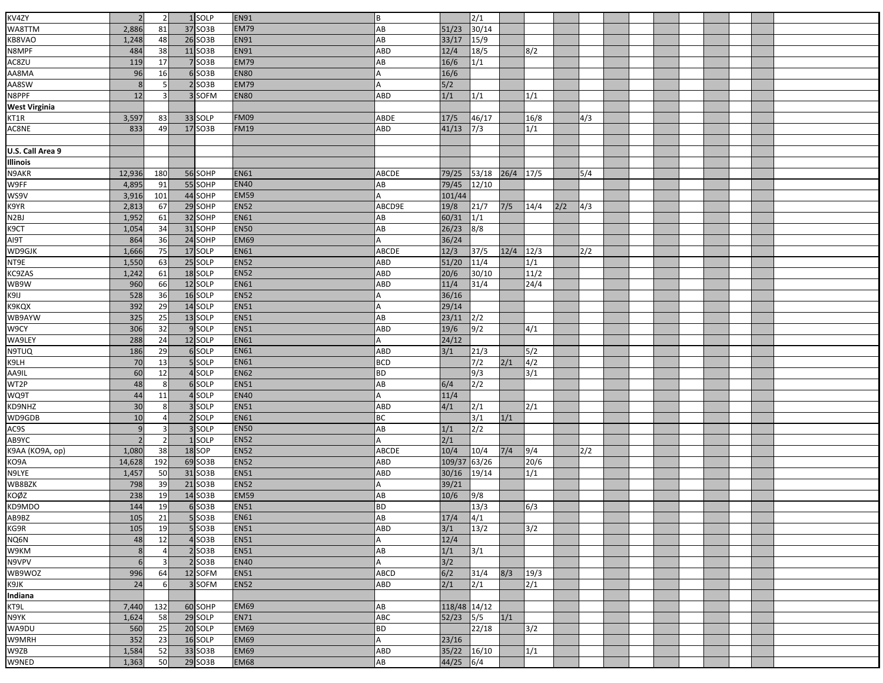| KV4ZY                 |                          |                 | 1 SOLP               | <b>EN91</b>                | ΙB.         |              | 2/1                   |      |                  |     |     |  |  |  |
|-----------------------|--------------------------|-----------------|----------------------|----------------------------|-------------|--------------|-----------------------|------|------------------|-----|-----|--|--|--|
| WA8TTM                | 2,886                    | 81              | 37 SO3B              | <b>EM79</b>                | AB          | 51/23        | 30/14                 |      |                  |     |     |  |  |  |
| KB8VAO                |                          |                 |                      | <b>EN91</b>                |             |              |                       |      |                  |     |     |  |  |  |
| N8MPF                 | 1,248                    | 48              | 26 SO3B              |                            | AB          | 33/17        | $\frac{15}{9}$        |      |                  |     |     |  |  |  |
|                       | 484                      | 38              | 11 SO3B              | <b>EN91</b>                | ABD         | 12/4         | 18/5                  |      | 8/2              |     |     |  |  |  |
| AC8ZU                 | 119                      | 17              | 7 SO3B               | <b>EM79</b>                | AB          | 16/6         | 1/1                   |      |                  |     |     |  |  |  |
| AA8MA                 | 96                       | 16              | 6 SO <sub>3</sub> B  | <b>EN80</b>                |             | 16/6         |                       |      |                  |     |     |  |  |  |
| AA8SW                 | 8                        |                 | $2$ SO3B             | <b>EM79</b>                | А           | 5/2          |                       |      |                  |     |     |  |  |  |
| N8PPF                 | 12                       | 3               | 3 SOFM               | <b>EN80</b>                | ABD         | 1/1          | 1/1                   |      | 1/1              |     |     |  |  |  |
| <b>West Virginia</b>  |                          |                 |                      |                            |             |              |                       |      |                  |     |     |  |  |  |
| KT1R                  | 3,597                    | 83              | 33 SOLP              | <b>FM09</b>                | ABDE        | 17/5         | 46/17                 |      | 16/8             |     | 4/3 |  |  |  |
| AC8NE                 | 833                      | 49              | 17 SO3B              | <b>FM19</b>                | ABD         | 41/13        | 7/3                   |      | 1/1              |     |     |  |  |  |
|                       |                          |                 |                      |                            |             |              |                       |      |                  |     |     |  |  |  |
| U.S. Call Area 9      |                          |                 |                      |                            |             |              |                       |      |                  |     |     |  |  |  |
| <b>Illinois</b>       |                          |                 |                      |                            |             |              |                       |      |                  |     |     |  |  |  |
| N9AKR                 | 12,936                   | 180             | 56 SOHP              | <b>EN61</b>                | ABCDE       | 79/25        | 53/18                 | 26/4 | 17/5             |     | 5/4 |  |  |  |
| W9FF<br>WS9V          | 4,895                    | 91              | 55 SOHP              | <b>EN40</b>                | AB          | 79/45        | 12/10                 |      |                  |     |     |  |  |  |
|                       | 3,916                    | 101             | 44 SOHP              | <b>EM59</b>                |             | 101/44       |                       |      |                  |     |     |  |  |  |
| K9YR<br>N2BJ          | 2,813                    | 67              | 29 SOHP              | <b>EN52</b>                | ABCD9E      | 19/8         | 21/7                  | 7/5  | 14/4             | 2/2 | 4/3 |  |  |  |
|                       | 1,952                    | 61              | 32 SOHP              | <b>EN61</b>                | AB          | 60/31        | $\sqrt{1/1}$          |      |                  |     |     |  |  |  |
| K9CT                  | 1,054                    | 34              | 31 SOHP              | <b>EN50</b>                | AB          | 26/23        | $\sqrt{8/8}$          |      |                  |     |     |  |  |  |
| TPIA                  | 864                      | $\overline{36}$ | 24 SOHP              | <b>EM69</b>                |             | 36/24        |                       |      |                  |     |     |  |  |  |
| WD9GJK                | 1,666                    | 75              | 17 SOLP              | <b>EN61</b>                | ABCDE       | 12/3         | 37/5                  | 12/4 | 12/3             |     | 2/2 |  |  |  |
| NT9E                  | 1,550                    | 63              | 25 SOLP              | <b>EN52</b>                | ABD         | 51/20        | $11/4$                |      | $\overline{1/1}$ |     |     |  |  |  |
| KC9ZAS                | 1,242                    | 61              | 18 SOLP              | <b>EN52</b>                | ABD         | 20/6         | 30/10                 |      | 11/2             |     |     |  |  |  |
| WB9W                  | 960                      | 66              | 12 SOLP              | <b>EN61</b>                | ABD         | 11/4         | 31/4                  |      | 24/4             |     |     |  |  |  |
| K9IJ                  | 528                      | 36              | 16 SOLP              | <b>EN52</b>                |             | 36/16        |                       |      |                  |     |     |  |  |  |
| <b>K9KQX</b>          | 392                      | 29              | 14 SOLP              | <b>EN51</b>                | A           | 29/14        |                       |      |                  |     |     |  |  |  |
| WB9AYW                | 325                      | 25              | 13 SOLP              | <b>EN51</b>                | AB          | 23/11        | 2/2                   |      |                  |     |     |  |  |  |
| W9CY                  | 306                      | 32              | 9 SOLP               | <b>EN51</b>                | ABD         | 19/6         | 9/2                   |      | 4/1              |     |     |  |  |  |
| WA9LEY                | 288                      | 24              | 12 SOLP              | <b>EN61</b>                | А           | 24/12        |                       |      |                  |     |     |  |  |  |
| <b>N9TUQ</b>          | 186                      | 29              | 6 SOLP               | <b>EN61</b>                | ABD         | 3/1          | 21/3                  |      | 5/2              |     |     |  |  |  |
| K9LH                  | 70                       | 13              | 5 SOLP               | <b>EN61</b>                | <b>BCD</b>  |              | 7/2                   | 2/1  | $\sqrt{4/2}$     |     |     |  |  |  |
|                       | 60                       | 12              | 4 SOLP               | <b>EN62</b>                | <b>BD</b>   |              | 9/3                   |      | 3/1              |     |     |  |  |  |
| AA9IL<br>WT2P<br>WQ9T | 48                       | 8               | 6 SOLP               | <b>EN51</b>                | AB          | 6/4          | 2/2                   |      |                  |     |     |  |  |  |
|                       | 44                       | 11              | 4 SOLP               | <b>EN40</b>                |             | 11/4         |                       |      |                  |     |     |  |  |  |
| KD9NHZ                | 30                       | 8               | 3 SOLP               | <b>EN51</b>                | ABD         | 4/1          | 2/1                   |      | $\overline{2/1}$ |     |     |  |  |  |
| WD9GDB                | 10                       | $\overline{4}$  | 2 SOLP               | <b>EN61</b>                | <b>BC</b>   |              | 3/1                   | 1/1  |                  |     |     |  |  |  |
| AC9S                  | $\mathbf{q}$             | $\overline{3}$  | 3 SOLP               | <b>EN50</b>                | AB          | 1/1          | $\sqrt{2}/2$          |      |                  |     |     |  |  |  |
| AB9YC                 | $\overline{\phantom{a}}$ | $\overline{2}$  | 1 SOLP               | <b>EN52</b>                |             | 2/1          |                       |      |                  |     |     |  |  |  |
| К9АА (КО9А, ор)       | 1,080                    | 38              | 18 SOP               | <b>EN52</b>                | ABCDE       | 10/4         | 10/4                  | 7/4  | 9/4              |     | 2/2 |  |  |  |
| KO9A                  |                          | 192             | 69 SO3B              | <b>EN52</b>                |             | 109/37       | 63/26                 |      | 20/6             |     |     |  |  |  |
| N9LYE                 | 14,628                   | 50              | 31 SO3B              | <b>EN51</b>                | ABD<br>ABD  | 30/16        | 19/14                 |      | 1/1              |     |     |  |  |  |
| WB8BZK                | 1,457                    |                 |                      |                            |             |              |                       |      |                  |     |     |  |  |  |
| KOØZ                  | 798<br>238               | 39<br>19        | 21 SO3B              | <b>EN52</b><br><b>EM59</b> | А<br>AB     | 39/21        |                       |      |                  |     |     |  |  |  |
| KD9MDO                | 144                      |                 | 14 SO3B              | <b>EN51</b>                | <b>BD</b>   | 10/6         | 9/8<br>13/3           |      |                  |     |     |  |  |  |
| AB9BZ                 |                          | 19              | 6SO3B                |                            |             |              |                       |      | 6/3              |     |     |  |  |  |
| KG9R                  | 105<br>105               | 21<br>19        | $5$ SO3B<br>$5$ SO3B | <b>EN61</b><br><b>EN51</b> | AB<br>ABD   | 17/4<br>3/1  | 4/1<br>$\frac{13}{2}$ |      | 3/2              |     |     |  |  |  |
|                       |                          |                 |                      |                            |             |              |                       |      |                  |     |     |  |  |  |
| NQ6N<br>W9KM          | 48<br>8                  | 12              | $4$ SO3B             | <b>EN51</b>                |             | 12/4         |                       |      |                  |     |     |  |  |  |
|                       |                          | $\overline{4}$  | $2$ SO3B             | <b>EN51</b>                | AB          | 1/1          | 3/1                   |      |                  |     |     |  |  |  |
| N9VPV                 | 6                        | $\overline{3}$  | $2$ SO3B             | <b>EN40</b>                | A           | 3/2          |                       |      |                  |     |     |  |  |  |
| WB9WOZ                | 996                      | 64              | 12 SOFM              | <b>EN51</b>                | <b>ABCD</b> | 6/2          | 31/4                  | 8/3  | 19/3             |     |     |  |  |  |
| K9JK                  | 24                       | 6               | 3 SOFM               | <b>EN52</b>                | ABD         | 2/1          | 2/1                   |      | 2/1              |     |     |  |  |  |
| Indiana               |                          |                 |                      |                            |             |              |                       |      |                  |     |     |  |  |  |
| KT9L                  | 7,440                    | 132             | 60 SOHP              | <b>EM69</b>                | AB          | 118/48 14/12 |                       |      |                  |     |     |  |  |  |
| N9YK                  | 1,624                    | 58              | 29 SOLP              | <b>EN71</b>                | ABC         | 52/23        | 5/5                   | 1/1  |                  |     |     |  |  |  |
| WA9DU                 | 560                      | 25              | 20 SOLP              | <b>EM69</b>                | <b>BD</b>   |              | 22/18                 |      | 3/2              |     |     |  |  |  |
| W9MRH                 | 352                      | 23              | 16 SOLP              | <b>EM69</b>                | A           | 23/16        |                       |      |                  |     |     |  |  |  |
| W9ZB                  | 1,584                    | 52              | 33 SO3B              | <b>EM69</b>                | ABD         | 35/22        | 16/10                 |      | 1/1              |     |     |  |  |  |
| W9NED                 | 1,363                    | 50              | 29 SO3B              | <b>EM68</b>                | AB          | 44/25        | $\sqrt{6/4}$          |      |                  |     |     |  |  |  |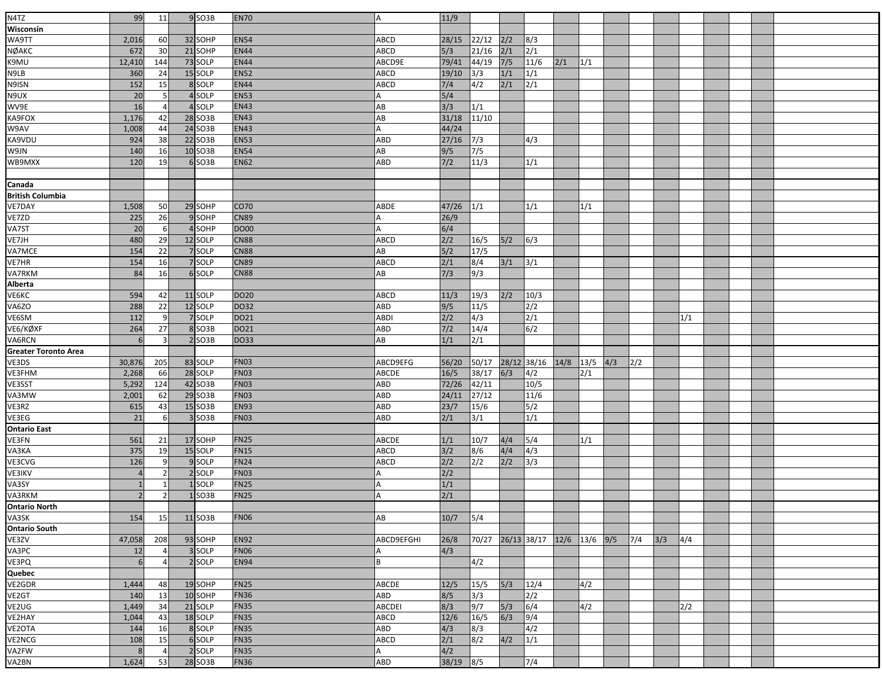| N4TZ                        | 99                       | 11              | 9 SO3B              | <b>EN70</b> | A             | 11/9  |       |       |                           |           |     |     |     |     |     |  |  |
|-----------------------------|--------------------------|-----------------|---------------------|-------------|---------------|-------|-------|-------|---------------------------|-----------|-----|-----|-----|-----|-----|--|--|
|                             |                          |                 |                     |             |               |       |       |       |                           |           |     |     |     |     |     |  |  |
| Wisconsin                   |                          |                 |                     |             |               |       |       |       |                           |           |     |     |     |     |     |  |  |
| WA9TT                       | 2,016                    | 60              | 32 SOHP             | <b>EN54</b> | <b>ABCD</b>   | 28/15 | 22/12 | 2/2   | 8/3                       |           |     |     |     |     |     |  |  |
| NØAKC                       | 672                      | 30 <sup>1</sup> | 21 SOHP             | <b>EN44</b> | <b>ABCD</b>   | 5/3   | 21/16 | 2/1   | 2/1                       |           |     |     |     |     |     |  |  |
| K9MU                        | 12,410                   | 144             | 73 SOLP             | <b>EN44</b> | ABCD9E        | 79/41 | 44/19 | $7/5$ | 11/6                      | 2/1       | 1/1 |     |     |     |     |  |  |
| N9LB                        | 360                      | 24              | 15 SOLP             | <b>EN52</b> | ABCD          | 19/10 | 3/3   | 1/1   | 1/1                       |           |     |     |     |     |     |  |  |
| N9ISN                       | 152                      | 15              | 8 SOLP              | <b>EN44</b> | ABCD          | 7/4   | 4/2   | 2/1   | 2/1                       |           |     |     |     |     |     |  |  |
| N9UX                        | 20                       | 5               | 4 SOLP              | <b>EN53</b> |               | 5/4   |       |       |                           |           |     |     |     |     |     |  |  |
| WV9E                        | 16                       | $\overline{4}$  | 4 SOLP              | <b>EN43</b> | AB            | 3/3   | 1/1   |       |                           |           |     |     |     |     |     |  |  |
| KA9FOX                      | 1,176                    | 42              | 28 SO3B             | <b>EN43</b> | AB            | 31/18 | 11/10 |       |                           |           |     |     |     |     |     |  |  |
| W9AV                        | 1,008                    | 44              | 24 SO3B             | <b>EN43</b> | A             | 44/24 |       |       |                           |           |     |     |     |     |     |  |  |
| KA9VDU                      | 924                      | 38              | 22 SO3B             | <b>EN53</b> | ABD           | 27/16 | 7/3   |       | 4/3                       |           |     |     |     |     |     |  |  |
| W9JN                        | 140                      | 16              | 10 SO3B             | <b>EN54</b> | AB            | 9/5   | 7/5   |       |                           |           |     |     |     |     |     |  |  |
| WB9MXX                      | 120                      | 19              | 6 SO3B              | <b>EN62</b> | ABD           | $7/2$ | 11/3  |       | 1/1                       |           |     |     |     |     |     |  |  |
|                             |                          |                 |                     |             |               |       |       |       |                           |           |     |     |     |     |     |  |  |
| Canada                      |                          |                 |                     |             |               |       |       |       |                           |           |     |     |     |     |     |  |  |
| British Columbia            |                          |                 |                     |             |               |       |       |       |                           |           |     |     |     |     |     |  |  |
| <b>VE7DAY</b>               | 1,508                    | 50              | 29 SOHP             | CO70        | ABDE          | 47/26 | 1/1   |       | 1/1                       |           | 1/1 |     |     |     |     |  |  |
| VE7ZD                       | 225                      | 26              | 9 SOHP              | <b>CN89</b> | A             | 26/9  |       |       |                           |           |     |     |     |     |     |  |  |
| VA7ST                       | 20                       | 6               | 4 SOHP              | <b>DO00</b> |               | 6/4   |       |       |                           |           |     |     |     |     |     |  |  |
| VE7JH                       | 480                      | 29              | 12 SOLP             | <b>CN88</b> | ABCD          | 2/2   | 16/5  | 5/2   | 6/3                       |           |     |     |     |     |     |  |  |
| VA7MCE                      | 154                      | 22              | 7 SOLP              | <b>CN88</b> | AB            | 5/2   | 17/5  |       |                           |           |     |     |     |     |     |  |  |
| VE7HR                       | 154                      | <b>16</b>       | 7 SOLP              | <b>CN89</b> | ABCD          | 2/1   | 8/4   | 3/1   | 3/1                       |           |     |     |     |     |     |  |  |
| <b>VA7RKM</b>               | 84                       | 16              | 6 SOLP              | <b>CN88</b> | AB            | 7/3   | 9/3   |       |                           |           |     |     |     |     |     |  |  |
| Alberta                     |                          |                 |                     |             |               |       |       |       |                           |           |     |     |     |     |     |  |  |
| VE6KC                       | 594                      | 42              | 11 SOLP             | <b>DO20</b> | <b>ABCD</b>   | 11/3  | 19/3  | 2/2   | 10/3                      |           |     |     |     |     |     |  |  |
| VA6ZO                       | 288                      | 22              | 12 SOLP             | DO32        | ABD           | 9/5   | 11/5  |       | 2/2                       |           |     |     |     |     |     |  |  |
|                             |                          |                 |                     | DO21        |               |       |       |       |                           |           |     |     |     |     |     |  |  |
| VE6SM                       | 112                      | 9               | 7 SOLP              |             | <b>ABDI</b>   | 2/2   | 4/3   |       | 2/1                       |           |     |     |     |     | 1/1 |  |  |
| VE6/KØXF                    | 264                      | 27              | 8 SO3B              | DO21        | ABD           | $7/2$ | 14/4  |       | 6/2                       |           |     |     |     |     |     |  |  |
| VA6RCN                      | 6                        | 3               | $2$ SO3B            | DO33        | AB            | 1/1   | 2/1   |       |                           |           |     |     |     |     |     |  |  |
| <b>Greater Toronto Area</b> |                          |                 |                     |             |               |       |       |       |                           |           |     |     |     |     |     |  |  |
| VE3DS                       | 30,876                   | 205             | 83 SOLP             | <b>FN03</b> | ABCD9EFG      | 56/20 | 50/17 |       | 28/12 38/16               | 14/8 13/5 |     | 4/3 | 2/2 |     |     |  |  |
| VE3FHM                      | 2,268                    | 66              | 28 SOLP             | FN03        | <b>ABCDE</b>  | 16/5  | 38/17 | 6/3   | 4/2                       |           | 2/1 |     |     |     |     |  |  |
| VE3SST                      | 5,292                    | 124             | 42 SO3B             | <b>FN03</b> | ABD           | 72/26 | 42/11 |       | 10/5                      |           |     |     |     |     |     |  |  |
| VA3MW                       | 2,001                    | 62              | 29 SO3B             | <b>FN03</b> | ABD           | 24/11 | 27/12 |       | 11/6                      |           |     |     |     |     |     |  |  |
| VE3RZ                       | 615                      | 43              | $15$ SO3B           | <b>EN93</b> | ABD           | 23/7  | 15/6  |       | 5/2                       |           |     |     |     |     |     |  |  |
| VE3EG                       | 21                       | 6               | 3 SO <sub>3</sub> B | <b>FN03</b> | ABD           | 2/1   | 3/1   |       | 1/1                       |           |     |     |     |     |     |  |  |
| <b>Ontario East</b>         |                          |                 |                     |             |               |       |       |       |                           |           |     |     |     |     |     |  |  |
| VE3FN                       | 561                      | 21              | 17 SOHP             | <b>FN25</b> | ABCDE         | 1/1   | 10/7  | 4/4   | 5/4                       |           | 1/1 |     |     |     |     |  |  |
| VA3KA                       | 375                      | 19              | 15 SOLP             | <b>FN15</b> | ABCD          | 3/2   | 8/6   | 4/4   | 4/3                       |           |     |     |     |     |     |  |  |
| VE3CVG                      | 126                      | 9               | 9 SOLP              | <b>FN24</b> | ABCD          | 2/2   | 2/2   | 2/2   | 3/3                       |           |     |     |     |     |     |  |  |
| VE3IKV                      |                          | $\overline{2}$  | 2 SOLP              | <b>FN03</b> |               | 2/2   |       |       |                           |           |     |     |     |     |     |  |  |
| VA3SY                       |                          | $\mathbf{1}$    | 1 SOLP              | <b>FN25</b> | А             | 1/1   |       |       |                           |           |     |     |     |     |     |  |  |
| VA3RKM                      | $\overline{\phantom{0}}$ | $\overline{2}$  | $1$ SO3B            | <b>FN25</b> | Α             | 2/1   |       |       |                           |           |     |     |     |     |     |  |  |
| <b>Ontario North</b>        |                          |                 |                     |             |               |       |       |       |                           |           |     |     |     |     |     |  |  |
| VA3SK                       | 154                      | <b>15</b>       | 11 SO3B             | <b>FN06</b> | AB            | 10/7  | 5/4   |       |                           |           |     |     |     |     |     |  |  |
| <b>Ontario South</b>        |                          |                 |                     |             |               |       |       |       |                           |           |     |     |     |     |     |  |  |
| VE3ZV                       | 47,058                   | 208             | 93 SOHP             | <b>EN92</b> | ABCD9EFGHI    | 26/8  | 70/27 |       | 26/13 38/17 12/6 13/6 9/5 |           |     |     | 7/4 | 3/3 | 4/4 |  |  |
| VA3PC                       | 12                       | $\overline{4}$  | 3 SOLP              | <b>FN06</b> | А             | 4/3   |       |       |                           |           |     |     |     |     |     |  |  |
| VE3PQ                       | 6                        | $\overline{4}$  | 2 SOLP              | <b>EN94</b> | B             |       | 4/2   |       |                           |           |     |     |     |     |     |  |  |
| Quebec                      |                          |                 |                     |             |               |       |       |       |                           |           |     |     |     |     |     |  |  |
| VE2GDR                      | 1,444                    | 48              | 19 SOHP             | <b>FN25</b> | ABCDE         | 12/5  | 15/5  | 5/3   | 12/4                      |           | 4/2 |     |     |     |     |  |  |
| VE2GT                       | 140                      | 13              | 10 SOHP             | <b>FN36</b> | ABD           | 8/5   | 3/3   |       | $\sqrt{2/2}$              |           |     |     |     |     |     |  |  |
| VE2UG                       | 1,449                    | 34              | 21 SOLP             | <b>FN35</b> | <b>ABCDEI</b> | 8/3   | 9/7   | 5/3   | $\sqrt{6/4}$              |           | 4/2 |     |     |     | 2/2 |  |  |
| VE2HAY                      |                          | 43              | 18 SOLP             | <b>FN35</b> | <b>ABCD</b>   | 12/6  |       | 6/3   |                           |           |     |     |     |     |     |  |  |
|                             | 1,044<br>144             | 16              | 8 SOLP              | <b>FN35</b> | ABD           | 4/3   | 16/5  |       | 9/4<br>$\sqrt{4/2}$       |           |     |     |     |     |     |  |  |
| VE2OTA                      |                          |                 |                     |             |               |       | 8/3   |       |                           |           |     |     |     |     |     |  |  |
| VE2NCG                      | 108                      | 15              | 6 SOLP              | <b>FN35</b> | ABCD          | 2/1   | 8/2   | 4/2   | 1/1                       |           |     |     |     |     |     |  |  |
| VA2FW                       | 8                        | $\overline{4}$  | 2 SOLP              | <b>FN35</b> | A             | 4/2   |       |       |                           |           |     |     |     |     |     |  |  |
| VA2BN                       | 1,624                    | 53              | 28 SO3B             | <b>FN36</b> | ABD           | 38/19 | 8/5   |       | 7/4                       |           |     |     |     |     |     |  |  |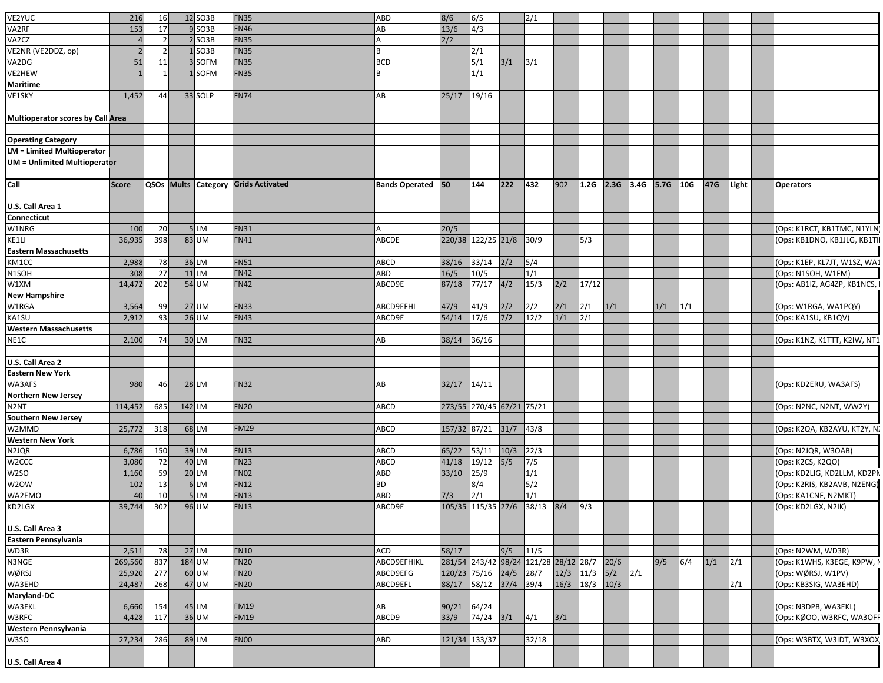| VE2YUC                                   | 216          |                |        | 12 SO3B           | <b>FN35</b>                                | ABD                      | 8/6                                   | 6/5                       |             | 2/1          |      |       |             |               |      |     |     |               |                              |
|------------------------------------------|--------------|----------------|--------|-------------------|--------------------------------------------|--------------------------|---------------------------------------|---------------------------|-------------|--------------|------|-------|-------------|---------------|------|-----|-----|---------------|------------------------------|
|                                          |              | 16             |        |                   |                                            |                          |                                       |                           |             |              |      |       |             |               |      |     |     |               |                              |
| VA2RF                                    | 153          | 17             |        | $9$ SO3B          | <b>FN46</b>                                | AB                       | 13/6                                  | 4/3                       |             |              |      |       |             |               |      |     |     |               |                              |
| VA2CZ                                    |              | $\overline{z}$ |        | $2$ SO3B          | <b>FN35</b>                                |                          | 2/2                                   |                           |             |              |      |       |             |               |      |     |     |               |                              |
| VE2NR (VE2DDZ, op)                       |              |                |        | SO <sub>3</sub> B | <b>FN35</b>                                | B                        |                                       | 2/1                       |             |              |      |       |             |               |      |     |     |               |                              |
| VA2DG                                    | 51           | 11             |        | 3SOFM             | <b>FN35</b>                                | <b>BCD</b>               |                                       | 5/1                       | 3/1         | 3/1          |      |       |             |               |      |     |     |               |                              |
| VE2HEW                                   |              | 1              |        | 1SOFM             | <b>FN35</b>                                | <b>B</b>                 |                                       | 1/1                       |             |              |      |       |             |               |      |     |     |               |                              |
| <b>Maritime</b>                          |              |                |        |                   |                                            |                          |                                       |                           |             |              |      |       |             |               |      |     |     |               |                              |
| VE1SKY                                   | 1,452        | 44             |        | 33 SOLP           | <b>FN74</b>                                | AB                       | 25/17                                 | 19/16                     |             |              |      |       |             |               |      |     |     |               |                              |
|                                          |              |                |        |                   |                                            |                          |                                       |                           |             |              |      |       |             |               |      |     |     |               |                              |
| <b>Multioperator scores by Call Area</b> |              |                |        |                   |                                            |                          |                                       |                           |             |              |      |       |             |               |      |     |     |               |                              |
|                                          |              |                |        |                   |                                            |                          |                                       |                           |             |              |      |       |             |               |      |     |     |               |                              |
| <b>Operating Category</b>                |              |                |        |                   |                                            |                          |                                       |                           |             |              |      |       |             |               |      |     |     |               |                              |
| <b>LM = Limited Multioperator</b>        |              |                |        |                   |                                            |                          |                                       |                           |             |              |      |       |             |               |      |     |     |               |                              |
|                                          |              |                |        |                   |                                            |                          |                                       |                           |             |              |      |       |             |               |      |     |     |               |                              |
| <b>UM = Unlimited Multioperator</b>      |              |                |        |                   |                                            |                          |                                       |                           |             |              |      |       |             |               |      |     |     |               |                              |
|                                          |              |                |        |                   |                                            |                          |                                       |                           |             |              |      |       |             |               |      |     |     |               |                              |
| Call                                     | <b>Score</b> |                |        |                   | <b>QSOs Mults Category Grids Activated</b> | <b>Bands Operated</b> 50 |                                       | 144                       | 222         | 432          | 902  | 1.2G  | $2.3G$ 3.4G |               | 5.7G | 10G | 47G | Light         | <b>Operators</b>             |
|                                          |              |                |        |                   |                                            |                          |                                       |                           |             |              |      |       |             |               |      |     |     |               |                              |
| U.S. Call Area 1                         |              |                |        |                   |                                            |                          |                                       |                           |             |              |      |       |             |               |      |     |     |               |                              |
| Connecticut                              |              |                |        |                   |                                            |                          |                                       |                           |             |              |      |       |             |               |      |     |     |               |                              |
| W1NRG                                    | 100          | 20             |        | 5LM               | <b>FN31</b>                                |                          | 20/5                                  |                           |             |              |      |       |             |               |      |     |     |               | (Ops: K1RCT, KB1TMC, N1YLN)  |
| KE1LI                                    | 36,935       | 398            |        | 83 UM             | <b>FN41</b>                                | ABCDE                    |                                       | 220/38 122/25 21/8 30/9   |             |              |      | 5/3   |             |               |      |     |     |               | (Ops: KB1DNO, KB1JLG, KB1TI  |
| <b>Eastern Massachusetts</b>             |              |                |        |                   |                                            |                          |                                       |                           |             |              |      |       |             |               |      |     |     |               |                              |
| KM1CC                                    | 2,988        | 78             | 36 LM  |                   | <b>FN51</b>                                | ABCD                     | 38/16                                 | 33/14                     | 2/2         | 5/4          |      |       |             |               |      |     |     |               | (Ops: K1EP, KL7JT, W1SZ, WA1 |
| N <sub>1</sub> SOH                       | 308          | 27             |        | $11$ LM           | <b>FN42</b>                                | ABD                      | 16/5                                  | 10/5                      |             | 1/1          |      |       |             |               |      |     |     |               | (Ops: N1SOH, W1FM)           |
| W1XM                                     | 14,472       | 202            |        | 54 UM             | <b>FN42</b>                                | ABCD9E                   | 87/18                                 | 77/17                     | 4/2         | 15/3         | 2/2  | 17/12 |             |               |      |     |     |               | (Ops: AB1IZ, AG4ZP, KB1NCS,  |
| <b>New Hampshire</b>                     |              |                |        |                   |                                            |                          |                                       |                           |             |              |      |       |             |               |      |     |     |               |                              |
| W1RGA                                    | 3,564        | 99             |        | <b>27 UM</b>      | <b>FN33</b>                                | ABCD9EFHI                | 47/9                                  | 41/9                      | 2/2         | 2/2          | 2/1  | 2/1   | 1/1         |               | 1/1  | 1/1 |     |               | (Ops: W1RGA, WA1PQY)         |
|                                          | 2,912        | 93             |        | 26 UM             | <b>FN43</b>                                | ABCD9E                   | 54/14                                 |                           | $7/2$       | 12/2         | 1/1  | 2/1   |             |               |      |     |     |               |                              |
| KA1SU                                    |              |                |        |                   |                                            |                          |                                       | 17/6                      |             |              |      |       |             |               |      |     |     |               | (Ops: KA1SU, KB1QV)          |
| <b>Western Massachusetts</b>             |              |                |        |                   |                                            |                          |                                       |                           |             |              |      |       |             |               |      |     |     |               |                              |
| NE1C                                     | 2,100        | 74             |        | 30 LM             | <b>FN32</b>                                | AB                       | 38/14                                 | 36/16                     |             |              |      |       |             |               |      |     |     |               | (Ops: K1NZ, K1TTT, K2IW, NT1 |
|                                          |              |                |        |                   |                                            |                          |                                       |                           |             |              |      |       |             |               |      |     |     |               |                              |
| U.S. Call Area 2                         |              |                |        |                   |                                            |                          |                                       |                           |             |              |      |       |             |               |      |     |     |               |                              |
| <b>Eastern New York</b>                  |              |                |        |                   |                                            |                          |                                       |                           |             |              |      |       |             |               |      |     |     |               |                              |
| WA3AFS                                   | 980          | 46             |        | 28 LM             | <b>FN32</b>                                | AB                       | 32/17                                 | 14/11                     |             |              |      |       |             |               |      |     |     |               | (Ops: KD2ERU, WA3AFS)        |
| <b>Northern New Jersey</b>               |              |                |        |                   |                                            |                          |                                       |                           |             |              |      |       |             |               |      |     |     |               |                              |
| N <sub>2</sub> NT                        | 114,452      | 685            | 142 LM |                   | <b>FN20</b>                                | ABCD                     |                                       | 273/55 270/45 67/21 75/21 |             |              |      |       |             |               |      |     |     |               | (Ops: N2NC, N2NT, WW2Y)      |
| <b>Southern New Jersey</b>               |              |                |        |                   |                                            |                          |                                       |                           |             |              |      |       |             |               |      |     |     |               |                              |
| W2MMD                                    | 25,772       | 318            |        | 68 LM             | <b>FM29</b>                                | ABCD                     | 157/32 87/21                          |                           | $31/7$ 43/8 |              |      |       |             |               |      |     |     |               | (Ops: K2QA, KB2AYU, KT2Y, N. |
| <b>Western New York</b>                  |              |                |        |                   |                                            |                          |                                       |                           |             |              |      |       |             |               |      |     |     |               |                              |
| N2JQR                                    | 6,786        | 150            |        | 39 LM             | <b>FN13</b>                                | ABCD                     | 65/22                                 | 53/11                     | $10/3$ 22/3 |              |      |       |             |               |      |     |     |               | (Ops: N2JQR, W3OAB)          |
| W2CCC                                    | 3,080        | 72             |        | 40 LM             | <b>FN23</b>                                | <b>ABCD</b>              | 41/18                                 | 19/12                     | 5/5         | $\sqrt{7/5}$ |      |       |             |               |      |     |     |               | (Ops: K2CS, K2QO)            |
|                                          |              |                |        |                   | <b>FN02</b>                                | <b>ABD</b>               | 33/10                                 |                           |             |              |      |       |             |               |      |     |     |               | (Ops: KD2LIG, KD2LLM, KD2PN  |
| W2SO                                     | 1,160        | 59             |        | 20 LM             |                                            |                          |                                       | 25/9                      |             | 1/1          |      |       |             |               |      |     |     |               |                              |
| W2OW                                     | 102          | 13             |        | 6LM               | <b>FN12</b>                                | <b>BD</b>                |                                       | 8/4                       |             | 5/2          |      |       |             |               |      |     |     |               | (Ops: K2RIS, KB2AVB, N2ENG)  |
| WA2EMO                                   | 40           | 10             |        | 5LM               | <b>FN13</b>                                | ABD                      | 7/3                                   | 2/1                       |             | 1/1          |      |       |             |               |      |     |     |               | (Ops: KA1CNF, N2MKT)         |
| KD2LGX                                   | 39,744       | 302            |        | 96 UM             | <b>FN13</b>                                | ABCD9E                   | 105/35 115/35 27/6 38/13 8/4 9/3      |                           |             |              |      |       |             |               |      |     |     |               | (Ops: KD2LGX, N2IK)          |
|                                          |              |                |        |                   |                                            |                          |                                       |                           |             |              |      |       |             |               |      |     |     |               |                              |
| U.S. Call Area 3                         |              |                |        |                   |                                            |                          |                                       |                           |             |              |      |       |             |               |      |     |     |               |                              |
| Eastern Pennsylvania                     |              |                |        |                   |                                            |                          |                                       |                           |             |              |      |       |             |               |      |     |     |               |                              |
| WD3R                                     | 2,511        | 78             |        | 27 LM             | <b>FN10</b>                                | <b>ACD</b>               | 58/17                                 |                           | 9/5         | 11/5         |      |       |             |               |      |     |     |               | (Ops: N2WM, WD3R)            |
| N3NGE                                    | 269,560      | 837            | 184 UM |                   | <b>FN20</b>                                | ABCD9EFHIKL              | 281/54 243/42 98/24 121/28 28/12 28/7 |                           |             |              |      |       | 20/6        |               | 9/5  | 6/4 | 1/1 | $\frac{2}{1}$ | (Ops: K1WHS, K3EGE, K9PW, I  |
| WØRSJ                                    | 25,920       | 277            |        | $60$ UM           | <b>FN20</b>                                | ABCD9EFG                 | 120/23 75/16                          |                           | 24/5 28/7   |              | 12/3 | 11/3  | 5/2         | $\frac{2}{1}$ |      |     |     |               | (Ops: WØRSJ, W1PV)           |
| WA3EHD                                   | 24,487       | 268            |        | 47 UM             | <b>FN20</b>                                | ABCD9EFL                 | 88/17                                 | 58/12 37/4 39/4           |             |              | 16/3 | 18/3  | 10/3        |               |      |     |     | 2/1           | (Ops: KB3SIG, WA3EHD)        |
| Maryland-DC                              |              |                |        |                   |                                            |                          |                                       |                           |             |              |      |       |             |               |      |     |     |               |                              |
| WA3EKL                                   | 6,660        | 154            |        | 45 LM             | <b>FM19</b>                                | AB                       | 90/21                                 | 64/24                     |             |              |      |       |             |               |      |     |     |               | (Ops: N3DPB, WA3EKL)         |
|                                          |              |                |        | 36 UM             | <b>FM19</b>                                | ABCD9                    | 33/9                                  |                           |             | 4/1          |      |       |             |               |      |     |     |               | (Ops: KØOO, W3RFC, WA3OFF    |
| W3RFC                                    | 4,428        | 117            |        |                   |                                            |                          |                                       | $74/24$ $3/1$             |             |              | 3/1  |       |             |               |      |     |     |               |                              |
| Western Pennsylvania                     |              |                |        |                   |                                            |                          |                                       |                           |             |              |      |       |             |               |      |     |     |               |                              |
| W3SO                                     | 27,234       | 286            |        | 89 LM             | <b>FN00</b>                                | ABD                      | 121/34 133/37                         |                           |             | 32/18        |      |       |             |               |      |     |     |               | (Ops: W3BTX, W3IDT, W3XOX    |
|                                          |              |                |        |                   |                                            |                          |                                       |                           |             |              |      |       |             |               |      |     |     |               |                              |
| U.S. Call Area 4                         |              |                |        |                   |                                            |                          |                                       |                           |             |              |      |       |             |               |      |     |     |               |                              |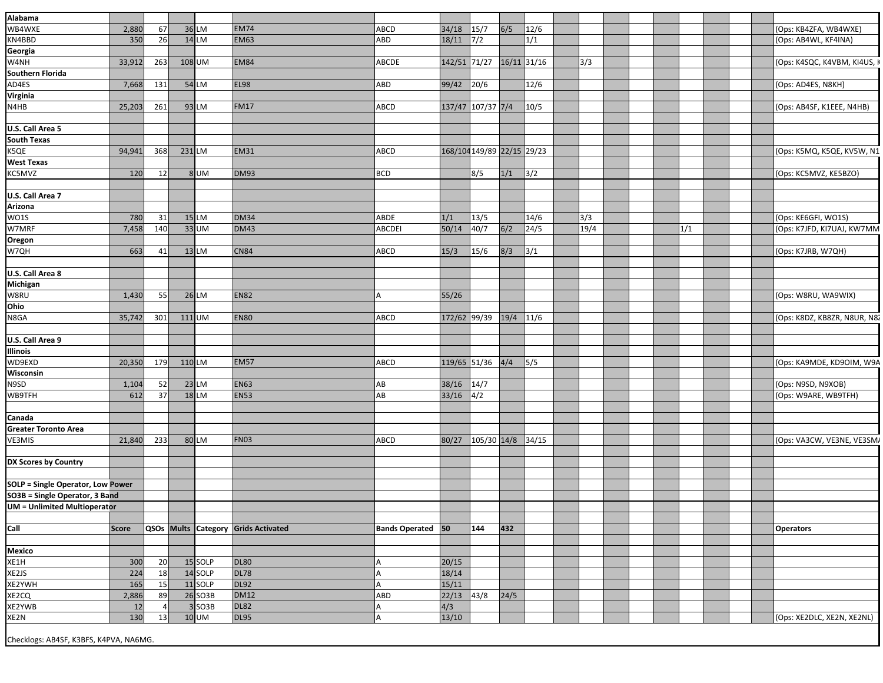| Alabama                                  |              |                |        |         |                                     |                   |                            |             |             |       |      |  |     |  |                              |
|------------------------------------------|--------------|----------------|--------|---------|-------------------------------------|-------------------|----------------------------|-------------|-------------|-------|------|--|-----|--|------------------------------|
| WB4WXE                                   | 2,880        | 67             |        | 36 LM   | <b>EM74</b>                         | ABCD              | 34/18                      | 15/7        | 6/5         | 12/6  |      |  |     |  | (Ops: KB4ZFA, WB4WXE)        |
| KN4BBD                                   | 350          | 26             |        | $14$ LM | <b>EM63</b>                         | ABD               | 18/11                      | 7/2         |             | 1/1   |      |  |     |  | (Ops: AB4WL, KF4INA)         |
| Georgia                                  |              |                |        |         |                                     |                   |                            |             |             |       |      |  |     |  |                              |
| W4NH                                     | 33,912       | 263            |        | 108 UM  | <b>EM84</b>                         | ABCDE             | 142/51 71/27               |             | 16/11 31/16 |       | 3/3  |  |     |  | (Ops: K4SQC, K4VBM, KI4US,   |
| Southern Florida                         |              |                |        |         |                                     |                   |                            |             |             |       |      |  |     |  |                              |
| AD4ES                                    | 7,668        | 131            |        | 54 LM   | <b>EL98</b>                         | ABD               | 99/42                      | 20/6        |             | 12/6  |      |  |     |  | (Ops: AD4ES, N8KH)           |
| Virginia                                 |              |                |        |         |                                     |                   |                            |             |             |       |      |  |     |  |                              |
| N4HB                                     | 25,203       | 261            |        | 93 LM   | <b>FM17</b>                         | ABCD              | 137/47 107/37 7/4          |             |             | 10/5  |      |  |     |  | (Ops: AB4SF, K1EEE, N4HB)    |
|                                          |              |                |        |         |                                     |                   |                            |             |             |       |      |  |     |  |                              |
| U.S. Call Area 5                         |              |                |        |         |                                     |                   |                            |             |             |       |      |  |     |  |                              |
| <b>South Texas</b>                       |              |                |        |         |                                     |                   |                            |             |             |       |      |  |     |  |                              |
| K5QE                                     | 94,941       | 368            | 231 LM |         | <b>EM31</b>                         | ABCD              | 168/104 149/89 22/15 29/23 |             |             |       |      |  |     |  | (Ops: K5MQ, K5QE, KV5W, N1   |
| <b>West Texas</b>                        |              |                |        |         |                                     |                   |                            |             |             |       |      |  |     |  |                              |
| KC5MVZ                                   | 120          | 12             |        | 8UM     | <b>DM93</b>                         | BCD               |                            | 8/5         | 1/1         | 3/2   |      |  |     |  | (Ops: KC5MVZ, KE5BZO)        |
|                                          |              |                |        |         |                                     |                   |                            |             |             |       |      |  |     |  |                              |
| U.S. Call Area 7                         |              |                |        |         |                                     |                   |                            |             |             |       |      |  |     |  |                              |
| Arizona                                  |              |                |        |         |                                     |                   |                            |             |             |       |      |  |     |  |                              |
| <b>WO1S</b>                              | 780          | 31             |        | $15$ LM | <b>DM34</b>                         | ABDE              | 1/1                        | 13/5        |             | 14/6  | 3/3  |  |     |  | (Ops: KE6GFI, WO1S)          |
| W7MRF                                    | 7,458        | 140            |        | $33$ UM | <b>DM43</b>                         | <b>ABCDEI</b>     | 50/14                      | 40/7        | 6/2         | 24/5  | 19/4 |  | 1/1 |  | (Ops: K7JFD, KI7UAJ, KW7MM   |
| Oregon                                   |              |                |        |         |                                     |                   |                            |             |             |       |      |  |     |  |                              |
| W7QH                                     | 663          | 41             |        | $13$ LM | <b>CN84</b>                         | ABCD              | 15/3                       | 15/6        | 8/3         | 3/1   |      |  |     |  | (Ops: K7JRB, W7QH)           |
|                                          |              |                |        |         |                                     |                   |                            |             |             |       |      |  |     |  |                              |
| U.S. Call Area 8                         |              |                |        |         |                                     |                   |                            |             |             |       |      |  |     |  |                              |
| Michigan                                 |              |                |        |         |                                     |                   |                            |             |             |       |      |  |     |  |                              |
|                                          |              |                |        |         | <b>EN82</b>                         |                   |                            |             |             |       |      |  |     |  |                              |
| W8RU<br>Ohio                             | 1,430        | 55             |        | $26$ LM |                                     | A                 | 55/26                      |             |             |       |      |  |     |  | (Ops: W8RU, WA9WIX)          |
|                                          |              |                |        |         |                                     |                   |                            |             |             |       |      |  |     |  |                              |
| N8GA                                     | 35,742       | 301            | 111 UM |         | <b>EN80</b>                         | ABCD              | 172/62 99/39               |             | 19/4 11/6   |       |      |  |     |  | (Ops: K8DZ, KB8ZR, N8UR, N82 |
|                                          |              |                |        |         |                                     |                   |                            |             |             |       |      |  |     |  |                              |
| U.S. Call Area 9                         |              |                |        |         |                                     |                   |                            |             |             |       |      |  |     |  |                              |
| Illinois                                 |              |                |        |         |                                     |                   |                            |             |             |       |      |  |     |  |                              |
| WD9EXD                                   | 20,350       | 179            | 110 LM |         | <b>EM57</b>                         | ABCD              | 119/65 51/36               |             | 4/4         | 5/5   |      |  |     |  | (Ops: KA9MDE, KD9OIM, W9A    |
| Wisconsin                                |              |                |        |         |                                     |                   |                            |             |             |       |      |  |     |  |                              |
| N9SD                                     | 1,104        | 52             |        | $23$ LM | <b>EN63</b>                         | AB                | 38/16                      | 14/7        |             |       |      |  |     |  | (Ops: N9SD, N9XOB)           |
| WB9TFH                                   | 612          | 37             |        | $18$ LM | <b>EN53</b>                         | AB                | 33/16                      | 4/2         |             |       |      |  |     |  | (Ops: W9ARE, WB9TFH)         |
|                                          |              |                |        |         |                                     |                   |                            |             |             |       |      |  |     |  |                              |
| Canada                                   |              |                |        |         |                                     |                   |                            |             |             |       |      |  |     |  |                              |
| <b>Greater Toronto Area</b>              |              |                |        |         |                                     |                   |                            |             |             |       |      |  |     |  |                              |
| VE3MIS                                   | 21,840       | 233            |        | 80 LM   | <b>FN03</b>                         | ABCD              | 80/27                      | 105/30 14/8 |             | 34/15 |      |  |     |  | (Ops: VA3CW, VE3NE, VE3SM,   |
|                                          |              |                |        |         |                                     |                   |                            |             |             |       |      |  |     |  |                              |
| DX Scores by Country                     |              |                |        |         |                                     |                   |                            |             |             |       |      |  |     |  |                              |
|                                          |              |                |        |         |                                     |                   |                            |             |             |       |      |  |     |  |                              |
| <b>SOLP = Single Operator, Low Power</b> |              |                |        |         |                                     |                   |                            |             |             |       |      |  |     |  |                              |
| SO3B = Single Operator, 3 Band           |              |                |        |         |                                     |                   |                            |             |             |       |      |  |     |  |                              |
| <b>UM = Unlimited Multioperator</b>      |              |                |        |         |                                     |                   |                            |             |             |       |      |  |     |  |                              |
|                                          |              |                |        |         |                                     |                   |                            |             |             |       |      |  |     |  |                              |
| Call                                     | <b>Score</b> |                |        |         | QSOs Mults Category Grids Activated | Bands Operated 50 |                            | 144         | 432         |       |      |  |     |  | <b>Operators</b>             |
|                                          |              |                |        |         |                                     |                   |                            |             |             |       |      |  |     |  |                              |
| Mexico                                   |              |                |        |         |                                     |                   |                            |             |             |       |      |  |     |  |                              |
| XE1H                                     | 300          | 20             |        | 15 SOLP | <b>DL80</b>                         | А                 | 20/15                      |             |             |       |      |  |     |  |                              |
| XE2JS                                    | 224          | 18             |        | 14 SOLP | <b>DL78</b>                         |                   | 18/14                      |             |             |       |      |  |     |  |                              |
| XE2YWH                                   | 165          | 15             |        | 11 SOLP | <b>DL92</b>                         | А                 | 15/11                      |             |             |       |      |  |     |  |                              |
| XE2CQ                                    | 2,886        | 89             |        | 26 SO3B | <b>DM12</b>                         | ABD               | $22/13$ 43/8               |             | 24/5        |       |      |  |     |  |                              |
| XE2YWB                                   | 12           | 4 <sup>1</sup> |        | 3 SO3B  | <b>DL82</b>                         |                   | 4/3                        |             |             |       |      |  |     |  |                              |
| XE2N                                     | 130          | 13             |        | $10$ UM | <b>DL95</b>                         | А                 | 13/10                      |             |             |       |      |  |     |  | (Ops: XE2DLC, XE2N, XE2NL)   |
|                                          |              |                |        |         |                                     |                   |                            |             |             |       |      |  |     |  |                              |
| Checklogs: AB4SF, K3BFS, K4PVA, NA6MG.   |              |                |        |         |                                     |                   |                            |             |             |       |      |  |     |  |                              |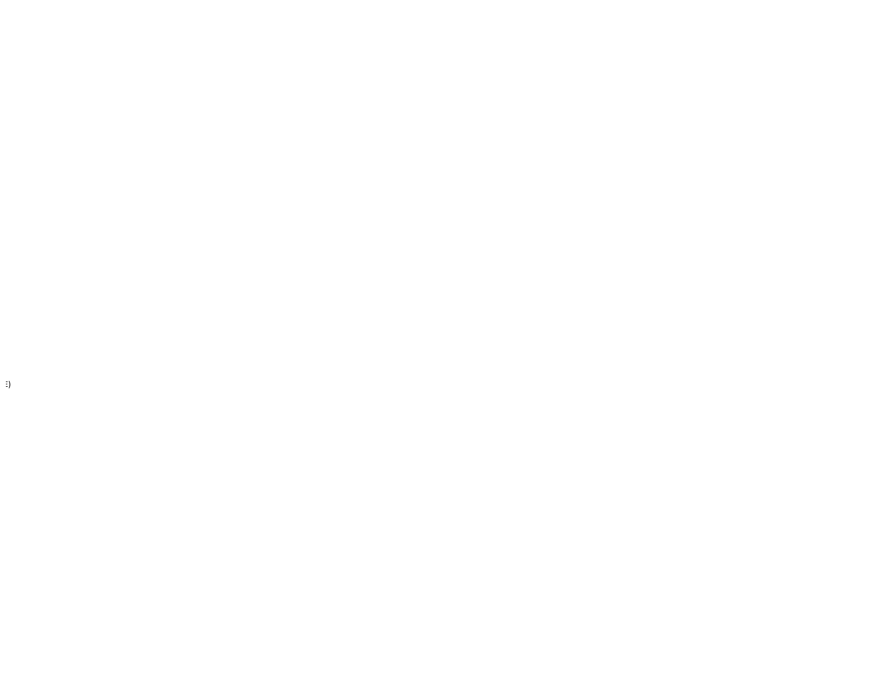$\ddot{=}$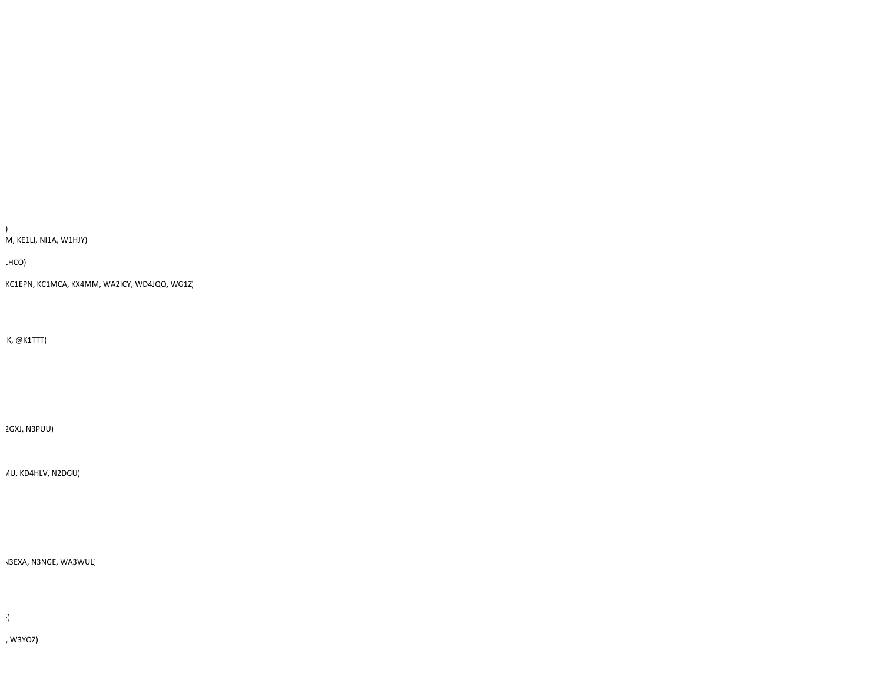, W3YOZ)

 $\ddot{\phantom{0}}$ 

N3EXA, N3NGE, WA3WUL)

MU, KD4HLV, N2DGU)

2GXJ, N3PUU)

1K, @K1TTT)

KC1EPN, KC1MCA, KX4MM, WA2ICY, WD4JQQ, WG1Z)

1HCO)

) M, KE1LI, NI1A, W1HJY)